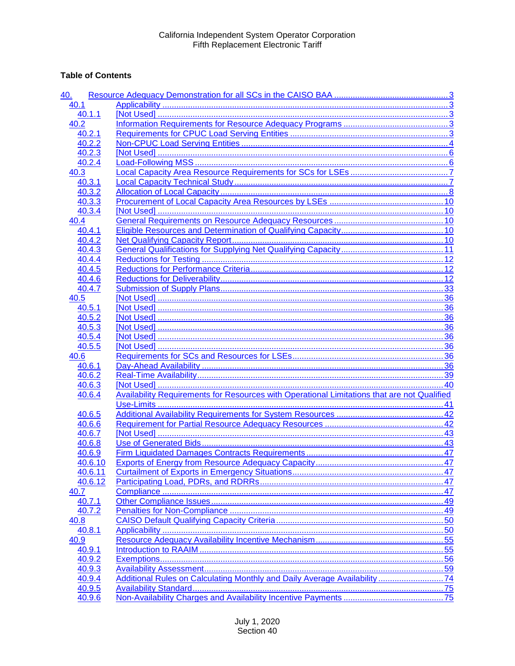# **Table of Contents**

| 40.     |                                                                                                    |    |
|---------|----------------------------------------------------------------------------------------------------|----|
| 40.1    |                                                                                                    |    |
| 40.1.1  |                                                                                                    |    |
| 40.2    |                                                                                                    |    |
| 40.2.1  |                                                                                                    |    |
| 40.2.2  |                                                                                                    |    |
| 40.2.3  |                                                                                                    |    |
| 40.2.4  |                                                                                                    |    |
| 40.3    |                                                                                                    |    |
| 40.3.1  |                                                                                                    |    |
| 40.3.2  |                                                                                                    |    |
| 40.3.3  |                                                                                                    |    |
| 40.3.4  |                                                                                                    |    |
| 40.4    |                                                                                                    |    |
| 40.4.1  |                                                                                                    |    |
| 40.4.2  |                                                                                                    |    |
| 40.4.3  |                                                                                                    |    |
| 40.4.4  |                                                                                                    |    |
| 40.4.5  |                                                                                                    |    |
| 40.4.6  |                                                                                                    |    |
| 40.4.7  |                                                                                                    |    |
| 40.5    |                                                                                                    |    |
| 40.5.1  |                                                                                                    |    |
| 40.5.2  |                                                                                                    |    |
| 40.5.3  |                                                                                                    |    |
| 40.5.4  |                                                                                                    |    |
| 40.5.5  |                                                                                                    |    |
| 40.6    |                                                                                                    |    |
| 40.6.1  |                                                                                                    |    |
| 40.6.2  |                                                                                                    |    |
| 40.6.3  |                                                                                                    |    |
| 40.6.4  | <b>Availability Requirements for Resources with Operational Limitations that are not Qualified</b> |    |
|         |                                                                                                    |    |
| 40.6.5  |                                                                                                    |    |
| 40.6.6  |                                                                                                    |    |
| 40.6.7  |                                                                                                    |    |
| 40.6.8  |                                                                                                    |    |
| 40.6.9  |                                                                                                    |    |
| 40.6.10 |                                                                                                    | 47 |
| 40.6.11 |                                                                                                    |    |
| 40.6.12 |                                                                                                    |    |
| 40.7    |                                                                                                    |    |
| 40.7.1  |                                                                                                    |    |
| 40.7.2  |                                                                                                    |    |
| 40.8    |                                                                                                    |    |
| 40.8.1  |                                                                                                    |    |
| 40.9    |                                                                                                    |    |
| 40.9.1  |                                                                                                    |    |
| 40.9.2  |                                                                                                    |    |
| 40.9.3  |                                                                                                    |    |
| 40.9.4  | Additional Rules on Calculating Monthly and Daily Average Availability74                           |    |
| 40.9.5  |                                                                                                    |    |
| 40.9.6  |                                                                                                    |    |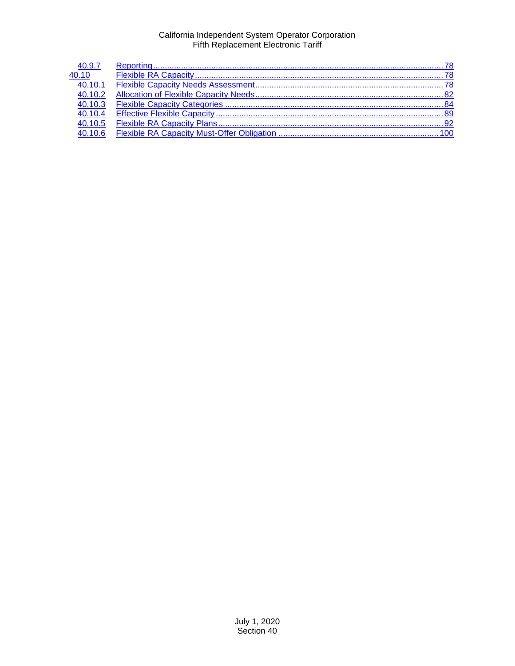| 40.9.7              |  |
|---------------------|--|
| 40.10               |  |
| $\frac{1}{40.10.1}$ |  |
| 40.10.2             |  |
| 40.10.3             |  |
| 40.10.4             |  |
| 40.10.5             |  |
| 40106               |  |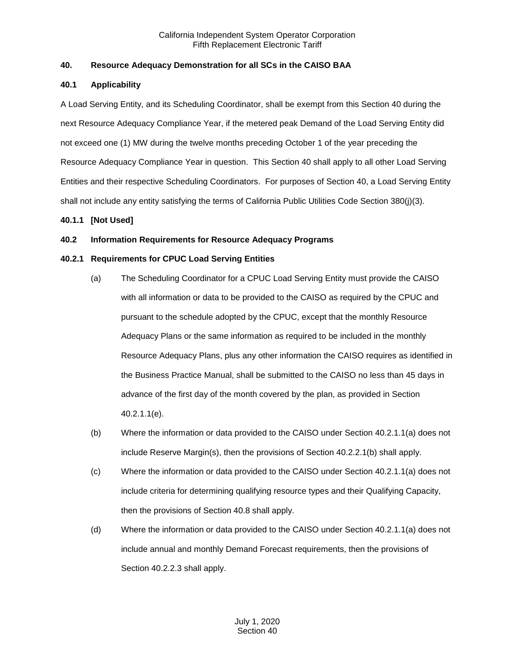### <span id="page-2-0"></span>**40. Resource Adequacy Demonstration for all SCs in the CAISO BAA**

#### <span id="page-2-1"></span>**40.1 Applicability**

A Load Serving Entity, and its Scheduling Coordinator, shall be exempt from this Section 40 during the next Resource Adequacy Compliance Year, if the metered peak Demand of the Load Serving Entity did not exceed one (1) MW during the twelve months preceding October 1 of the year preceding the Resource Adequacy Compliance Year in question. This Section 40 shall apply to all other Load Serving Entities and their respective Scheduling Coordinators. For purposes of Section 40, a Load Serving Entity shall not include any entity satisfying the terms of California Public Utilities Code Section 380(j)(3).

#### <span id="page-2-2"></span>**40.1.1 [Not Used]**

#### <span id="page-2-3"></span>**40.2 Information Requirements for Resource Adequacy Programs**

#### <span id="page-2-4"></span>**40.2.1 Requirements for CPUC Load Serving Entities**

- (a) The Scheduling Coordinator for a CPUC Load Serving Entity must provide the CAISO with all information or data to be provided to the CAISO as required by the CPUC and pursuant to the schedule adopted by the CPUC, except that the monthly Resource Adequacy Plans or the same information as required to be included in the monthly Resource Adequacy Plans, plus any other information the CAISO requires as identified in the Business Practice Manual, shall be submitted to the CAISO no less than 45 days in advance of the first day of the month covered by the plan, as provided in Section 40.2.1.1(e).
- (b) Where the information or data provided to the CAISO under Section 40.2.1.1(a) does not include Reserve Margin(s), then the provisions of Section 40.2.2.1(b) shall apply.
- (c) Where the information or data provided to the CAISO under Section 40.2.1.1(a) does not include criteria for determining qualifying resource types and their Qualifying Capacity, then the provisions of Section 40.8 shall apply.
- (d) Where the information or data provided to the CAISO under Section 40.2.1.1(a) does not include annual and monthly Demand Forecast requirements, then the provisions of Section 40.2.2.3 shall apply.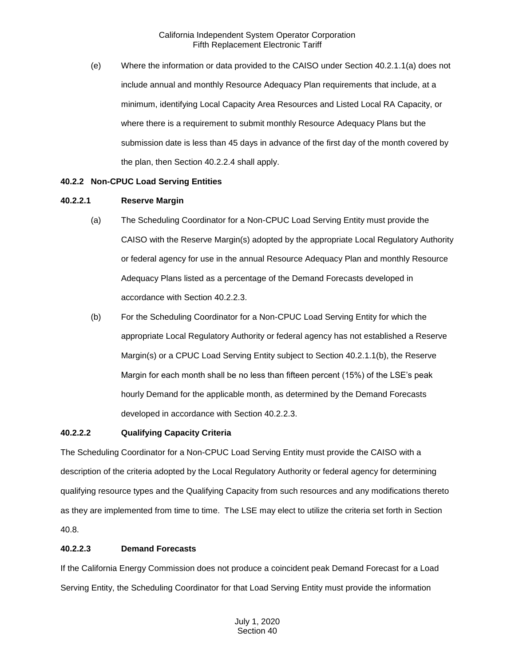(e) Where the information or data provided to the CAISO under Section 40.2.1.1(a) does not include annual and monthly Resource Adequacy Plan requirements that include, at a minimum, identifying Local Capacity Area Resources and Listed Local RA Capacity, or where there is a requirement to submit monthly Resource Adequacy Plans but the submission date is less than 45 days in advance of the first day of the month covered by the plan, then Section 40.2.2.4 shall apply.

#### <span id="page-3-0"></span>**40.2.2 Non-CPUC Load Serving Entities**

#### **40.2.2.1 Reserve Margin**

- (a) The Scheduling Coordinator for a Non-CPUC Load Serving Entity must provide the CAISO with the Reserve Margin(s) adopted by the appropriate Local Regulatory Authority or federal agency for use in the annual Resource Adequacy Plan and monthly Resource Adequacy Plans listed as a percentage of the Demand Forecasts developed in accordance with Section 40.2.2.3.
- (b) For the Scheduling Coordinator for a Non-CPUC Load Serving Entity for which the appropriate Local Regulatory Authority or federal agency has not established a Reserve Margin(s) or a CPUC Load Serving Entity subject to Section 40.2.1.1(b), the Reserve Margin for each month shall be no less than fifteen percent (15%) of the LSE's peak hourly Demand for the applicable month, as determined by the Demand Forecasts developed in accordance with Section 40.2.2.3.

#### **40.2.2.2 Qualifying Capacity Criteria**

The Scheduling Coordinator for a Non-CPUC Load Serving Entity must provide the CAISO with a description of the criteria adopted by the Local Regulatory Authority or federal agency for determining qualifying resource types and the Qualifying Capacity from such resources and any modifications thereto as they are implemented from time to time. The LSE may elect to utilize the criteria set forth in Section 40.8.

#### **40.2.2.3 Demand Forecasts**

If the California Energy Commission does not produce a coincident peak Demand Forecast for a Load Serving Entity, the Scheduling Coordinator for that Load Serving Entity must provide the information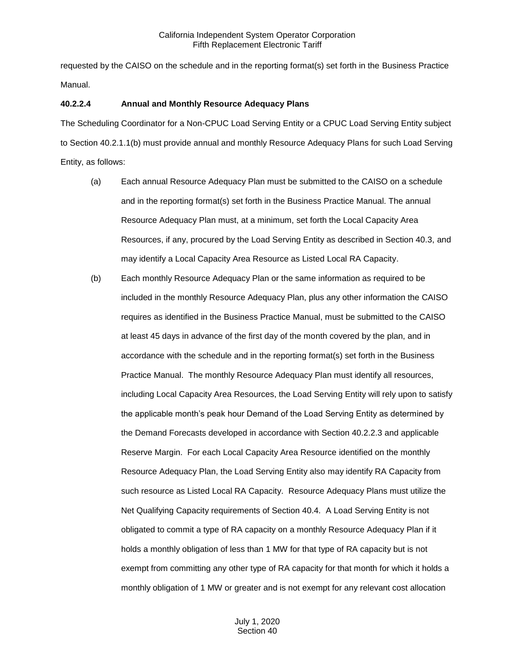requested by the CAISO on the schedule and in the reporting format(s) set forth in the Business Practice Manual.

#### **40.2.2.4 Annual and Monthly Resource Adequacy Plans**

The Scheduling Coordinator for a Non-CPUC Load Serving Entity or a CPUC Load Serving Entity subject to Section 40.2.1.1(b) must provide annual and monthly Resource Adequacy Plans for such Load Serving Entity, as follows:

- (a) Each annual Resource Adequacy Plan must be submitted to the CAISO on a schedule and in the reporting format(s) set forth in the Business Practice Manual. The annual Resource Adequacy Plan must, at a minimum, set forth the Local Capacity Area Resources, if any, procured by the Load Serving Entity as described in Section 40.3, and may identify a Local Capacity Area Resource as Listed Local RA Capacity.
- (b) Each monthly Resource Adequacy Plan or the same information as required to be included in the monthly Resource Adequacy Plan, plus any other information the CAISO requires as identified in the Business Practice Manual, must be submitted to the CAISO at least 45 days in advance of the first day of the month covered by the plan, and in accordance with the schedule and in the reporting format(s) set forth in the Business Practice Manual. The monthly Resource Adequacy Plan must identify all resources, including Local Capacity Area Resources, the Load Serving Entity will rely upon to satisfy the applicable month's peak hour Demand of the Load Serving Entity as determined by the Demand Forecasts developed in accordance with Section 40.2.2.3 and applicable Reserve Margin. For each Local Capacity Area Resource identified on the monthly Resource Adequacy Plan, the Load Serving Entity also may identify RA Capacity from such resource as Listed Local RA Capacity. Resource Adequacy Plans must utilize the Net Qualifying Capacity requirements of Section 40.4. A Load Serving Entity is not obligated to commit a type of RA capacity on a monthly Resource Adequacy Plan if it holds a monthly obligation of less than 1 MW for that type of RA capacity but is not exempt from committing any other type of RA capacity for that month for which it holds a monthly obligation of 1 MW or greater and is not exempt for any relevant cost allocation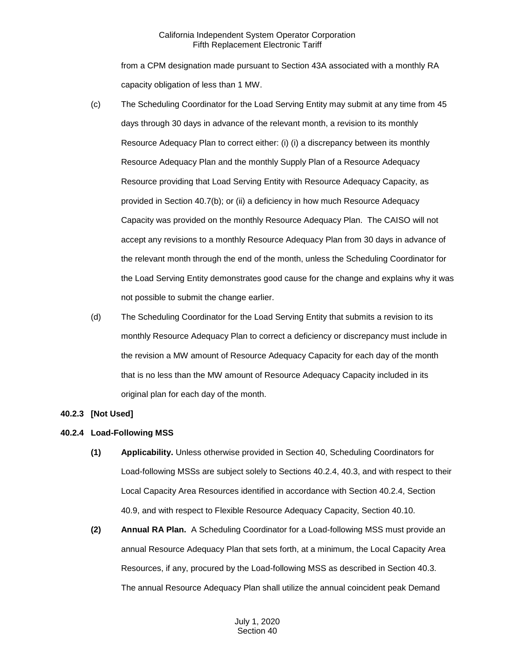from a CPM designation made pursuant to Section 43A associated with a monthly RA capacity obligation of less than 1 MW.

- (c) The Scheduling Coordinator for the Load Serving Entity may submit at any time from 45 days through 30 days in advance of the relevant month, a revision to its monthly Resource Adequacy Plan to correct either: (i) (i) a discrepancy between its monthly Resource Adequacy Plan and the monthly Supply Plan of a Resource Adequacy Resource providing that Load Serving Entity with Resource Adequacy Capacity, as provided in Section 40.7(b); or (ii) a deficiency in how much Resource Adequacy Capacity was provided on the monthly Resource Adequacy Plan. The CAISO will not accept any revisions to a monthly Resource Adequacy Plan from 30 days in advance of the relevant month through the end of the month, unless the Scheduling Coordinator for the Load Serving Entity demonstrates good cause for the change and explains why it was not possible to submit the change earlier.
- (d) The Scheduling Coordinator for the Load Serving Entity that submits a revision to its monthly Resource Adequacy Plan to correct a deficiency or discrepancy must include in the revision a MW amount of Resource Adequacy Capacity for each day of the month that is no less than the MW amount of Resource Adequacy Capacity included in its original plan for each day of the month.

#### <span id="page-5-0"></span>**40.2.3 [Not Used]**

#### <span id="page-5-1"></span>**40.2.4 Load-Following MSS**

- **(1) Applicability.** Unless otherwise provided in Section 40, Scheduling Coordinators for Load-following MSSs are subject solely to Sections 40.2.4, 40.3, and with respect to their Local Capacity Area Resources identified in accordance with Section 40.2.4, Section 40.9, and with respect to Flexible Resource Adequacy Capacity, Section 40.10.
- **(2) Annual RA Plan.** A Scheduling Coordinator for a Load-following MSS must provide an annual Resource Adequacy Plan that sets forth, at a minimum, the Local Capacity Area Resources, if any, procured by the Load-following MSS as described in Section 40.3. The annual Resource Adequacy Plan shall utilize the annual coincident peak Demand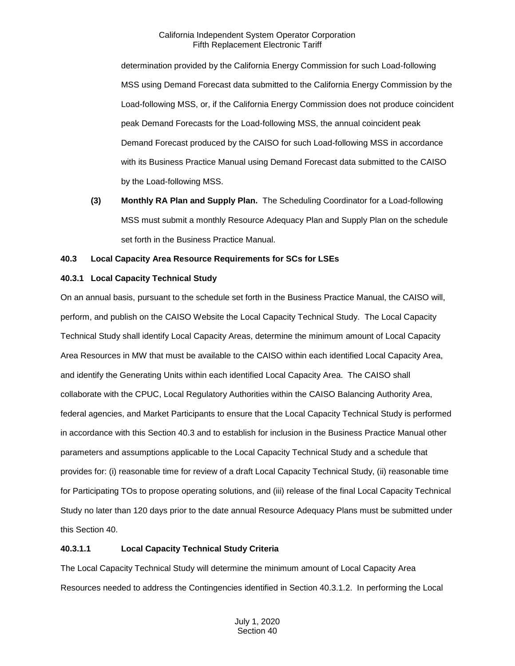determination provided by the California Energy Commission for such Load-following MSS using Demand Forecast data submitted to the California Energy Commission by the Load-following MSS, or, if the California Energy Commission does not produce coincident peak Demand Forecasts for the Load-following MSS, the annual coincident peak Demand Forecast produced by the CAISO for such Load-following MSS in accordance with its Business Practice Manual using Demand Forecast data submitted to the CAISO by the Load-following MSS.

**(3) Monthly RA Plan and Supply Plan.** The Scheduling Coordinator for a Load-following MSS must submit a monthly Resource Adequacy Plan and Supply Plan on the schedule set forth in the Business Practice Manual.

#### <span id="page-6-0"></span>**40.3 Local Capacity Area Resource Requirements for SCs for LSEs**

### <span id="page-6-1"></span>**40.3.1 Local Capacity Technical Study**

On an annual basis, pursuant to the schedule set forth in the Business Practice Manual, the CAISO will, perform, and publish on the CAISO Website the Local Capacity Technical Study. The Local Capacity Technical Study shall identify Local Capacity Areas, determine the minimum amount of Local Capacity Area Resources in MW that must be available to the CAISO within each identified Local Capacity Area, and identify the Generating Units within each identified Local Capacity Area. The CAISO shall collaborate with the CPUC, Local Regulatory Authorities within the CAISO Balancing Authority Area, federal agencies, and Market Participants to ensure that the Local Capacity Technical Study is performed in accordance with this Section 40.3 and to establish for inclusion in the Business Practice Manual other parameters and assumptions applicable to the Local Capacity Technical Study and a schedule that provides for: (i) reasonable time for review of a draft Local Capacity Technical Study, (ii) reasonable time for Participating TOs to propose operating solutions, and (iii) release of the final Local Capacity Technical Study no later than 120 days prior to the date annual Resource Adequacy Plans must be submitted under this Section 40.

## **40.3.1.1 Local Capacity Technical Study Criteria**

The Local Capacity Technical Study will determine the minimum amount of Local Capacity Area Resources needed to address the Contingencies identified in Section 40.3.1.2. In performing the Local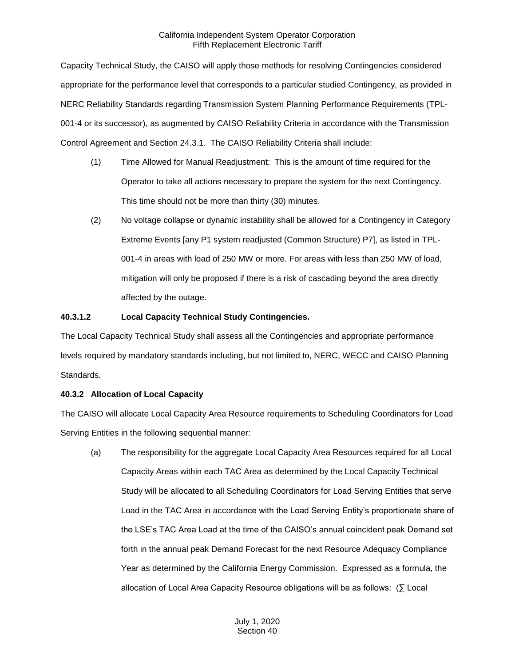Capacity Technical Study, the CAISO will apply those methods for resolving Contingencies considered appropriate for the performance level that corresponds to a particular studied Contingency, as provided in NERC Reliability Standards regarding Transmission System Planning Performance Requirements (TPL-001-4 or its successor), as augmented by CAISO Reliability Criteria in accordance with the Transmission Control Agreement and Section 24.3.1. The CAISO Reliability Criteria shall include:

- (1) Time Allowed for Manual Readjustment: This is the amount of time required for the Operator to take all actions necessary to prepare the system for the next Contingency. This time should not be more than thirty (30) minutes.
- (2) No voltage collapse or dynamic instability shall be allowed for a Contingency in Category Extreme Events [any P1 system readjusted (Common Structure) P7], as listed in TPL-001-4 in areas with load of 250 MW or more. For areas with less than 250 MW of load, mitigation will only be proposed if there is a risk of cascading beyond the area directly affected by the outage.

#### **40.3.1.2 Local Capacity Technical Study Contingencies.**

The Local Capacity Technical Study shall assess all the Contingencies and appropriate performance levels required by mandatory standards including, but not limited to, NERC, WECC and CAISO Planning Standards.

#### <span id="page-7-0"></span>**40.3.2 Allocation of Local Capacity**

The CAISO will allocate Local Capacity Area Resource requirements to Scheduling Coordinators for Load Serving Entities in the following sequential manner:

(a) The responsibility for the aggregate Local Capacity Area Resources required for all Local Capacity Areas within each TAC Area as determined by the Local Capacity Technical Study will be allocated to all Scheduling Coordinators for Load Serving Entities that serve Load in the TAC Area in accordance with the Load Serving Entity's proportionate share of the LSE's TAC Area Load at the time of the CAISO's annual coincident peak Demand set forth in the annual peak Demand Forecast for the next Resource Adequacy Compliance Year as determined by the California Energy Commission. Expressed as a formula, the allocation of Local Area Capacity Resource obligations will be as follows: (∑ Local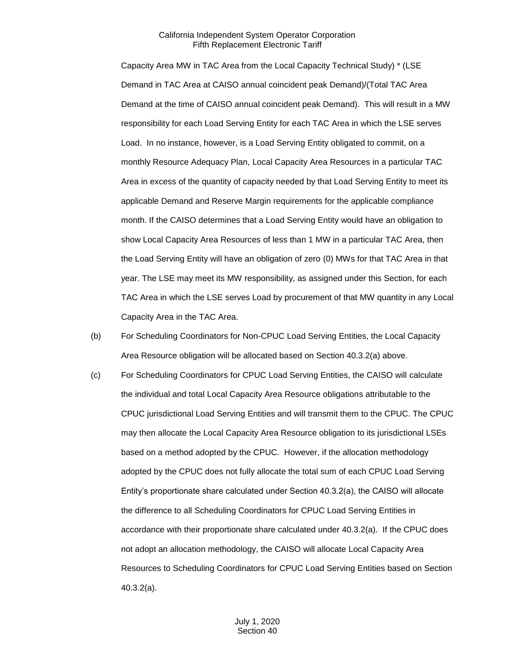Capacity Area MW in TAC Area from the Local Capacity Technical Study) \* (LSE Demand in TAC Area at CAISO annual coincident peak Demand)/(Total TAC Area Demand at the time of CAISO annual coincident peak Demand). This will result in a MW responsibility for each Load Serving Entity for each TAC Area in which the LSE serves Load. In no instance, however, is a Load Serving Entity obligated to commit, on a monthly Resource Adequacy Plan, Local Capacity Area Resources in a particular TAC Area in excess of the quantity of capacity needed by that Load Serving Entity to meet its applicable Demand and Reserve Margin requirements for the applicable compliance month. If the CAISO determines that a Load Serving Entity would have an obligation to show Local Capacity Area Resources of less than 1 MW in a particular TAC Area, then the Load Serving Entity will have an obligation of zero (0) MWs for that TAC Area in that year. The LSE may meet its MW responsibility, as assigned under this Section, for each TAC Area in which the LSE serves Load by procurement of that MW quantity in any Local Capacity Area in the TAC Area.

- (b) For Scheduling Coordinators for Non-CPUC Load Serving Entities, the Local Capacity Area Resource obligation will be allocated based on Section 40.3.2(a) above.
- (c) For Scheduling Coordinators for CPUC Load Serving Entities, the CAISO will calculate the individual and total Local Capacity Area Resource obligations attributable to the CPUC jurisdictional Load Serving Entities and will transmit them to the CPUC. The CPUC may then allocate the Local Capacity Area Resource obligation to its jurisdictional LSEs based on a method adopted by the CPUC. However, if the allocation methodology adopted by the CPUC does not fully allocate the total sum of each CPUC Load Serving Entity's proportionate share calculated under Section 40.3.2(a), the CAISO will allocate the difference to all Scheduling Coordinators for CPUC Load Serving Entities in accordance with their proportionate share calculated under 40.3.2(a). If the CPUC does not adopt an allocation methodology, the CAISO will allocate Local Capacity Area Resources to Scheduling Coordinators for CPUC Load Serving Entities based on Section 40.3.2(a).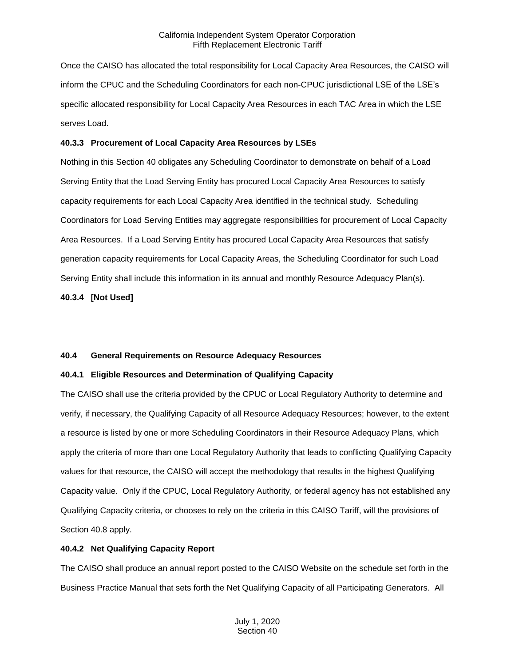Once the CAISO has allocated the total responsibility for Local Capacity Area Resources, the CAISO will inform the CPUC and the Scheduling Coordinators for each non-CPUC jurisdictional LSE of the LSE's specific allocated responsibility for Local Capacity Area Resources in each TAC Area in which the LSE serves Load.

#### <span id="page-9-0"></span>**40.3.3 Procurement of Local Capacity Area Resources by LSEs**

Nothing in this Section 40 obligates any Scheduling Coordinator to demonstrate on behalf of a Load Serving Entity that the Load Serving Entity has procured Local Capacity Area Resources to satisfy capacity requirements for each Local Capacity Area identified in the technical study. Scheduling Coordinators for Load Serving Entities may aggregate responsibilities for procurement of Local Capacity Area Resources. If a Load Serving Entity has procured Local Capacity Area Resources that satisfy generation capacity requirements for Local Capacity Areas, the Scheduling Coordinator for such Load Serving Entity shall include this information in its annual and monthly Resource Adequacy Plan(s).

<span id="page-9-1"></span>**40.3.4 [Not Used]**

#### <span id="page-9-2"></span>**40.4 General Requirements on Resource Adequacy Resources**

#### <span id="page-9-3"></span>**40.4.1 Eligible Resources and Determination of Qualifying Capacity**

The CAISO shall use the criteria provided by the CPUC or Local Regulatory Authority to determine and verify, if necessary, the Qualifying Capacity of all Resource Adequacy Resources; however, to the extent a resource is listed by one or more Scheduling Coordinators in their Resource Adequacy Plans, which apply the criteria of more than one Local Regulatory Authority that leads to conflicting Qualifying Capacity values for that resource, the CAISO will accept the methodology that results in the highest Qualifying Capacity value. Only if the CPUC, Local Regulatory Authority, or federal agency has not established any Qualifying Capacity criteria, or chooses to rely on the criteria in this CAISO Tariff, will the provisions of Section 40.8 apply.

#### <span id="page-9-4"></span>**40.4.2 Net Qualifying Capacity Report**

The CAISO shall produce an annual report posted to the CAISO Website on the schedule set forth in the Business Practice Manual that sets forth the Net Qualifying Capacity of all Participating Generators. All

> July 1, 2020 Section 40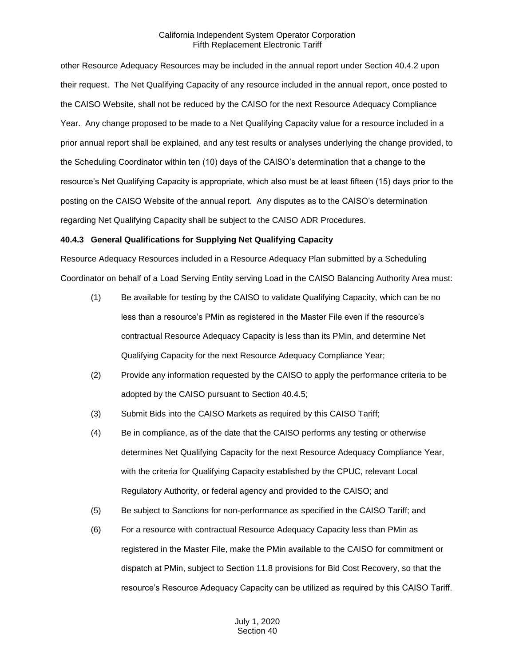other Resource Adequacy Resources may be included in the annual report under Section 40.4.2 upon their request. The Net Qualifying Capacity of any resource included in the annual report, once posted to the CAISO Website, shall not be reduced by the CAISO for the next Resource Adequacy Compliance Year. Any change proposed to be made to a Net Qualifying Capacity value for a resource included in a prior annual report shall be explained, and any test results or analyses underlying the change provided, to the Scheduling Coordinator within ten (10) days of the CAISO's determination that a change to the resource's Net Qualifying Capacity is appropriate, which also must be at least fifteen (15) days prior to the posting on the CAISO Website of the annual report. Any disputes as to the CAISO's determination regarding Net Qualifying Capacity shall be subject to the CAISO ADR Procedures.

#### <span id="page-10-0"></span>**40.4.3 General Qualifications for Supplying Net Qualifying Capacity**

Resource Adequacy Resources included in a Resource Adequacy Plan submitted by a Scheduling Coordinator on behalf of a Load Serving Entity serving Load in the CAISO Balancing Authority Area must:

- (1) Be available for testing by the CAISO to validate Qualifying Capacity, which can be no less than a resource's PMin as registered in the Master File even if the resource's contractual Resource Adequacy Capacity is less than its PMin, and determine Net Qualifying Capacity for the next Resource Adequacy Compliance Year;
- (2) Provide any information requested by the CAISO to apply the performance criteria to be adopted by the CAISO pursuant to Section 40.4.5;
- (3) Submit Bids into the CAISO Markets as required by this CAISO Tariff;
- (4) Be in compliance, as of the date that the CAISO performs any testing or otherwise determines Net Qualifying Capacity for the next Resource Adequacy Compliance Year, with the criteria for Qualifying Capacity established by the CPUC, relevant Local Regulatory Authority, or federal agency and provided to the CAISO; and
- (5) Be subject to Sanctions for non-performance as specified in the CAISO Tariff; and
- (6) For a resource with contractual Resource Adequacy Capacity less than PMin as registered in the Master File, make the PMin available to the CAISO for commitment or dispatch at PMin, subject to Section 11.8 provisions for Bid Cost Recovery, so that the resource's Resource Adequacy Capacity can be utilized as required by this CAISO Tariff.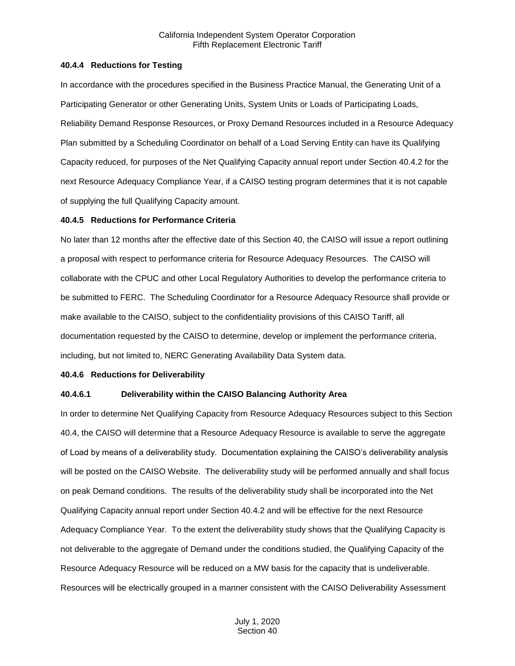#### <span id="page-11-0"></span>**40.4.4 Reductions for Testing**

In accordance with the procedures specified in the Business Practice Manual, the Generating Unit of a Participating Generator or other Generating Units, System Units or Loads of Participating Loads, Reliability Demand Response Resources, or Proxy Demand Resources included in a Resource Adequacy Plan submitted by a Scheduling Coordinator on behalf of a Load Serving Entity can have its Qualifying Capacity reduced, for purposes of the Net Qualifying Capacity annual report under Section 40.4.2 for the next Resource Adequacy Compliance Year, if a CAISO testing program determines that it is not capable of supplying the full Qualifying Capacity amount.

#### <span id="page-11-1"></span>**40.4.5 Reductions for Performance Criteria**

No later than 12 months after the effective date of this Section 40, the CAISO will issue a report outlining a proposal with respect to performance criteria for Resource Adequacy Resources. The CAISO will collaborate with the CPUC and other Local Regulatory Authorities to develop the performance criteria to be submitted to FERC. The Scheduling Coordinator for a Resource Adequacy Resource shall provide or make available to the CAISO, subject to the confidentiality provisions of this CAISO Tariff, all documentation requested by the CAISO to determine, develop or implement the performance criteria, including, but not limited to, NERC Generating Availability Data System data.

#### <span id="page-11-2"></span>**40.4.6 Reductions for Deliverability**

#### **40.4.6.1 Deliverability within the CAISO Balancing Authority Area**

In order to determine Net Qualifying Capacity from Resource Adequacy Resources subject to this Section 40.4, the CAISO will determine that a Resource Adequacy Resource is available to serve the aggregate of Load by means of a deliverability study. Documentation explaining the CAISO's deliverability analysis will be posted on the CAISO Website. The deliverability study will be performed annually and shall focus on peak Demand conditions. The results of the deliverability study shall be incorporated into the Net Qualifying Capacity annual report under Section 40.4.2 and will be effective for the next Resource Adequacy Compliance Year. To the extent the deliverability study shows that the Qualifying Capacity is not deliverable to the aggregate of Demand under the conditions studied, the Qualifying Capacity of the Resource Adequacy Resource will be reduced on a MW basis for the capacity that is undeliverable. Resources will be electrically grouped in a manner consistent with the CAISO Deliverability Assessment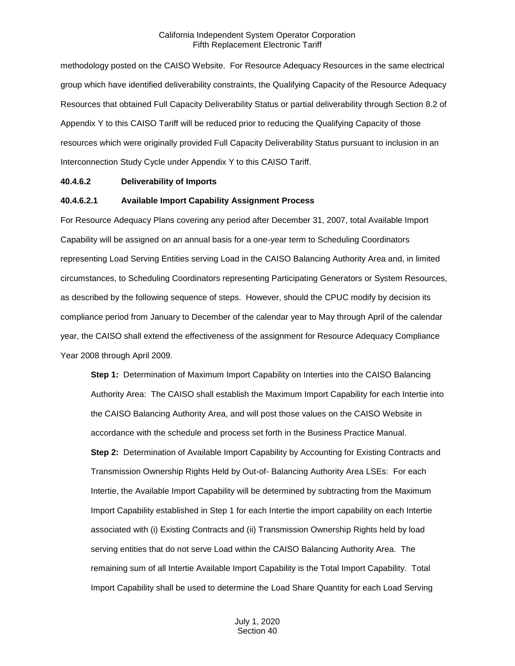methodology posted on the CAISO Website. For Resource Adequacy Resources in the same electrical group which have identified deliverability constraints, the Qualifying Capacity of the Resource Adequacy Resources that obtained Full Capacity Deliverability Status or partial deliverability through Section 8.2 of Appendix Y to this CAISO Tariff will be reduced prior to reducing the Qualifying Capacity of those resources which were originally provided Full Capacity Deliverability Status pursuant to inclusion in an Interconnection Study Cycle under Appendix Y to this CAISO Tariff.

#### **40.4.6.2 Deliverability of Imports**

#### **40.4.6.2.1 Available Import Capability Assignment Process**

For Resource Adequacy Plans covering any period after December 31, 2007, total Available Import Capability will be assigned on an annual basis for a one-year term to Scheduling Coordinators representing Load Serving Entities serving Load in the CAISO Balancing Authority Area and, in limited circumstances, to Scheduling Coordinators representing Participating Generators or System Resources, as described by the following sequence of steps. However, should the CPUC modify by decision its compliance period from January to December of the calendar year to May through April of the calendar year, the CAISO shall extend the effectiveness of the assignment for Resource Adequacy Compliance Year 2008 through April 2009.

**Step 1:** Determination of Maximum Import Capability on Interties into the CAISO Balancing Authority Area: The CAISO shall establish the Maximum Import Capability for each Intertie into the CAISO Balancing Authority Area, and will post those values on the CAISO Website in accordance with the schedule and process set forth in the Business Practice Manual. **Step 2:** Determination of Available Import Capability by Accounting for Existing Contracts and Transmission Ownership Rights Held by Out-of- Balancing Authority Area LSEs: For each Intertie, the Available Import Capability will be determined by subtracting from the Maximum Import Capability established in Step 1 for each Intertie the import capability on each Intertie associated with (i) Existing Contracts and (ii) Transmission Ownership Rights held by load serving entities that do not serve Load within the CAISO Balancing Authority Area. The remaining sum of all Intertie Available Import Capability is the Total Import Capability. Total Import Capability shall be used to determine the Load Share Quantity for each Load Serving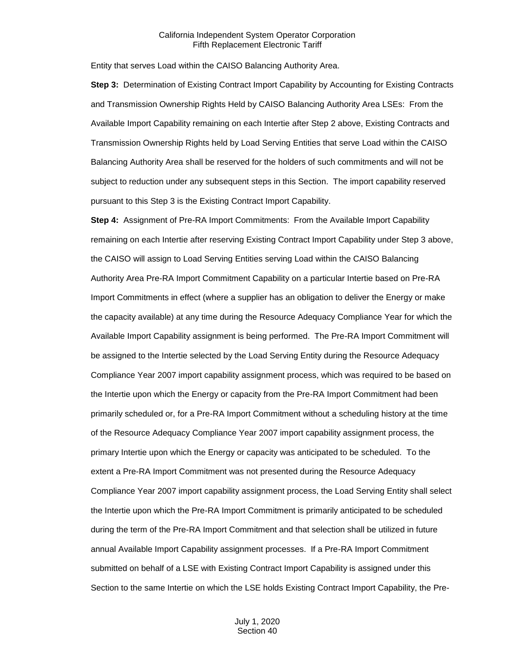Entity that serves Load within the CAISO Balancing Authority Area.

**Step 3:** Determination of Existing Contract Import Capability by Accounting for Existing Contracts and Transmission Ownership Rights Held by CAISO Balancing Authority Area LSEs: From the Available Import Capability remaining on each Intertie after Step 2 above, Existing Contracts and Transmission Ownership Rights held by Load Serving Entities that serve Load within the CAISO Balancing Authority Area shall be reserved for the holders of such commitments and will not be subject to reduction under any subsequent steps in this Section. The import capability reserved pursuant to this Step 3 is the Existing Contract Import Capability.

**Step 4:** Assignment of Pre-RA Import Commitments: From the Available Import Capability remaining on each Intertie after reserving Existing Contract Import Capability under Step 3 above, the CAISO will assign to Load Serving Entities serving Load within the CAISO Balancing Authority Area Pre-RA Import Commitment Capability on a particular Intertie based on Pre-RA Import Commitments in effect (where a supplier has an obligation to deliver the Energy or make the capacity available) at any time during the Resource Adequacy Compliance Year for which the Available Import Capability assignment is being performed. The Pre-RA Import Commitment will be assigned to the Intertie selected by the Load Serving Entity during the Resource Adequacy Compliance Year 2007 import capability assignment process, which was required to be based on the Intertie upon which the Energy or capacity from the Pre-RA Import Commitment had been primarily scheduled or, for a Pre-RA Import Commitment without a scheduling history at the time of the Resource Adequacy Compliance Year 2007 import capability assignment process, the primary Intertie upon which the Energy or capacity was anticipated to be scheduled. To the extent a Pre-RA Import Commitment was not presented during the Resource Adequacy Compliance Year 2007 import capability assignment process, the Load Serving Entity shall select the Intertie upon which the Pre-RA Import Commitment is primarily anticipated to be scheduled during the term of the Pre-RA Import Commitment and that selection shall be utilized in future annual Available Import Capability assignment processes. If a Pre-RA Import Commitment submitted on behalf of a LSE with Existing Contract Import Capability is assigned under this Section to the same Intertie on which the LSE holds Existing Contract Import Capability, the Pre-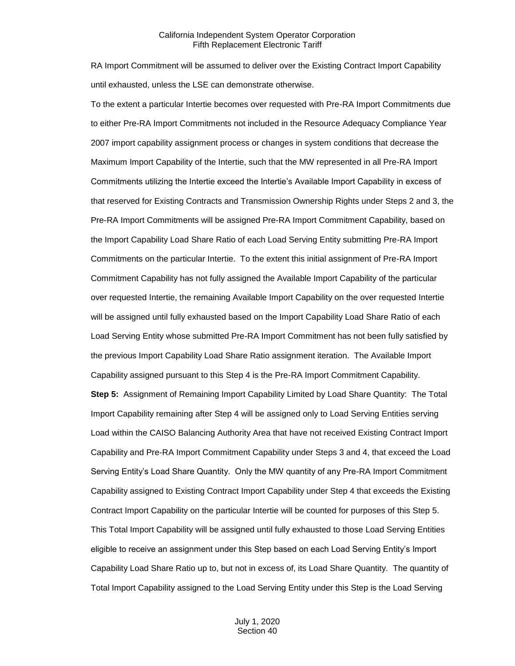RA Import Commitment will be assumed to deliver over the Existing Contract Import Capability until exhausted, unless the LSE can demonstrate otherwise.

To the extent a particular Intertie becomes over requested with Pre-RA Import Commitments due to either Pre-RA Import Commitments not included in the Resource Adequacy Compliance Year 2007 import capability assignment process or changes in system conditions that decrease the Maximum Import Capability of the Intertie, such that the MW represented in all Pre-RA Import Commitments utilizing the Intertie exceed the Intertie's Available Import Capability in excess of that reserved for Existing Contracts and Transmission Ownership Rights under Steps 2 and 3, the Pre-RA Import Commitments will be assigned Pre-RA Import Commitment Capability, based on the Import Capability Load Share Ratio of each Load Serving Entity submitting Pre-RA Import Commitments on the particular Intertie. To the extent this initial assignment of Pre-RA Import Commitment Capability has not fully assigned the Available Import Capability of the particular over requested Intertie, the remaining Available Import Capability on the over requested Intertie will be assigned until fully exhausted based on the Import Capability Load Share Ratio of each Load Serving Entity whose submitted Pre-RA Import Commitment has not been fully satisfied by the previous Import Capability Load Share Ratio assignment iteration. The Available Import Capability assigned pursuant to this Step 4 is the Pre-RA Import Commitment Capability.

**Step 5:** Assignment of Remaining Import Capability Limited by Load Share Quantity: The Total Import Capability remaining after Step 4 will be assigned only to Load Serving Entities serving Load within the CAISO Balancing Authority Area that have not received Existing Contract Import Capability and Pre-RA Import Commitment Capability under Steps 3 and 4, that exceed the Load Serving Entity's Load Share Quantity. Only the MW quantity of any Pre-RA Import Commitment Capability assigned to Existing Contract Import Capability under Step 4 that exceeds the Existing Contract Import Capability on the particular Intertie will be counted for purposes of this Step 5. This Total Import Capability will be assigned until fully exhausted to those Load Serving Entities eligible to receive an assignment under this Step based on each Load Serving Entity's Import Capability Load Share Ratio up to, but not in excess of, its Load Share Quantity. The quantity of Total Import Capability assigned to the Load Serving Entity under this Step is the Load Serving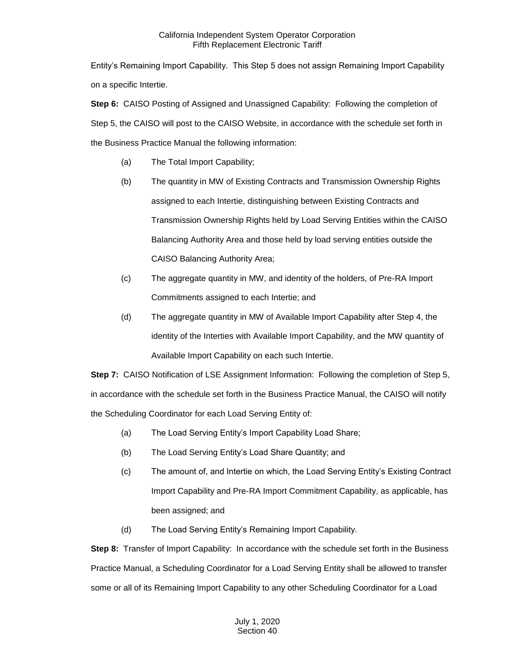Entity's Remaining Import Capability. This Step 5 does not assign Remaining Import Capability on a specific Intertie.

**Step 6:** CAISO Posting of Assigned and Unassigned Capability: Following the completion of Step 5, the CAISO will post to the CAISO Website, in accordance with the schedule set forth in the Business Practice Manual the following information:

- (a) The Total Import Capability;
- (b) The quantity in MW of Existing Contracts and Transmission Ownership Rights assigned to each Intertie, distinguishing between Existing Contracts and Transmission Ownership Rights held by Load Serving Entities within the CAISO Balancing Authority Area and those held by load serving entities outside the CAISO Balancing Authority Area;
- (c) The aggregate quantity in MW, and identity of the holders, of Pre-RA Import Commitments assigned to each Intertie; and
- (d) The aggregate quantity in MW of Available Import Capability after Step 4, the identity of the Interties with Available Import Capability, and the MW quantity of Available Import Capability on each such Intertie.

**Step 7:** CAISO Notification of LSE Assignment Information: Following the completion of Step 5, in accordance with the schedule set forth in the Business Practice Manual, the CAISO will notify the Scheduling Coordinator for each Load Serving Entity of:

- (a) The Load Serving Entity's Import Capability Load Share;
- (b) The Load Serving Entity's Load Share Quantity; and
- (c) The amount of, and Intertie on which, the Load Serving Entity's Existing Contract Import Capability and Pre-RA Import Commitment Capability, as applicable, has been assigned; and
- (d) The Load Serving Entity's Remaining Import Capability.

**Step 8:** Transfer of Import Capability: In accordance with the schedule set forth in the Business Practice Manual, a Scheduling Coordinator for a Load Serving Entity shall be allowed to transfer some or all of its Remaining Import Capability to any other Scheduling Coordinator for a Load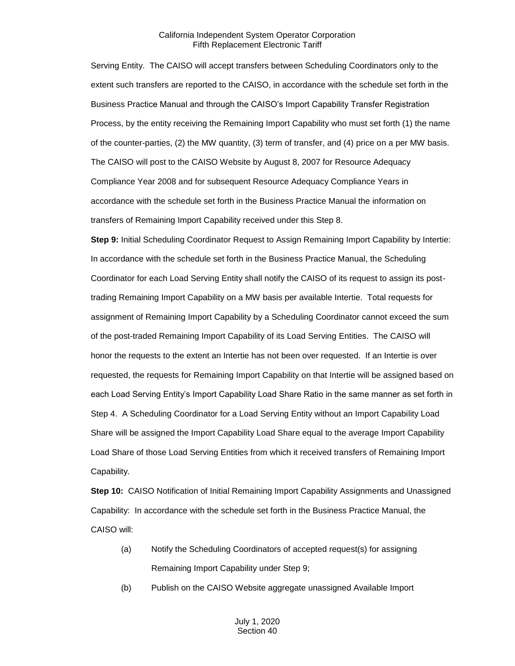Serving Entity. The CAISO will accept transfers between Scheduling Coordinators only to the extent such transfers are reported to the CAISO, in accordance with the schedule set forth in the Business Practice Manual and through the CAISO's Import Capability Transfer Registration Process, by the entity receiving the Remaining Import Capability who must set forth (1) the name of the counter-parties, (2) the MW quantity, (3) term of transfer, and (4) price on a per MW basis. The CAISO will post to the CAISO Website by August 8, 2007 for Resource Adequacy Compliance Year 2008 and for subsequent Resource Adequacy Compliance Years in accordance with the schedule set forth in the Business Practice Manual the information on transfers of Remaining Import Capability received under this Step 8.

**Step 9:** Initial Scheduling Coordinator Request to Assign Remaining Import Capability by Intertie: In accordance with the schedule set forth in the Business Practice Manual, the Scheduling Coordinator for each Load Serving Entity shall notify the CAISO of its request to assign its posttrading Remaining Import Capability on a MW basis per available Intertie. Total requests for assignment of Remaining Import Capability by a Scheduling Coordinator cannot exceed the sum of the post-traded Remaining Import Capability of its Load Serving Entities. The CAISO will honor the requests to the extent an Intertie has not been over requested. If an Intertie is over requested, the requests for Remaining Import Capability on that Intertie will be assigned based on each Load Serving Entity's Import Capability Load Share Ratio in the same manner as set forth in Step 4. A Scheduling Coordinator for a Load Serving Entity without an Import Capability Load Share will be assigned the Import Capability Load Share equal to the average Import Capability Load Share of those Load Serving Entities from which it received transfers of Remaining Import Capability.

**Step 10:** CAISO Notification of Initial Remaining Import Capability Assignments and Unassigned Capability: In accordance with the schedule set forth in the Business Practice Manual, the CAISO will:

- (a) Notify the Scheduling Coordinators of accepted request(s) for assigning Remaining Import Capability under Step 9;
- (b) Publish on the CAISO Website aggregate unassigned Available Import

#### July 1, 2020 Section 40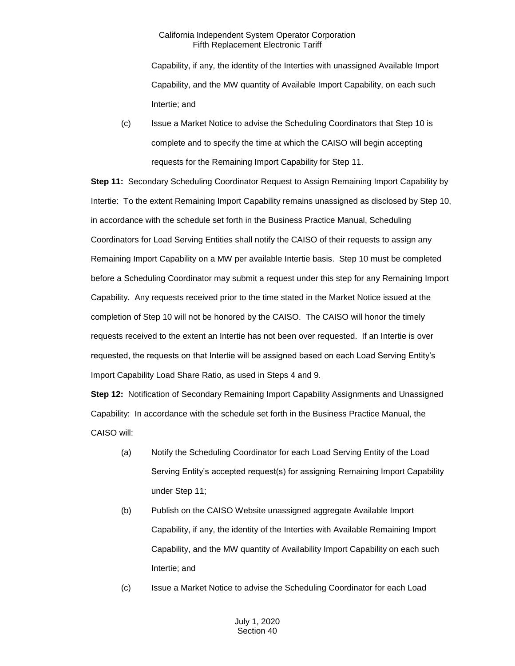Capability, if any, the identity of the Interties with unassigned Available Import Capability, and the MW quantity of Available Import Capability, on each such Intertie; and

(c) Issue a Market Notice to advise the Scheduling Coordinators that Step 10 is complete and to specify the time at which the CAISO will begin accepting requests for the Remaining Import Capability for Step 11.

**Step 11:** Secondary Scheduling Coordinator Request to Assign Remaining Import Capability by Intertie: To the extent Remaining Import Capability remains unassigned as disclosed by Step 10, in accordance with the schedule set forth in the Business Practice Manual, Scheduling Coordinators for Load Serving Entities shall notify the CAISO of their requests to assign any Remaining Import Capability on a MW per available Intertie basis. Step 10 must be completed before a Scheduling Coordinator may submit a request under this step for any Remaining Import Capability. Any requests received prior to the time stated in the Market Notice issued at the completion of Step 10 will not be honored by the CAISO. The CAISO will honor the timely requests received to the extent an Intertie has not been over requested. If an Intertie is over requested, the requests on that Intertie will be assigned based on each Load Serving Entity's Import Capability Load Share Ratio, as used in Steps 4 and 9.

**Step 12:** Notification of Secondary Remaining Import Capability Assignments and Unassigned Capability: In accordance with the schedule set forth in the Business Practice Manual, the CAISO will:

- (a) Notify the Scheduling Coordinator for each Load Serving Entity of the Load Serving Entity's accepted request(s) for assigning Remaining Import Capability under Step 11;
- (b) Publish on the CAISO Website unassigned aggregate Available Import Capability, if any, the identity of the Interties with Available Remaining Import Capability, and the MW quantity of Availability Import Capability on each such Intertie; and
- (c) Issue a Market Notice to advise the Scheduling Coordinator for each Load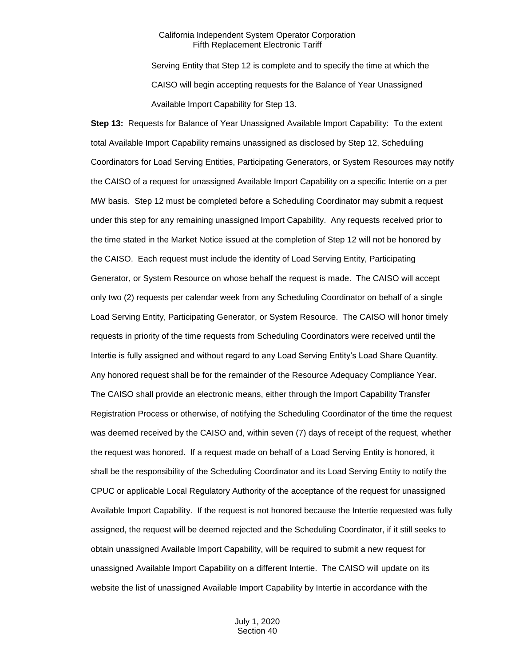Serving Entity that Step 12 is complete and to specify the time at which the CAISO will begin accepting requests for the Balance of Year Unassigned Available Import Capability for Step 13.

**Step 13:** Requests for Balance of Year Unassigned Available Import Capability: To the extent total Available Import Capability remains unassigned as disclosed by Step 12, Scheduling Coordinators for Load Serving Entities, Participating Generators, or System Resources may notify the CAISO of a request for unassigned Available Import Capability on a specific Intertie on a per MW basis. Step 12 must be completed before a Scheduling Coordinator may submit a request under this step for any remaining unassigned Import Capability. Any requests received prior to the time stated in the Market Notice issued at the completion of Step 12 will not be honored by the CAISO. Each request must include the identity of Load Serving Entity, Participating Generator, or System Resource on whose behalf the request is made. The CAISO will accept only two (2) requests per calendar week from any Scheduling Coordinator on behalf of a single Load Serving Entity, Participating Generator, or System Resource. The CAISO will honor timely requests in priority of the time requests from Scheduling Coordinators were received until the Intertie is fully assigned and without regard to any Load Serving Entity's Load Share Quantity. Any honored request shall be for the remainder of the Resource Adequacy Compliance Year. The CAISO shall provide an electronic means, either through the Import Capability Transfer Registration Process or otherwise, of notifying the Scheduling Coordinator of the time the request was deemed received by the CAISO and, within seven (7) days of receipt of the request, whether the request was honored. If a request made on behalf of a Load Serving Entity is honored, it shall be the responsibility of the Scheduling Coordinator and its Load Serving Entity to notify the CPUC or applicable Local Regulatory Authority of the acceptance of the request for unassigned Available Import Capability. If the request is not honored because the Intertie requested was fully assigned, the request will be deemed rejected and the Scheduling Coordinator, if it still seeks to obtain unassigned Available Import Capability, will be required to submit a new request for unassigned Available Import Capability on a different Intertie. The CAISO will update on its website the list of unassigned Available Import Capability by Intertie in accordance with the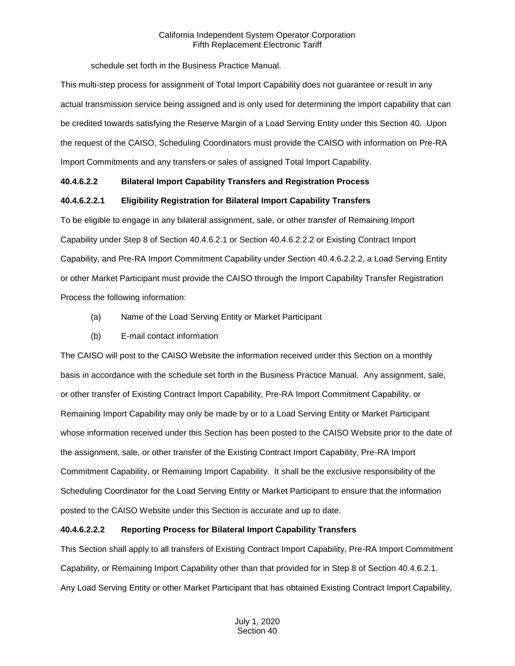schedule set forth in the Business Practice Manual.

This multi-step process for assignment of Total Import Capability does not guarantee or result in any actual transmission service being assigned and is only used for determining the import capability that can be credited towards satisfying the Reserve Margin of a Load Serving Entity under this Section 40. Upon the request of the CAISO, Scheduling Coordinators must provide the CAISO with information on Pre-RA Import Commitments and any transfers or sales of assigned Total Import Capability.

### **40.4.6.2.2 Bilateral Import Capability Transfers and Registration Process**

### **40.4.6.2.2.1 Eligibility Registration for Bilateral Import Capability Transfers**

To be eligible to engage in any bilateral assignment, sale, or other transfer of Remaining Import Capability under Step 8 of Section 40.4.6.2.1 or Section 40.4.6.2.2.2 or Existing Contract Import Capability, and Pre-RA Import Commitment Capability under Section 40.4.6.2.2.2, a Load Serving Entity or other Market Participant must provide the CAISO through the Import Capability Transfer Registration Process the following information:

- (a) Name of the Load Serving Entity or Market Participant
- (b) E-mail contact information

The CAISO will post to the CAISO Website the information received under this Section on a monthly basis in accordance with the schedule set forth in the Business Practice Manual. Any assignment, sale, or other transfer of Existing Contract Import Capability, Pre-RA Import Commitment Capability, or Remaining Import Capability may only be made by or to a Load Serving Entity or Market Participant whose information received under this Section has been posted to the CAISO Website prior to the date of the assignment, sale, or other transfer of the Existing Contract Import Capability, Pre-RA Import Commitment Capability, or Remaining Import Capability. It shall be the exclusive responsibility of the Scheduling Coordinator for the Load Serving Entity or Market Participant to ensure that the information posted to the CAISO Website under this Section is accurate and up to date.

## **40.4.6.2.2.2 Reporting Process for Bilateral Import Capability Transfers**

This Section shall apply to all transfers of Existing Contract Import Capability, Pre-RA Import Commitment Capability, or Remaining Import Capability other than that provided for in Step 8 of Section 40.4.6.2.1. Any Load Serving Entity or other Market Participant that has obtained Existing Contract Import Capability,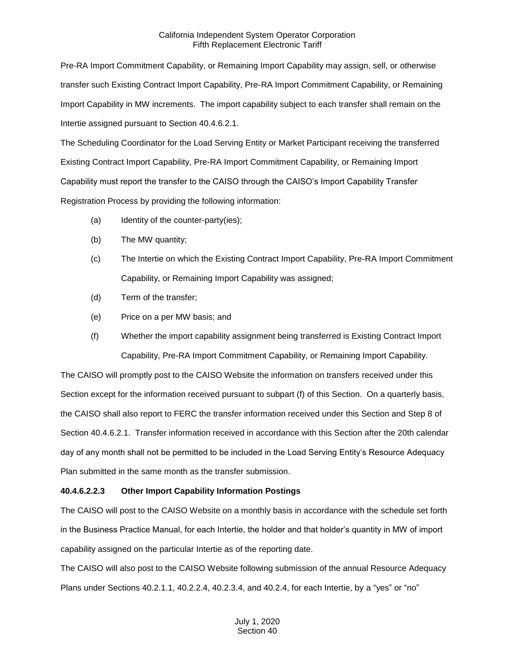Pre-RA Import Commitment Capability, or Remaining Import Capability may assign, sell, or otherwise transfer such Existing Contract Import Capability, Pre-RA Import Commitment Capability, or Remaining Import Capability in MW increments. The import capability subject to each transfer shall remain on the Intertie assigned pursuant to Section 40.4.6.2.1.

The Scheduling Coordinator for the Load Serving Entity or Market Participant receiving the transferred Existing Contract Import Capability, Pre-RA Import Commitment Capability, or Remaining Import Capability must report the transfer to the CAISO through the CAISO's Import Capability Transfer Registration Process by providing the following information:

- (a) Identity of the counter-party(ies);
- (b) The MW quantity;
- (c) The Intertie on which the Existing Contract Import Capability, Pre-RA Import Commitment Capability, or Remaining Import Capability was assigned;
- (d) Term of the transfer;
- (e) Price on a per MW basis; and
- (f) Whether the import capability assignment being transferred is Existing Contract Import Capability, Pre-RA Import Commitment Capability, or Remaining Import Capability.

The CAISO will promptly post to the CAISO Website the information on transfers received under this Section except for the information received pursuant to subpart (f) of this Section. On a quarterly basis, the CAISO shall also report to FERC the transfer information received under this Section and Step 8 of Section 40.4.6.2.1. Transfer information received in accordance with this Section after the 20th calendar day of any month shall not be permitted to be included in the Load Serving Entity's Resource Adequacy Plan submitted in the same month as the transfer submission.

#### **40.4.6.2.2.3 Other Import Capability Information Postings**

The CAISO will post to the CAISO Website on a monthly basis in accordance with the schedule set forth in the Business Practice Manual, for each Intertie, the holder and that holder's quantity in MW of import capability assigned on the particular Intertie as of the reporting date.

The CAISO will also post to the CAISO Website following submission of the annual Resource Adequacy Plans under Sections 40.2.1.1, 40.2.2.4, 40.2.3.4, and 40.2.4, for each Intertie, by a "yes" or "no"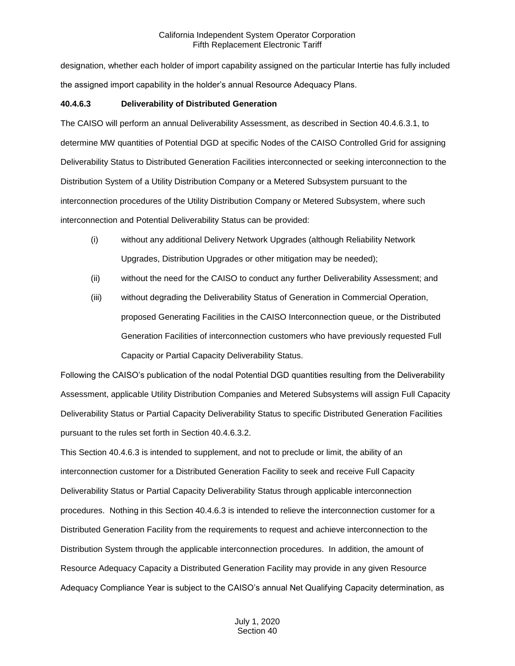designation, whether each holder of import capability assigned on the particular Intertie has fully included the assigned import capability in the holder's annual Resource Adequacy Plans.

#### **40.4.6.3 Deliverability of Distributed Generation**

The CAISO will perform an annual Deliverability Assessment, as described in Section 40.4.6.3.1, to determine MW quantities of Potential DGD at specific Nodes of the CAISO Controlled Grid for assigning Deliverability Status to Distributed Generation Facilities interconnected or seeking interconnection to the Distribution System of a Utility Distribution Company or a Metered Subsystem pursuant to the interconnection procedures of the Utility Distribution Company or Metered Subsystem, where such interconnection and Potential Deliverability Status can be provided:

- (i) without any additional Delivery Network Upgrades (although Reliability Network Upgrades, Distribution Upgrades or other mitigation may be needed);
- (ii) without the need for the CAISO to conduct any further Deliverability Assessment; and
- (iii) without degrading the Deliverability Status of Generation in Commercial Operation, proposed Generating Facilities in the CAISO Interconnection queue, or the Distributed Generation Facilities of interconnection customers who have previously requested Full Capacity or Partial Capacity Deliverability Status.

Following the CAISO's publication of the nodal Potential DGD quantities resulting from the Deliverability Assessment, applicable Utility Distribution Companies and Metered Subsystems will assign Full Capacity Deliverability Status or Partial Capacity Deliverability Status to specific Distributed Generation Facilities pursuant to the rules set forth in Section 40.4.6.3.2.

This Section 40.4.6.3 is intended to supplement, and not to preclude or limit, the ability of an interconnection customer for a Distributed Generation Facility to seek and receive Full Capacity Deliverability Status or Partial Capacity Deliverability Status through applicable interconnection procedures. Nothing in this Section 40.4.6.3 is intended to relieve the interconnection customer for a Distributed Generation Facility from the requirements to request and achieve interconnection to the Distribution System through the applicable interconnection procedures. In addition, the amount of Resource Adequacy Capacity a Distributed Generation Facility may provide in any given Resource Adequacy Compliance Year is subject to the CAISO's annual Net Qualifying Capacity determination, as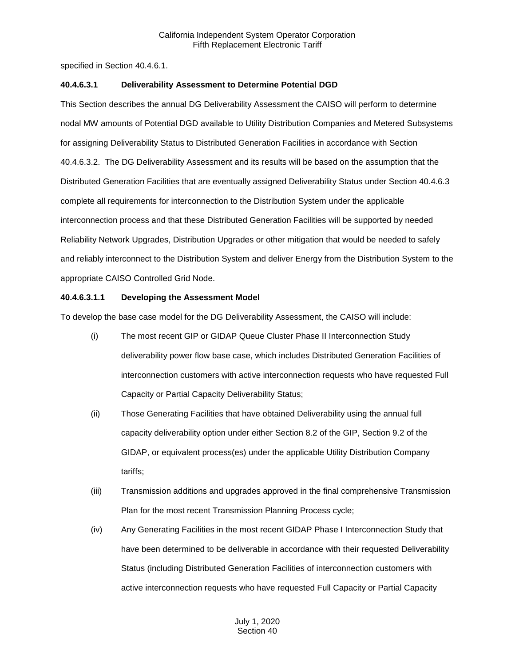specified in Section 40.4.6.1.

#### **40.4.6.3.1 Deliverability Assessment to Determine Potential DGD**

This Section describes the annual DG Deliverability Assessment the CAISO will perform to determine nodal MW amounts of Potential DGD available to Utility Distribution Companies and Metered Subsystems for assigning Deliverability Status to Distributed Generation Facilities in accordance with Section 40.4.6.3.2. The DG Deliverability Assessment and its results will be based on the assumption that the Distributed Generation Facilities that are eventually assigned Deliverability Status under Section 40.4.6.3 complete all requirements for interconnection to the Distribution System under the applicable interconnection process and that these Distributed Generation Facilities will be supported by needed Reliability Network Upgrades, Distribution Upgrades or other mitigation that would be needed to safely and reliably interconnect to the Distribution System and deliver Energy from the Distribution System to the appropriate CAISO Controlled Grid Node.

#### **40.4.6.3.1.1 Developing the Assessment Model**

To develop the base case model for the DG Deliverability Assessment, the CAISO will include:

- (i) The most recent GIP or GIDAP Queue Cluster Phase II Interconnection Study deliverability power flow base case, which includes Distributed Generation Facilities of interconnection customers with active interconnection requests who have requested Full Capacity or Partial Capacity Deliverability Status;
- (ii) Those Generating Facilities that have obtained Deliverability using the annual full capacity deliverability option under either Section 8.2 of the GIP, Section 9.2 of the GIDAP, or equivalent process(es) under the applicable Utility Distribution Company tariffs;
- (iii) Transmission additions and upgrades approved in the final comprehensive Transmission Plan for the most recent Transmission Planning Process cycle;
- (iv) Any Generating Facilities in the most recent GIDAP Phase I Interconnection Study that have been determined to be deliverable in accordance with their requested Deliverability Status (including Distributed Generation Facilities of interconnection customers with active interconnection requests who have requested Full Capacity or Partial Capacity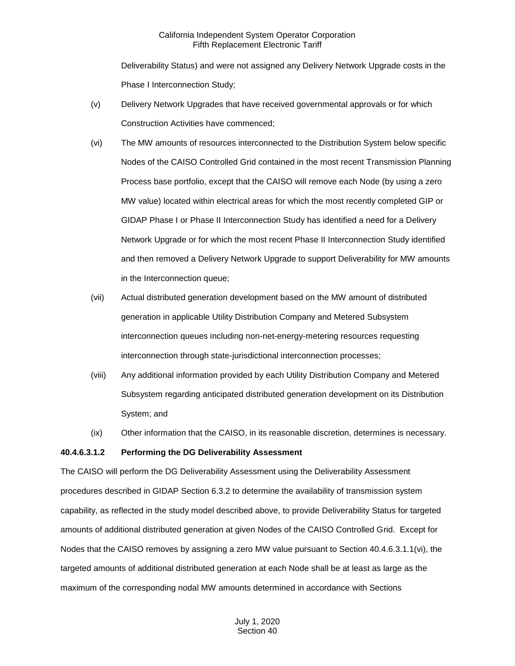Deliverability Status) and were not assigned any Delivery Network Upgrade costs in the Phase I Interconnection Study;

- (v) Delivery Network Upgrades that have received governmental approvals or for which Construction Activities have commenced;
- (vi) The MW amounts of resources interconnected to the Distribution System below specific Nodes of the CAISO Controlled Grid contained in the most recent Transmission Planning Process base portfolio, except that the CAISO will remove each Node (by using a zero MW value) located within electrical areas for which the most recently completed GIP or GIDAP Phase I or Phase II Interconnection Study has identified a need for a Delivery Network Upgrade or for which the most recent Phase II Interconnection Study identified and then removed a Delivery Network Upgrade to support Deliverability for MW amounts in the Interconnection queue;
- (vii) Actual distributed generation development based on the MW amount of distributed generation in applicable Utility Distribution Company and Metered Subsystem interconnection queues including non-net-energy-metering resources requesting interconnection through state-jurisdictional interconnection processes;
- (viii) Any additional information provided by each Utility Distribution Company and Metered Subsystem regarding anticipated distributed generation development on its Distribution System; and
- (ix) Other information that the CAISO, in its reasonable discretion, determines is necessary.

#### **40.4.6.3.1.2 Performing the DG Deliverability Assessment**

The CAISO will perform the DG Deliverability Assessment using the Deliverability Assessment procedures described in GIDAP Section 6.3.2 to determine the availability of transmission system capability, as reflected in the study model described above, to provide Deliverability Status for targeted amounts of additional distributed generation at given Nodes of the CAISO Controlled Grid. Except for Nodes that the CAISO removes by assigning a zero MW value pursuant to Section 40.4.6.3.1.1(vi), the targeted amounts of additional distributed generation at each Node shall be at least as large as the maximum of the corresponding nodal MW amounts determined in accordance with Sections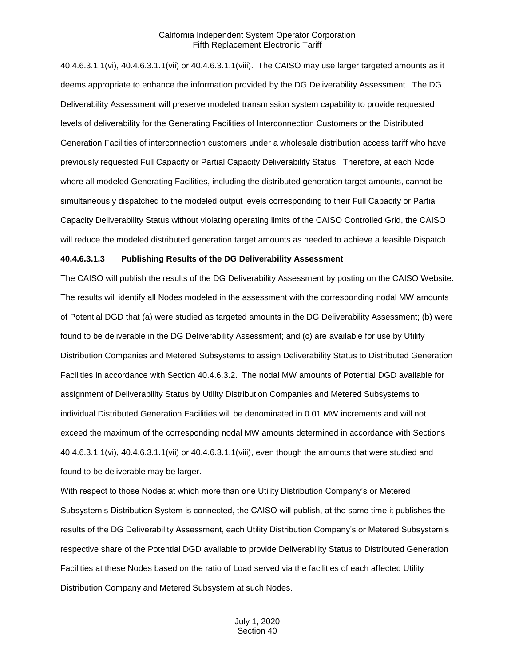40.4.6.3.1.1(vi), 40.4.6.3.1.1(vii) or 40.4.6.3.1.1(viii). The CAISO may use larger targeted amounts as it deems appropriate to enhance the information provided by the DG Deliverability Assessment. The DG Deliverability Assessment will preserve modeled transmission system capability to provide requested levels of deliverability for the Generating Facilities of Interconnection Customers or the Distributed Generation Facilities of interconnection customers under a wholesale distribution access tariff who have previously requested Full Capacity or Partial Capacity Deliverability Status. Therefore, at each Node where all modeled Generating Facilities, including the distributed generation target amounts, cannot be simultaneously dispatched to the modeled output levels corresponding to their Full Capacity or Partial Capacity Deliverability Status without violating operating limits of the CAISO Controlled Grid, the CAISO will reduce the modeled distributed generation target amounts as needed to achieve a feasible Dispatch.

#### **40.4.6.3.1.3 Publishing Results of the DG Deliverability Assessment**

The CAISO will publish the results of the DG Deliverability Assessment by posting on the CAISO Website. The results will identify all Nodes modeled in the assessment with the corresponding nodal MW amounts of Potential DGD that (a) were studied as targeted amounts in the DG Deliverability Assessment; (b) were found to be deliverable in the DG Deliverability Assessment; and (c) are available for use by Utility Distribution Companies and Metered Subsystems to assign Deliverability Status to Distributed Generation Facilities in accordance with Section 40.4.6.3.2. The nodal MW amounts of Potential DGD available for assignment of Deliverability Status by Utility Distribution Companies and Metered Subsystems to individual Distributed Generation Facilities will be denominated in 0.01 MW increments and will not exceed the maximum of the corresponding nodal MW amounts determined in accordance with Sections 40.4.6.3.1.1(vi), 40.4.6.3.1.1(vii) or 40.4.6.3.1.1(viii), even though the amounts that were studied and found to be deliverable may be larger.

With respect to those Nodes at which more than one Utility Distribution Company's or Metered Subsystem's Distribution System is connected, the CAISO will publish, at the same time it publishes the results of the DG Deliverability Assessment, each Utility Distribution Company's or Metered Subsystem's respective share of the Potential DGD available to provide Deliverability Status to Distributed Generation Facilities at these Nodes based on the ratio of Load served via the facilities of each affected Utility Distribution Company and Metered Subsystem at such Nodes.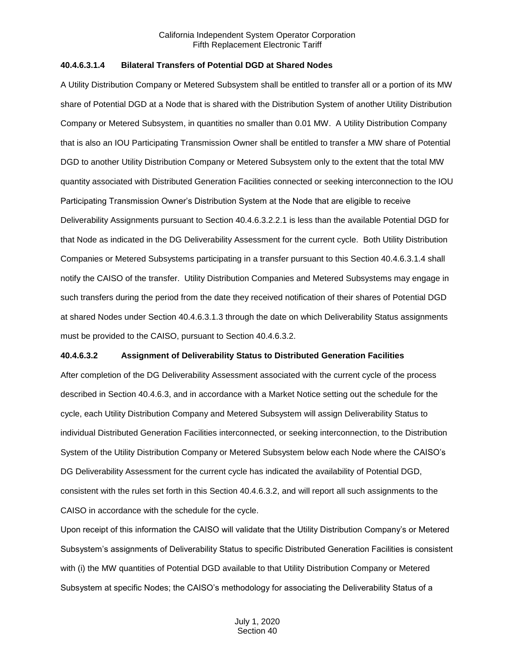#### **40.4.6.3.1.4 Bilateral Transfers of Potential DGD at Shared Nodes**

A Utility Distribution Company or Metered Subsystem shall be entitled to transfer all or a portion of its MW share of Potential DGD at a Node that is shared with the Distribution System of another Utility Distribution Company or Metered Subsystem, in quantities no smaller than 0.01 MW. A Utility Distribution Company that is also an IOU Participating Transmission Owner shall be entitled to transfer a MW share of Potential DGD to another Utility Distribution Company or Metered Subsystem only to the extent that the total MW quantity associated with Distributed Generation Facilities connected or seeking interconnection to the IOU Participating Transmission Owner's Distribution System at the Node that are eligible to receive Deliverability Assignments pursuant to Section 40.4.6.3.2.2.1 is less than the available Potential DGD for that Node as indicated in the DG Deliverability Assessment for the current cycle. Both Utility Distribution Companies or Metered Subsystems participating in a transfer pursuant to this Section 40.4.6.3.1.4 shall notify the CAISO of the transfer. Utility Distribution Companies and Metered Subsystems may engage in such transfers during the period from the date they received notification of their shares of Potential DGD at shared Nodes under Section 40.4.6.3.1.3 through the date on which Deliverability Status assignments must be provided to the CAISO, pursuant to Section 40.4.6.3.2.

#### **40.4.6.3.2 Assignment of Deliverability Status to Distributed Generation Facilities**

After completion of the DG Deliverability Assessment associated with the current cycle of the process described in Section 40.4.6.3, and in accordance with a Market Notice setting out the schedule for the cycle, each Utility Distribution Company and Metered Subsystem will assign Deliverability Status to individual Distributed Generation Facilities interconnected, or seeking interconnection, to the Distribution System of the Utility Distribution Company or Metered Subsystem below each Node where the CAISO's DG Deliverability Assessment for the current cycle has indicated the availability of Potential DGD, consistent with the rules set forth in this Section 40.4.6.3.2, and will report all such assignments to the CAISO in accordance with the schedule for the cycle.

Upon receipt of this information the CAISO will validate that the Utility Distribution Company's or Metered Subsystem's assignments of Deliverability Status to specific Distributed Generation Facilities is consistent with (i) the MW quantities of Potential DGD available to that Utility Distribution Company or Metered Subsystem at specific Nodes; the CAISO's methodology for associating the Deliverability Status of a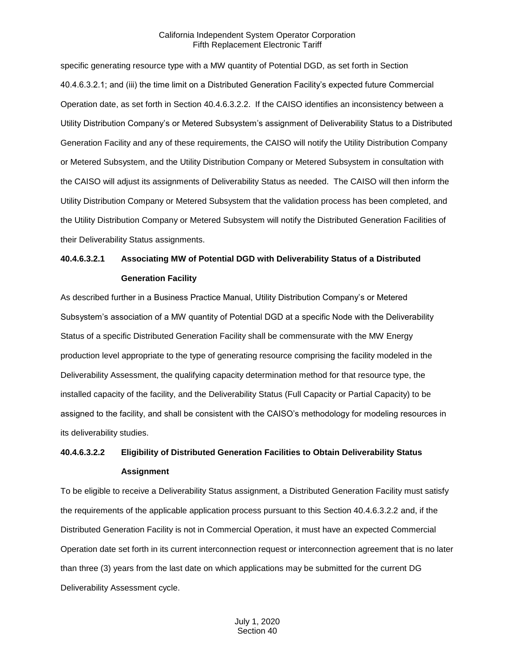specific generating resource type with a MW quantity of Potential DGD, as set forth in Section 40.4.6.3.2.1; and (iii) the time limit on a Distributed Generation Facility's expected future Commercial Operation date, as set forth in Section 40.4.6.3.2.2. If the CAISO identifies an inconsistency between a Utility Distribution Company's or Metered Subsystem's assignment of Deliverability Status to a Distributed Generation Facility and any of these requirements, the CAISO will notify the Utility Distribution Company or Metered Subsystem, and the Utility Distribution Company or Metered Subsystem in consultation with the CAISO will adjust its assignments of Deliverability Status as needed. The CAISO will then inform the Utility Distribution Company or Metered Subsystem that the validation process has been completed, and the Utility Distribution Company or Metered Subsystem will notify the Distributed Generation Facilities of their Deliverability Status assignments.

# **40.4.6.3.2.1 Associating MW of Potential DGD with Deliverability Status of a Distributed Generation Facility**

As described further in a Business Practice Manual, Utility Distribution Company's or Metered Subsystem's association of a MW quantity of Potential DGD at a specific Node with the Deliverability Status of a specific Distributed Generation Facility shall be commensurate with the MW Energy production level appropriate to the type of generating resource comprising the facility modeled in the Deliverability Assessment, the qualifying capacity determination method for that resource type, the installed capacity of the facility, and the Deliverability Status (Full Capacity or Partial Capacity) to be assigned to the facility, and shall be consistent with the CAISO's methodology for modeling resources in its deliverability studies.

# **40.4.6.3.2.2 Eligibility of Distributed Generation Facilities to Obtain Deliverability Status Assignment**

To be eligible to receive a Deliverability Status assignment, a Distributed Generation Facility must satisfy the requirements of the applicable application process pursuant to this Section 40.4.6.3.2.2 and, if the Distributed Generation Facility is not in Commercial Operation, it must have an expected Commercial Operation date set forth in its current interconnection request or interconnection agreement that is no later than three (3) years from the last date on which applications may be submitted for the current DG Deliverability Assessment cycle.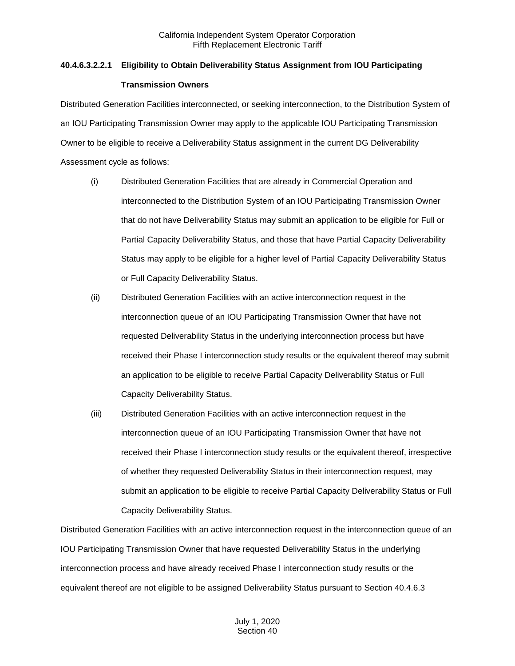# **40.4.6.3.2.2.1 Eligibility to Obtain Deliverability Status Assignment from IOU Participating Transmission Owners**

Distributed Generation Facilities interconnected, or seeking interconnection, to the Distribution System of an IOU Participating Transmission Owner may apply to the applicable IOU Participating Transmission Owner to be eligible to receive a Deliverability Status assignment in the current DG Deliverability Assessment cycle as follows:

- (i) Distributed Generation Facilities that are already in Commercial Operation and interconnected to the Distribution System of an IOU Participating Transmission Owner that do not have Deliverability Status may submit an application to be eligible for Full or Partial Capacity Deliverability Status, and those that have Partial Capacity Deliverability Status may apply to be eligible for a higher level of Partial Capacity Deliverability Status or Full Capacity Deliverability Status.
- (ii) Distributed Generation Facilities with an active interconnection request in the interconnection queue of an IOU Participating Transmission Owner that have not requested Deliverability Status in the underlying interconnection process but have received their Phase I interconnection study results or the equivalent thereof may submit an application to be eligible to receive Partial Capacity Deliverability Status or Full Capacity Deliverability Status.
- (iii) Distributed Generation Facilities with an active interconnection request in the interconnection queue of an IOU Participating Transmission Owner that have not received their Phase I interconnection study results or the equivalent thereof, irrespective of whether they requested Deliverability Status in their interconnection request, may submit an application to be eligible to receive Partial Capacity Deliverability Status or Full Capacity Deliverability Status.

Distributed Generation Facilities with an active interconnection request in the interconnection queue of an IOU Participating Transmission Owner that have requested Deliverability Status in the underlying interconnection process and have already received Phase I interconnection study results or the equivalent thereof are not eligible to be assigned Deliverability Status pursuant to Section 40.4.6.3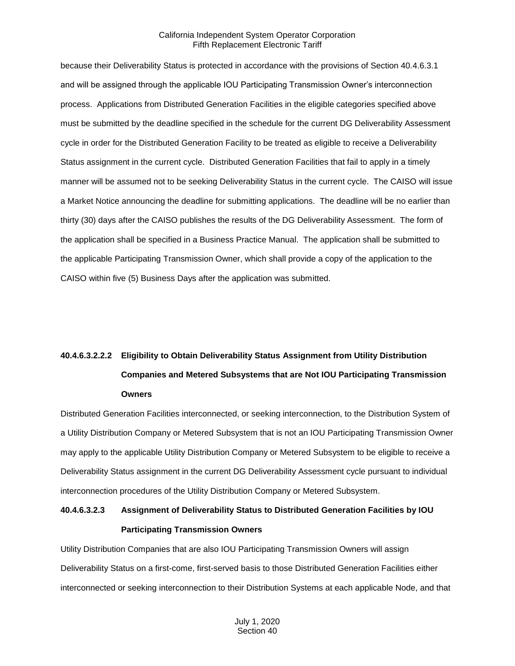because their Deliverability Status is protected in accordance with the provisions of Section 40.4.6.3.1 and will be assigned through the applicable IOU Participating Transmission Owner's interconnection process. Applications from Distributed Generation Facilities in the eligible categories specified above must be submitted by the deadline specified in the schedule for the current DG Deliverability Assessment cycle in order for the Distributed Generation Facility to be treated as eligible to receive a Deliverability Status assignment in the current cycle. Distributed Generation Facilities that fail to apply in a timely manner will be assumed not to be seeking Deliverability Status in the current cycle. The CAISO will issue a Market Notice announcing the deadline for submitting applications. The deadline will be no earlier than thirty (30) days after the CAISO publishes the results of the DG Deliverability Assessment. The form of the application shall be specified in a Business Practice Manual. The application shall be submitted to the applicable Participating Transmission Owner, which shall provide a copy of the application to the CAISO within five (5) Business Days after the application was submitted.

# **40.4.6.3.2.2.2 Eligibility to Obtain Deliverability Status Assignment from Utility Distribution Companies and Metered Subsystems that are Not IOU Participating Transmission Owners**

Distributed Generation Facilities interconnected, or seeking interconnection, to the Distribution System of a Utility Distribution Company or Metered Subsystem that is not an IOU Participating Transmission Owner may apply to the applicable Utility Distribution Company or Metered Subsystem to be eligible to receive a Deliverability Status assignment in the current DG Deliverability Assessment cycle pursuant to individual interconnection procedures of the Utility Distribution Company or Metered Subsystem.

# **40.4.6.3.2.3 Assignment of Deliverability Status to Distributed Generation Facilities by IOU Participating Transmission Owners**

Utility Distribution Companies that are also IOU Participating Transmission Owners will assign Deliverability Status on a first-come, first-served basis to those Distributed Generation Facilities either interconnected or seeking interconnection to their Distribution Systems at each applicable Node, and that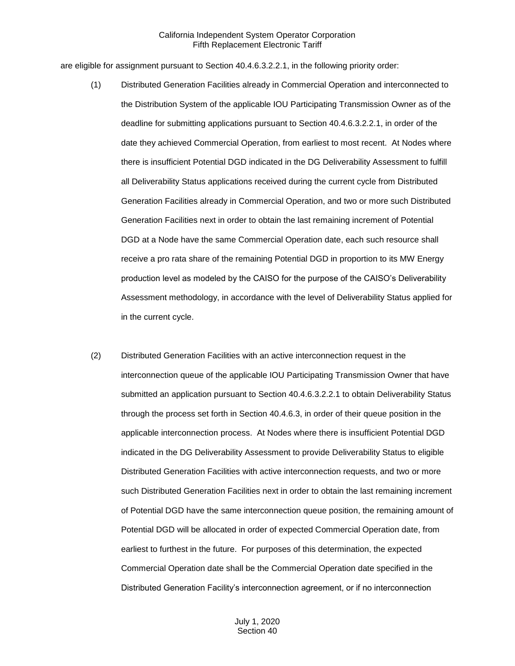are eligible for assignment pursuant to Section 40.4.6.3.2.2.1, in the following priority order:

- (1) Distributed Generation Facilities already in Commercial Operation and interconnected to the Distribution System of the applicable IOU Participating Transmission Owner as of the deadline for submitting applications pursuant to Section 40.4.6.3.2.2.1, in order of the date they achieved Commercial Operation, from earliest to most recent. At Nodes where there is insufficient Potential DGD indicated in the DG Deliverability Assessment to fulfill all Deliverability Status applications received during the current cycle from Distributed Generation Facilities already in Commercial Operation, and two or more such Distributed Generation Facilities next in order to obtain the last remaining increment of Potential DGD at a Node have the same Commercial Operation date, each such resource shall receive a pro rata share of the remaining Potential DGD in proportion to its MW Energy production level as modeled by the CAISO for the purpose of the CAISO's Deliverability Assessment methodology, in accordance with the level of Deliverability Status applied for in the current cycle.
- (2) Distributed Generation Facilities with an active interconnection request in the interconnection queue of the applicable IOU Participating Transmission Owner that have submitted an application pursuant to Section 40.4.6.3.2.2.1 to obtain Deliverability Status through the process set forth in Section 40.4.6.3, in order of their queue position in the applicable interconnection process. At Nodes where there is insufficient Potential DGD indicated in the DG Deliverability Assessment to provide Deliverability Status to eligible Distributed Generation Facilities with active interconnection requests, and two or more such Distributed Generation Facilities next in order to obtain the last remaining increment of Potential DGD have the same interconnection queue position, the remaining amount of Potential DGD will be allocated in order of expected Commercial Operation date, from earliest to furthest in the future. For purposes of this determination, the expected Commercial Operation date shall be the Commercial Operation date specified in the Distributed Generation Facility's interconnection agreement, or if no interconnection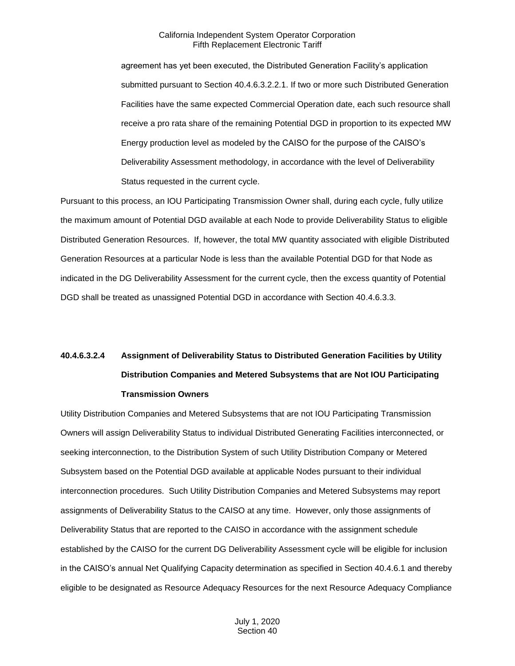agreement has yet been executed, the Distributed Generation Facility's application submitted pursuant to Section 40.4.6.3.2.2.1. If two or more such Distributed Generation Facilities have the same expected Commercial Operation date, each such resource shall receive a pro rata share of the remaining Potential DGD in proportion to its expected MW Energy production level as modeled by the CAISO for the purpose of the CAISO's Deliverability Assessment methodology, in accordance with the level of Deliverability Status requested in the current cycle.

Pursuant to this process, an IOU Participating Transmission Owner shall, during each cycle, fully utilize the maximum amount of Potential DGD available at each Node to provide Deliverability Status to eligible Distributed Generation Resources. If, however, the total MW quantity associated with eligible Distributed Generation Resources at a particular Node is less than the available Potential DGD for that Node as indicated in the DG Deliverability Assessment for the current cycle, then the excess quantity of Potential DGD shall be treated as unassigned Potential DGD in accordance with Section 40.4.6.3.3.

# **40.4.6.3.2.4 Assignment of Deliverability Status to Distributed Generation Facilities by Utility Distribution Companies and Metered Subsystems that are Not IOU Participating Transmission Owners**

Utility Distribution Companies and Metered Subsystems that are not IOU Participating Transmission Owners will assign Deliverability Status to individual Distributed Generating Facilities interconnected, or seeking interconnection, to the Distribution System of such Utility Distribution Company or Metered Subsystem based on the Potential DGD available at applicable Nodes pursuant to their individual interconnection procedures. Such Utility Distribution Companies and Metered Subsystems may report assignments of Deliverability Status to the CAISO at any time. However, only those assignments of Deliverability Status that are reported to the CAISO in accordance with the assignment schedule established by the CAISO for the current DG Deliverability Assessment cycle will be eligible for inclusion in the CAISO's annual Net Qualifying Capacity determination as specified in Section 40.4.6.1 and thereby eligible to be designated as Resource Adequacy Resources for the next Resource Adequacy Compliance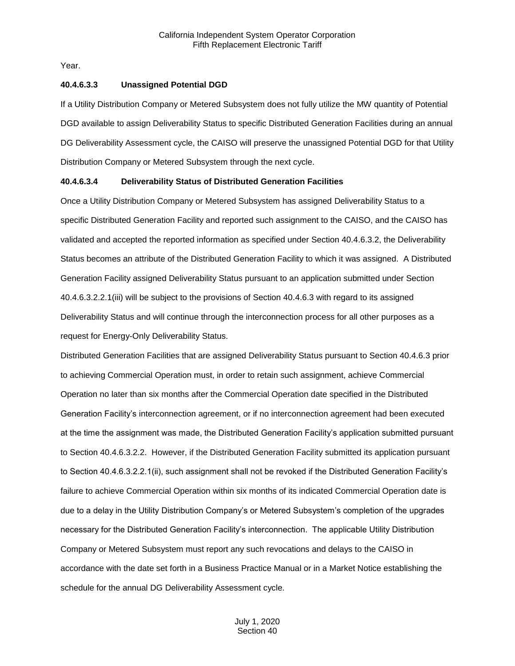Year.

#### **40.4.6.3.3 Unassigned Potential DGD**

If a Utility Distribution Company or Metered Subsystem does not fully utilize the MW quantity of Potential DGD available to assign Deliverability Status to specific Distributed Generation Facilities during an annual DG Deliverability Assessment cycle, the CAISO will preserve the unassigned Potential DGD for that Utility Distribution Company or Metered Subsystem through the next cycle.

#### **40.4.6.3.4 Deliverability Status of Distributed Generation Facilities**

Once a Utility Distribution Company or Metered Subsystem has assigned Deliverability Status to a specific Distributed Generation Facility and reported such assignment to the CAISO, and the CAISO has validated and accepted the reported information as specified under Section 40.4.6.3.2, the Deliverability Status becomes an attribute of the Distributed Generation Facility to which it was assigned. A Distributed Generation Facility assigned Deliverability Status pursuant to an application submitted under Section 40.4.6.3.2.2.1(iii) will be subject to the provisions of Section 40.4.6.3 with regard to its assigned Deliverability Status and will continue through the interconnection process for all other purposes as a request for Energy-Only Deliverability Status.

Distributed Generation Facilities that are assigned Deliverability Status pursuant to Section 40.4.6.3 prior to achieving Commercial Operation must, in order to retain such assignment, achieve Commercial Operation no later than six months after the Commercial Operation date specified in the Distributed Generation Facility's interconnection agreement, or if no interconnection agreement had been executed at the time the assignment was made, the Distributed Generation Facility's application submitted pursuant to Section 40.4.6.3.2.2. However, if the Distributed Generation Facility submitted its application pursuant to Section 40.4.6.3.2.2.1(ii), such assignment shall not be revoked if the Distributed Generation Facility's failure to achieve Commercial Operation within six months of its indicated Commercial Operation date is due to a delay in the Utility Distribution Company's or Metered Subsystem's completion of the upgrades necessary for the Distributed Generation Facility's interconnection. The applicable Utility Distribution Company or Metered Subsystem must report any such revocations and delays to the CAISO in accordance with the date set forth in a Business Practice Manual or in a Market Notice establishing the schedule for the annual DG Deliverability Assessment cycle.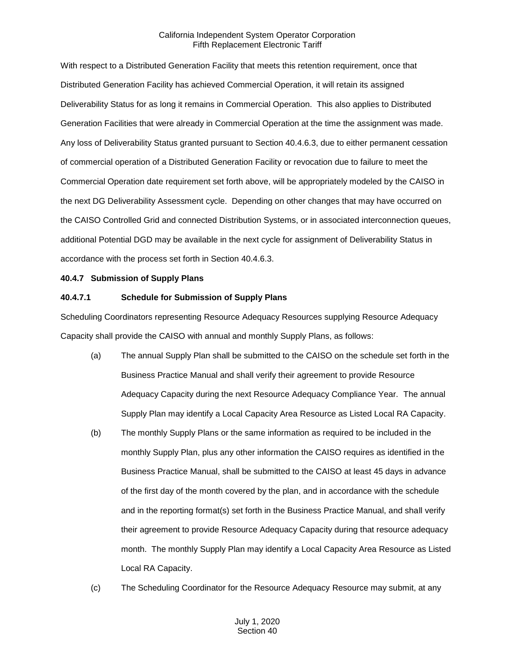With respect to a Distributed Generation Facility that meets this retention requirement, once that Distributed Generation Facility has achieved Commercial Operation, it will retain its assigned Deliverability Status for as long it remains in Commercial Operation. This also applies to Distributed Generation Facilities that were already in Commercial Operation at the time the assignment was made. Any loss of Deliverability Status granted pursuant to Section 40.4.6.3, due to either permanent cessation of commercial operation of a Distributed Generation Facility or revocation due to failure to meet the Commercial Operation date requirement set forth above, will be appropriately modeled by the CAISO in the next DG Deliverability Assessment cycle. Depending on other changes that may have occurred on the CAISO Controlled Grid and connected Distribution Systems, or in associated interconnection queues, additional Potential DGD may be available in the next cycle for assignment of Deliverability Status in accordance with the process set forth in Section 40.4.6.3.

#### <span id="page-32-0"></span>**40.4.7 Submission of Supply Plans**

#### **40.4.7.1 Schedule for Submission of Supply Plans**

Scheduling Coordinators representing Resource Adequacy Resources supplying Resource Adequacy Capacity shall provide the CAISO with annual and monthly Supply Plans, as follows:

- (a) The annual Supply Plan shall be submitted to the CAISO on the schedule set forth in the Business Practice Manual and shall verify their agreement to provide Resource Adequacy Capacity during the next Resource Adequacy Compliance Year. The annual Supply Plan may identify a Local Capacity Area Resource as Listed Local RA Capacity.
- (b) The monthly Supply Plans or the same information as required to be included in the monthly Supply Plan, plus any other information the CAISO requires as identified in the Business Practice Manual, shall be submitted to the CAISO at least 45 days in advance of the first day of the month covered by the plan, and in accordance with the schedule and in the reporting format(s) set forth in the Business Practice Manual, and shall verify their agreement to provide Resource Adequacy Capacity during that resource adequacy month. The monthly Supply Plan may identify a Local Capacity Area Resource as Listed Local RA Capacity.
- (c) The Scheduling Coordinator for the Resource Adequacy Resource may submit, at any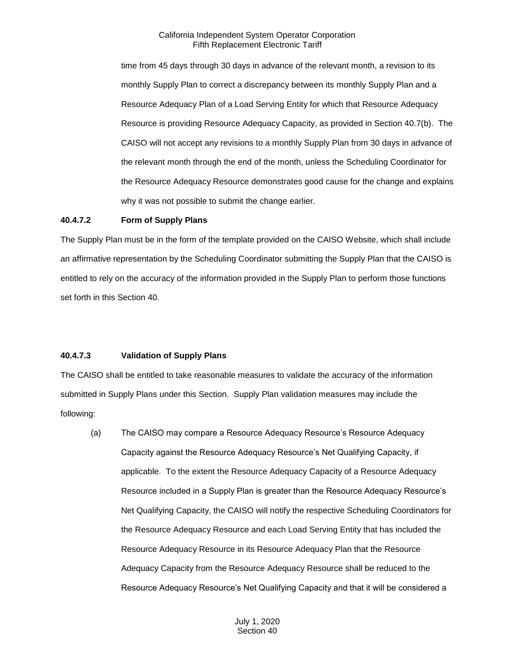time from 45 days through 30 days in advance of the relevant month, a revision to its monthly Supply Plan to correct a discrepancy between its monthly Supply Plan and a Resource Adequacy Plan of a Load Serving Entity for which that Resource Adequacy Resource is providing Resource Adequacy Capacity, as provided in Section 40.7(b). The CAISO will not accept any revisions to a monthly Supply Plan from 30 days in advance of the relevant month through the end of the month, unless the Scheduling Coordinator for the Resource Adequacy Resource demonstrates good cause for the change and explains why it was not possible to submit the change earlier.

#### **40.4.7.2 Form of Supply Plans**

The Supply Plan must be in the form of the template provided on the CAISO Website, which shall include an affirmative representation by the Scheduling Coordinator submitting the Supply Plan that the CAISO is entitled to rely on the accuracy of the information provided in the Supply Plan to perform those functions set forth in this Section 40.

#### **40.4.7.3 Validation of Supply Plans**

The CAISO shall be entitled to take reasonable measures to validate the accuracy of the information submitted in Supply Plans under this Section. Supply Plan validation measures may include the following:

(a) The CAISO may compare a Resource Adequacy Resource's Resource Adequacy Capacity against the Resource Adequacy Resource's Net Qualifying Capacity, if applicable. To the extent the Resource Adequacy Capacity of a Resource Adequacy Resource included in a Supply Plan is greater than the Resource Adequacy Resource's Net Qualifying Capacity, the CAISO will notify the respective Scheduling Coordinators for the Resource Adequacy Resource and each Load Serving Entity that has included the Resource Adequacy Resource in its Resource Adequacy Plan that the Resource Adequacy Capacity from the Resource Adequacy Resource shall be reduced to the Resource Adequacy Resource's Net Qualifying Capacity and that it will be considered a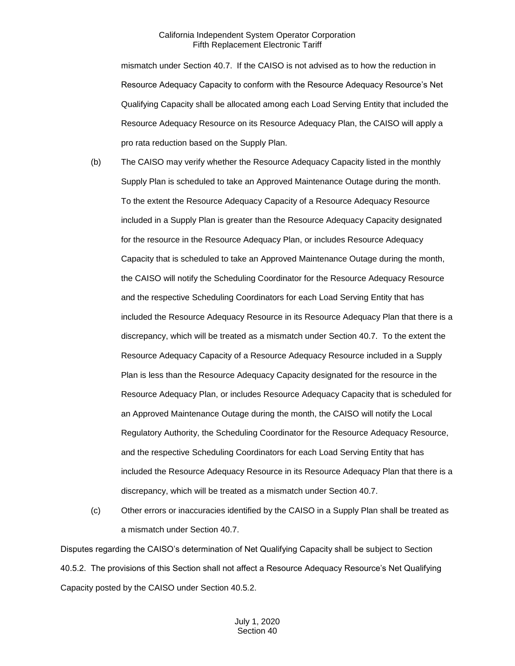mismatch under Section 40.7. If the CAISO is not advised as to how the reduction in Resource Adequacy Capacity to conform with the Resource Adequacy Resource's Net Qualifying Capacity shall be allocated among each Load Serving Entity that included the Resource Adequacy Resource on its Resource Adequacy Plan, the CAISO will apply a pro rata reduction based on the Supply Plan.

- (b) The CAISO may verify whether the Resource Adequacy Capacity listed in the monthly Supply Plan is scheduled to take an Approved Maintenance Outage during the month. To the extent the Resource Adequacy Capacity of a Resource Adequacy Resource included in a Supply Plan is greater than the Resource Adequacy Capacity designated for the resource in the Resource Adequacy Plan, or includes Resource Adequacy Capacity that is scheduled to take an Approved Maintenance Outage during the month, the CAISO will notify the Scheduling Coordinator for the Resource Adequacy Resource and the respective Scheduling Coordinators for each Load Serving Entity that has included the Resource Adequacy Resource in its Resource Adequacy Plan that there is a discrepancy, which will be treated as a mismatch under Section 40.7. To the extent the Resource Adequacy Capacity of a Resource Adequacy Resource included in a Supply Plan is less than the Resource Adequacy Capacity designated for the resource in the Resource Adequacy Plan, or includes Resource Adequacy Capacity that is scheduled for an Approved Maintenance Outage during the month, the CAISO will notify the Local Regulatory Authority, the Scheduling Coordinator for the Resource Adequacy Resource, and the respective Scheduling Coordinators for each Load Serving Entity that has included the Resource Adequacy Resource in its Resource Adequacy Plan that there is a discrepancy, which will be treated as a mismatch under Section 40.7.
- (c) Other errors or inaccuracies identified by the CAISO in a Supply Plan shall be treated as a mismatch under Section 40.7.

Disputes regarding the CAISO's determination of Net Qualifying Capacity shall be subject to Section 40.5.2. The provisions of this Section shall not affect a Resource Adequacy Resource's Net Qualifying Capacity posted by the CAISO under Section 40.5.2.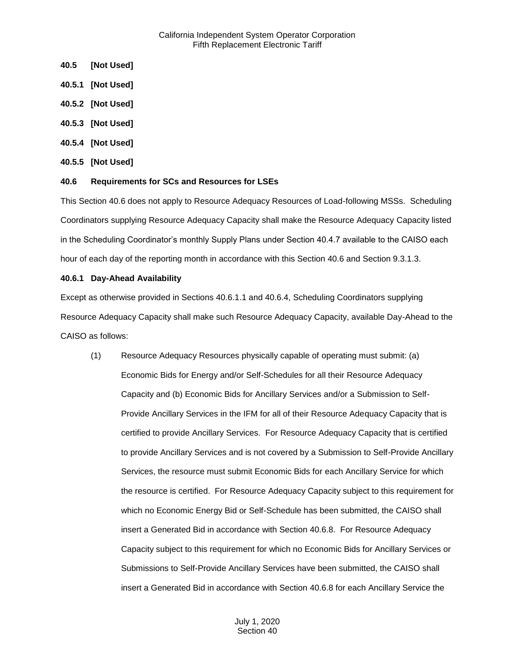- <span id="page-35-0"></span>**40.5 [Not Used]**
- <span id="page-35-1"></span>**40.5.1 [Not Used]**
- <span id="page-35-2"></span>**40.5.2 [Not Used]**
- <span id="page-35-3"></span>**40.5.3 [Not Used]**
- <span id="page-35-4"></span>**40.5.4 [Not Used]**
- <span id="page-35-5"></span>**40.5.5 [Not Used]**

#### <span id="page-35-6"></span>**40.6 Requirements for SCs and Resources for LSEs**

This Section 40.6 does not apply to Resource Adequacy Resources of Load-following MSSs. Scheduling Coordinators supplying Resource Adequacy Capacity shall make the Resource Adequacy Capacity listed in the Scheduling Coordinator's monthly Supply Plans under Section 40.4.7 available to the CAISO each hour of each day of the reporting month in accordance with this Section 40.6 and Section 9.3.1.3.

#### <span id="page-35-7"></span>**40.6.1 Day-Ahead Availability**

Except as otherwise provided in Sections 40.6.1.1 and 40.6.4, Scheduling Coordinators supplying Resource Adequacy Capacity shall make such Resource Adequacy Capacity, available Day-Ahead to the CAISO as follows:

(1) Resource Adequacy Resources physically capable of operating must submit: (a) Economic Bids for Energy and/or Self-Schedules for all their Resource Adequacy Capacity and (b) Economic Bids for Ancillary Services and/or a Submission to Self-Provide Ancillary Services in the IFM for all of their Resource Adequacy Capacity that is certified to provide Ancillary Services. For Resource Adequacy Capacity that is certified to provide Ancillary Services and is not covered by a Submission to Self-Provide Ancillary Services, the resource must submit Economic Bids for each Ancillary Service for which the resource is certified. For Resource Adequacy Capacity subject to this requirement for which no Economic Energy Bid or Self-Schedule has been submitted, the CAISO shall insert a Generated Bid in accordance with Section 40.6.8. For Resource Adequacy Capacity subject to this requirement for which no Economic Bids for Ancillary Services or Submissions to Self-Provide Ancillary Services have been submitted, the CAISO shall insert a Generated Bid in accordance with Section 40.6.8 for each Ancillary Service the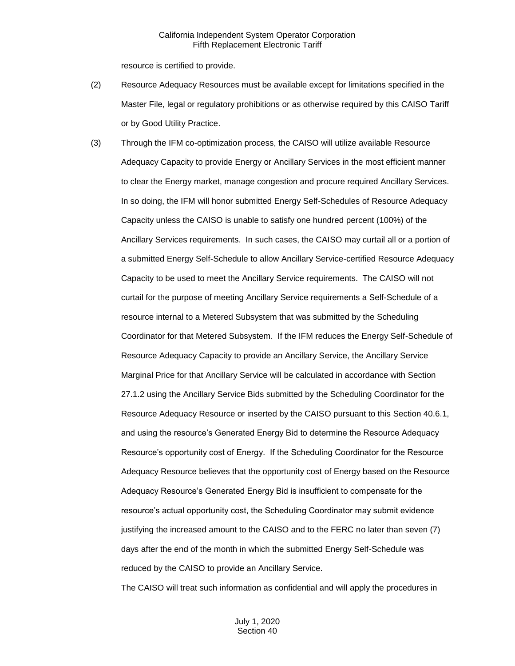resource is certified to provide.

- (2) Resource Adequacy Resources must be available except for limitations specified in the Master File, legal or regulatory prohibitions or as otherwise required by this CAISO Tariff or by Good Utility Practice.
- (3) Through the IFM co-optimization process, the CAISO will utilize available Resource Adequacy Capacity to provide Energy or Ancillary Services in the most efficient manner to clear the Energy market, manage congestion and procure required Ancillary Services. In so doing, the IFM will honor submitted Energy Self-Schedules of Resource Adequacy Capacity unless the CAISO is unable to satisfy one hundred percent (100%) of the Ancillary Services requirements. In such cases, the CAISO may curtail all or a portion of a submitted Energy Self-Schedule to allow Ancillary Service-certified Resource Adequacy Capacity to be used to meet the Ancillary Service requirements. The CAISO will not curtail for the purpose of meeting Ancillary Service requirements a Self-Schedule of a resource internal to a Metered Subsystem that was submitted by the Scheduling Coordinator for that Metered Subsystem. If the IFM reduces the Energy Self-Schedule of Resource Adequacy Capacity to provide an Ancillary Service, the Ancillary Service Marginal Price for that Ancillary Service will be calculated in accordance with Section 27.1.2 using the Ancillary Service Bids submitted by the Scheduling Coordinator for the Resource Adequacy Resource or inserted by the CAISO pursuant to this Section 40.6.1, and using the resource's Generated Energy Bid to determine the Resource Adequacy Resource's opportunity cost of Energy. If the Scheduling Coordinator for the Resource Adequacy Resource believes that the opportunity cost of Energy based on the Resource Adequacy Resource's Generated Energy Bid is insufficient to compensate for the resource's actual opportunity cost, the Scheduling Coordinator may submit evidence justifying the increased amount to the CAISO and to the FERC no later than seven (7) days after the end of the month in which the submitted Energy Self-Schedule was reduced by the CAISO to provide an Ancillary Service.

The CAISO will treat such information as confidential and will apply the procedures in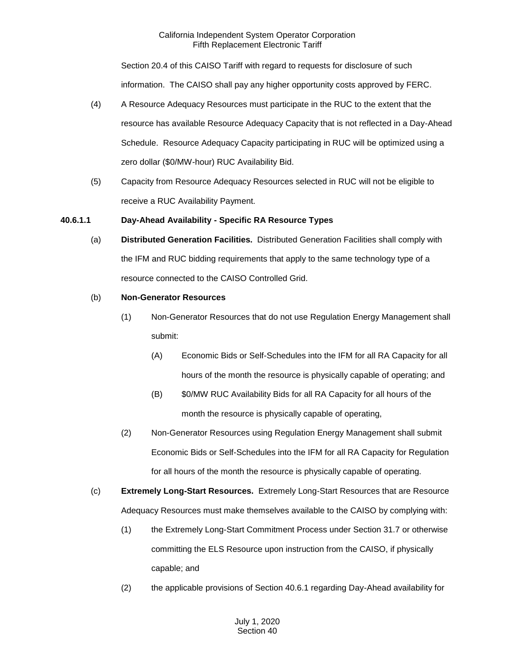Section 20.4 of this CAISO Tariff with regard to requests for disclosure of such information. The CAISO shall pay any higher opportunity costs approved by FERC.

- (4) A Resource Adequacy Resources must participate in the RUC to the extent that the resource has available Resource Adequacy Capacity that is not reflected in a Day-Ahead Schedule. Resource Adequacy Capacity participating in RUC will be optimized using a zero dollar (\$0/MW-hour) RUC Availability Bid.
- (5) Capacity from Resource Adequacy Resources selected in RUC will not be eligible to receive a RUC Availability Payment.

# **40.6.1.1 Day-Ahead Availability - Specific RA Resource Types**

(a) **Distributed Generation Facilities.** Distributed Generation Facilities shall comply with the IFM and RUC bidding requirements that apply to the same technology type of a resource connected to the CAISO Controlled Grid.

# (b) **Non-Generator Resources**

- (1) Non-Generator Resources that do not use Regulation Energy Management shall submit:
	- (A) Economic Bids or Self-Schedules into the IFM for all RA Capacity for all hours of the month the resource is physically capable of operating; and
	- (B) \$0/MW RUC Availability Bids for all RA Capacity for all hours of the month the resource is physically capable of operating,
- (2) Non-Generator Resources using Regulation Energy Management shall submit Economic Bids or Self-Schedules into the IFM for all RA Capacity for Regulation for all hours of the month the resource is physically capable of operating.
- (c) **Extremely Long-Start Resources.** Extremely Long-Start Resources that are Resource Adequacy Resources must make themselves available to the CAISO by complying with:
	- (1) the Extremely Long-Start Commitment Process under Section 31.7 or otherwise committing the ELS Resource upon instruction from the CAISO, if physically capable; and
	- (2) the applicable provisions of Section 40.6.1 regarding Day-Ahead availability for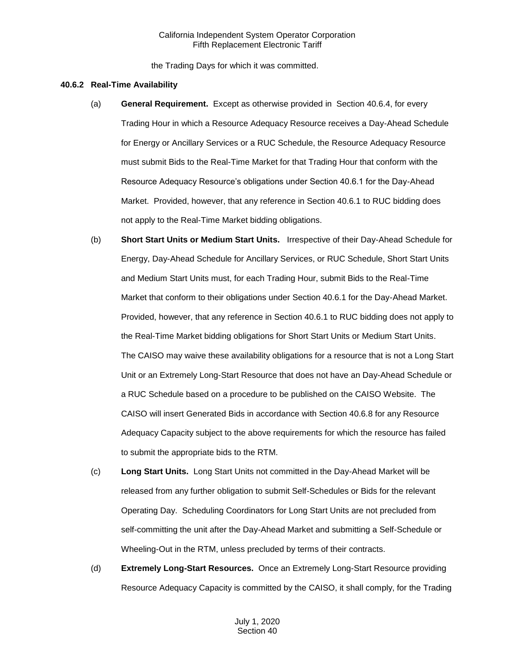the Trading Days for which it was committed.

#### **40.6.2 Real-Time Availability**

- (a) **General Requirement.** Except as otherwise provided in Section 40.6.4, for every Trading Hour in which a Resource Adequacy Resource receives a Day-Ahead Schedule for Energy or Ancillary Services or a RUC Schedule, the Resource Adequacy Resource must submit Bids to the Real-Time Market for that Trading Hour that conform with the Resource Adequacy Resource's obligations under Section 40.6.1 for the Day-Ahead Market. Provided, however, that any reference in Section 40.6.1 to RUC bidding does not apply to the Real-Time Market bidding obligations.
- (b) **Short Start Units or Medium Start Units.** Irrespective of their Day-Ahead Schedule for Energy, Day-Ahead Schedule for Ancillary Services, or RUC Schedule, Short Start Units and Medium Start Units must, for each Trading Hour, submit Bids to the Real-Time Market that conform to their obligations under Section 40.6.1 for the Day-Ahead Market. Provided, however, that any reference in Section 40.6.1 to RUC bidding does not apply to the Real-Time Market bidding obligations for Short Start Units or Medium Start Units. The CAISO may waive these availability obligations for a resource that is not a Long Start Unit or an Extremely Long-Start Resource that does not have an Day-Ahead Schedule or a RUC Schedule based on a procedure to be published on the CAISO Website. The CAISO will insert Generated Bids in accordance with Section 40.6.8 for any Resource Adequacy Capacity subject to the above requirements for which the resource has failed to submit the appropriate bids to the RTM.
- (c) **Long Start Units.** Long Start Units not committed in the Day-Ahead Market will be released from any further obligation to submit Self-Schedules or Bids for the relevant Operating Day. Scheduling Coordinators for Long Start Units are not precluded from self-committing the unit after the Day-Ahead Market and submitting a Self-Schedule or Wheeling-Out in the RTM, unless precluded by terms of their contracts.
- (d) **Extremely Long-Start Resources.** Once an Extremely Long-Start Resource providing Resource Adequacy Capacity is committed by the CAISO, it shall comply, for the Trading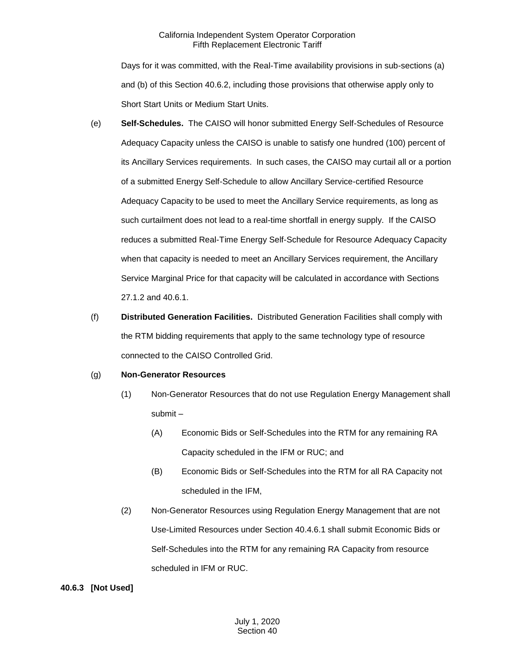Days for it was committed, with the Real-Time availability provisions in sub-sections (a) and (b) of this Section 40.6.2, including those provisions that otherwise apply only to Short Start Units or Medium Start Units.

- (e) **Self-Schedules.** The CAISO will honor submitted Energy Self-Schedules of Resource Adequacy Capacity unless the CAISO is unable to satisfy one hundred (100) percent of its Ancillary Services requirements. In such cases, the CAISO may curtail all or a portion of a submitted Energy Self-Schedule to allow Ancillary Service-certified Resource Adequacy Capacity to be used to meet the Ancillary Service requirements, as long as such curtailment does not lead to a real-time shortfall in energy supply. If the CAISO reduces a submitted Real-Time Energy Self-Schedule for Resource Adequacy Capacity when that capacity is needed to meet an Ancillary Services requirement, the Ancillary Service Marginal Price for that capacity will be calculated in accordance with Sections 27.1.2 and 40.6.1.
- (f) **Distributed Generation Facilities.** Distributed Generation Facilities shall comply with the RTM bidding requirements that apply to the same technology type of resource connected to the CAISO Controlled Grid.

# (g) **Non-Generator Resources**

- (1) Non-Generator Resources that do not use Regulation Energy Management shall submit –
	- (A) Economic Bids or Self-Schedules into the RTM for any remaining RA Capacity scheduled in the IFM or RUC; and
	- (B) Economic Bids or Self-Schedules into the RTM for all RA Capacity not scheduled in the IFM,
- (2) Non-Generator Resources using Regulation Energy Management that are not Use-Limited Resources under Section 40.4.6.1 shall submit Economic Bids or Self-Schedules into the RTM for any remaining RA Capacity from resource scheduled in IFM or RUC.

# **40.6.3 [Not Used]**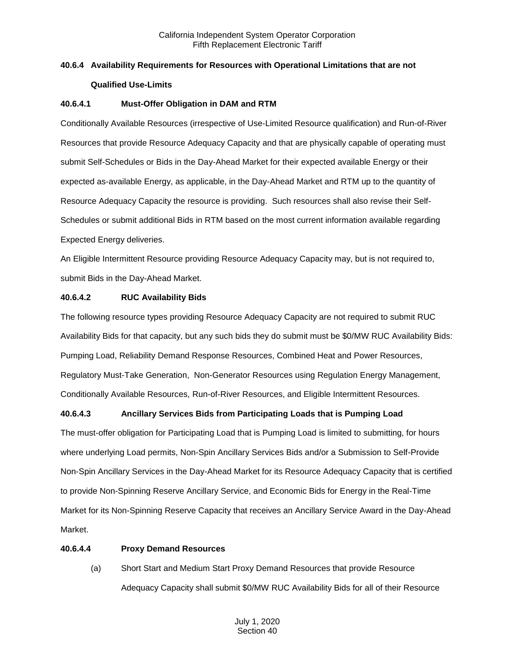# **40.6.4 Availability Requirements for Resources with Operational Limitations that are not Qualified Use-Limits**

## **40.6.4.1 Must-Offer Obligation in DAM and RTM**

Conditionally Available Resources (irrespective of Use-Limited Resource qualification) and Run-of-River Resources that provide Resource Adequacy Capacity and that are physically capable of operating must submit Self-Schedules or Bids in the Day-Ahead Market for their expected available Energy or their expected as-available Energy, as applicable, in the Day-Ahead Market and RTM up to the quantity of Resource Adequacy Capacity the resource is providing. Such resources shall also revise their Self-Schedules or submit additional Bids in RTM based on the most current information available regarding Expected Energy deliveries.

An Eligible Intermittent Resource providing Resource Adequacy Capacity may, but is not required to, submit Bids in the Day-Ahead Market.

#### **40.6.4.2 RUC Availability Bids**

The following resource types providing Resource Adequacy Capacity are not required to submit RUC Availability Bids for that capacity, but any such bids they do submit must be \$0/MW RUC Availability Bids: Pumping Load, Reliability Demand Response Resources, Combined Heat and Power Resources, Regulatory Must-Take Generation, Non-Generator Resources using Regulation Energy Management, Conditionally Available Resources, Run-of-River Resources, and Eligible Intermittent Resources.

# **40.6.4.3 Ancillary Services Bids from Participating Loads that is Pumping Load**

The must-offer obligation for Participating Load that is Pumping Load is limited to submitting, for hours where underlying Load permits, Non-Spin Ancillary Services Bids and/or a Submission to Self-Provide Non-Spin Ancillary Services in the Day-Ahead Market for its Resource Adequacy Capacity that is certified to provide Non-Spinning Reserve Ancillary Service, and Economic Bids for Energy in the Real-Time Market for its Non-Spinning Reserve Capacity that receives an Ancillary Service Award in the Day-Ahead Market.

#### **40.6.4.4 Proxy Demand Resources**

(a) Short Start and Medium Start Proxy Demand Resources that provide Resource Adequacy Capacity shall submit \$0/MW RUC Availability Bids for all of their Resource

> July 1, 2020 Section 40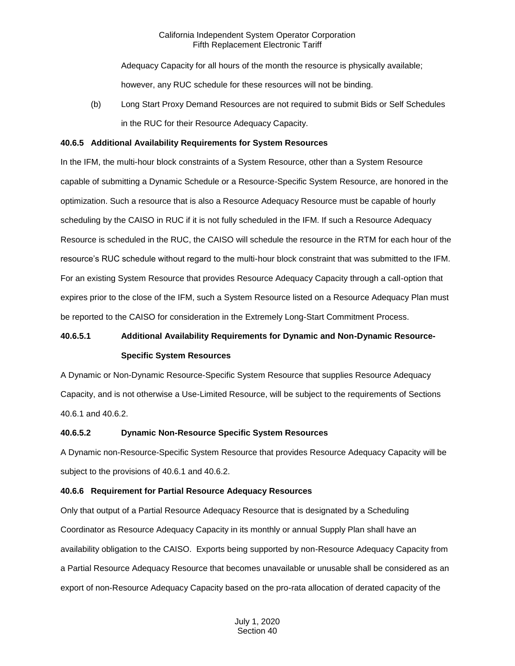Adequacy Capacity for all hours of the month the resource is physically available;

however, any RUC schedule for these resources will not be binding.

(b) Long Start Proxy Demand Resources are not required to submit Bids or Self Schedules in the RUC for their Resource Adequacy Capacity.

## **40.6.5 Additional Availability Requirements for System Resources**

In the IFM, the multi-hour block constraints of a System Resource, other than a System Resource capable of submitting a Dynamic Schedule or a Resource-Specific System Resource, are honored in the optimization. Such a resource that is also a Resource Adequacy Resource must be capable of hourly scheduling by the CAISO in RUC if it is not fully scheduled in the IFM. If such a Resource Adequacy Resource is scheduled in the RUC, the CAISO will schedule the resource in the RTM for each hour of the resource's RUC schedule without regard to the multi-hour block constraint that was submitted to the IFM. For an existing System Resource that provides Resource Adequacy Capacity through a call-option that expires prior to the close of the IFM, such a System Resource listed on a Resource Adequacy Plan must be reported to the CAISO for consideration in the Extremely Long-Start Commitment Process.

# **40.6.5.1 Additional Availability Requirements for Dynamic and Non-Dynamic Resource-Specific System Resources**

A Dynamic or Non-Dynamic Resource-Specific System Resource that supplies Resource Adequacy Capacity, and is not otherwise a Use-Limited Resource, will be subject to the requirements of Sections 40.6.1 and 40.6.2.

# **40.6.5.2 Dynamic Non-Resource Specific System Resources**

A Dynamic non-Resource-Specific System Resource that provides Resource Adequacy Capacity will be subject to the provisions of 40.6.1 and 40.6.2.

# **40.6.6 Requirement for Partial Resource Adequacy Resources**

Only that output of a Partial Resource Adequacy Resource that is designated by a Scheduling Coordinator as Resource Adequacy Capacity in its monthly or annual Supply Plan shall have an availability obligation to the CAISO. Exports being supported by non-Resource Adequacy Capacity from a Partial Resource Adequacy Resource that becomes unavailable or unusable shall be considered as an export of non-Resource Adequacy Capacity based on the pro-rata allocation of derated capacity of the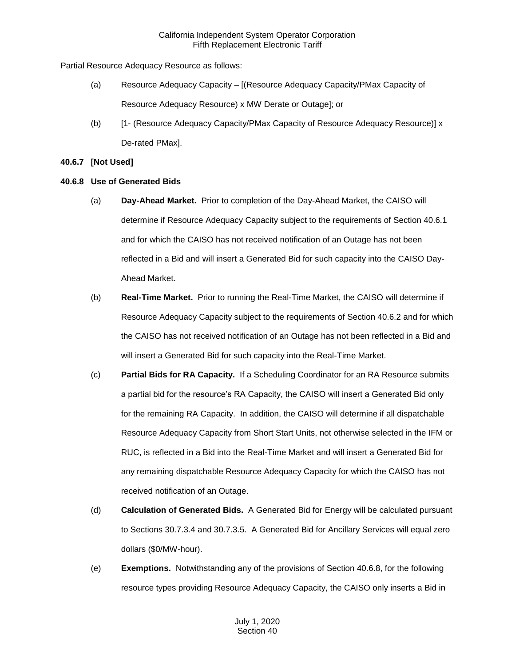Partial Resource Adequacy Resource as follows:

- (a) Resource Adequacy Capacity [(Resource Adequacy Capacity/PMax Capacity of Resource Adequacy Resource) x MW Derate or Outage]; or
- (b) [1- (Resource Adequacy Capacity/PMax Capacity of Resource Adequacy Resource)] x De-rated PMax].

## **40.6.7 [Not Used]**

## **40.6.8 Use of Generated Bids**

- (a) **Day-Ahead Market.** Prior to completion of the Day-Ahead Market, the CAISO will determine if Resource Adequacy Capacity subject to the requirements of Section 40.6.1 and for which the CAISO has not received notification of an Outage has not been reflected in a Bid and will insert a Generated Bid for such capacity into the CAISO Day-Ahead Market.
- (b) **Real-Time Market.** Prior to running the Real-Time Market, the CAISO will determine if Resource Adequacy Capacity subject to the requirements of Section 40.6.2 and for which the CAISO has not received notification of an Outage has not been reflected in a Bid and will insert a Generated Bid for such capacity into the Real-Time Market.
- (c) **Partial Bids for RA Capacity.** If a Scheduling Coordinator for an RA Resource submits a partial bid for the resource's RA Capacity, the CAISO will insert a Generated Bid only for the remaining RA Capacity. In addition, the CAISO will determine if all dispatchable Resource Adequacy Capacity from Short Start Units, not otherwise selected in the IFM or RUC, is reflected in a Bid into the Real-Time Market and will insert a Generated Bid for any remaining dispatchable Resource Adequacy Capacity for which the CAISO has not received notification of an Outage.
- (d) **Calculation of Generated Bids.** A Generated Bid for Energy will be calculated pursuant to Sections 30.7.3.4 and 30.7.3.5. A Generated Bid for Ancillary Services will equal zero dollars (\$0/MW-hour).
- (e) **Exemptions.** Notwithstanding any of the provisions of Section 40.6.8, for the following resource types providing Resource Adequacy Capacity, the CAISO only inserts a Bid in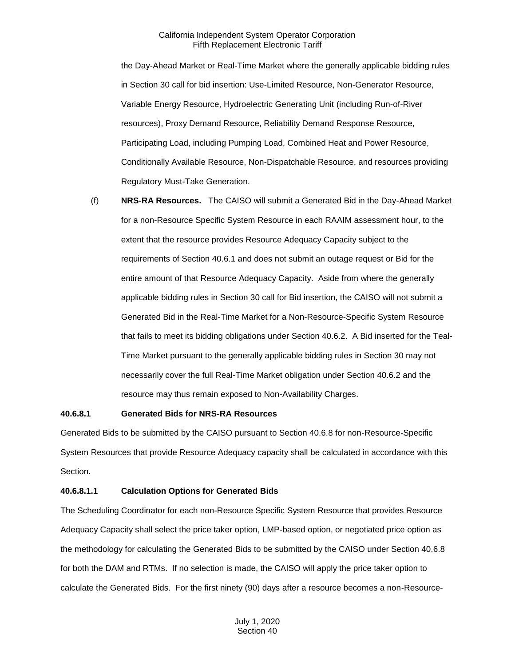the Day-Ahead Market or Real-Time Market where the generally applicable bidding rules in Section 30 call for bid insertion: Use-Limited Resource, Non-Generator Resource, Variable Energy Resource, Hydroelectric Generating Unit (including Run-of-River resources), Proxy Demand Resource, Reliability Demand Response Resource, Participating Load, including Pumping Load, Combined Heat and Power Resource, Conditionally Available Resource, Non-Dispatchable Resource, and resources providing Regulatory Must-Take Generation.

(f) **NRS-RA Resources.** The CAISO will submit a Generated Bid in the Day-Ahead Market for a non-Resource Specific System Resource in each RAAIM assessment hour, to the extent that the resource provides Resource Adequacy Capacity subject to the requirements of Section 40.6.1 and does not submit an outage request or Bid for the entire amount of that Resource Adequacy Capacity. Aside from where the generally applicable bidding rules in Section 30 call for Bid insertion, the CAISO will not submit a Generated Bid in the Real-Time Market for a Non-Resource-Specific System Resource that fails to meet its bidding obligations under Section 40.6.2. A Bid inserted for the Teal-Time Market pursuant to the generally applicable bidding rules in Section 30 may not necessarily cover the full Real-Time Market obligation under Section 40.6.2 and the resource may thus remain exposed to Non-Availability Charges.

#### **40.6.8.1 Generated Bids for NRS-RA Resources**

Generated Bids to be submitted by the CAISO pursuant to Section 40.6.8 for non-Resource-Specific System Resources that provide Resource Adequacy capacity shall be calculated in accordance with this Section.

#### **40.6.8.1.1 Calculation Options for Generated Bids**

The Scheduling Coordinator for each non-Resource Specific System Resource that provides Resource Adequacy Capacity shall select the price taker option, LMP-based option, or negotiated price option as the methodology for calculating the Generated Bids to be submitted by the CAISO under Section 40.6.8 for both the DAM and RTMs. If no selection is made, the CAISO will apply the price taker option to calculate the Generated Bids. For the first ninety (90) days after a resource becomes a non-Resource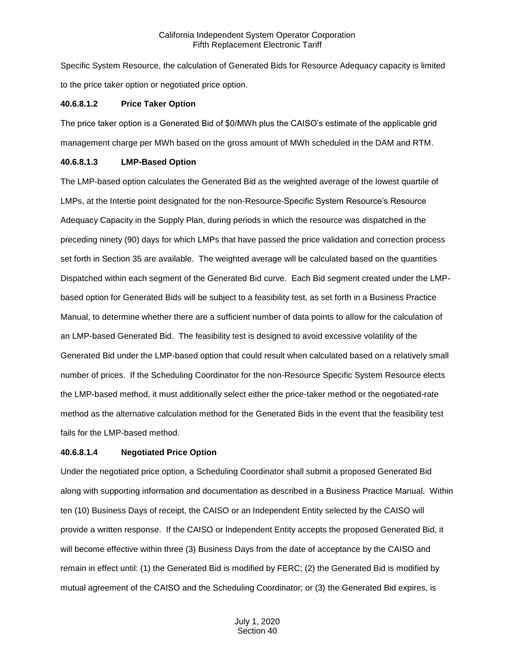Specific System Resource, the calculation of Generated Bids for Resource Adequacy capacity is limited to the price taker option or negotiated price option.

#### **40.6.8.1.2 Price Taker Option**

The price taker option is a Generated Bid of \$0/MWh plus the CAISO's estimate of the applicable grid management charge per MWh based on the gross amount of MWh scheduled in the DAM and RTM.

#### **40.6.8.1.3 LMP-Based Option**

The LMP-based option calculates the Generated Bid as the weighted average of the lowest quartile of LMPs, at the Intertie point designated for the non-Resource-Specific System Resource's Resource Adequacy Capacity in the Supply Plan, during periods in which the resource was dispatched in the preceding ninety (90) days for which LMPs that have passed the price validation and correction process set forth in Section 35 are available. The weighted average will be calculated based on the quantities Dispatched within each segment of the Generated Bid curve. Each Bid segment created under the LMPbased option for Generated Bids will be subject to a feasibility test, as set forth in a Business Practice Manual, to determine whether there are a sufficient number of data points to allow for the calculation of an LMP-based Generated Bid. The feasibility test is designed to avoid excessive volatility of the Generated Bid under the LMP-based option that could result when calculated based on a relatively small number of prices. If the Scheduling Coordinator for the non-Resource Specific System Resource elects the LMP-based method, it must additionally select either the price-taker method or the negotiated-rate method as the alternative calculation method for the Generated Bids in the event that the feasibility test fails for the LMP-based method.

#### **40.6.8.1.4 Negotiated Price Option**

Under the negotiated price option, a Scheduling Coordinator shall submit a proposed Generated Bid along with supporting information and documentation as described in a Business Practice Manual. Within ten (10) Business Days of receipt, the CAISO or an Independent Entity selected by the CAISO will provide a written response. If the CAISO or Independent Entity accepts the proposed Generated Bid, it will become effective within three (3) Business Days from the date of acceptance by the CAISO and remain in effect until: (1) the Generated Bid is modified by FERC; (2) the Generated Bid is modified by mutual agreement of the CAISO and the Scheduling Coordinator; or (3) the Generated Bid expires, is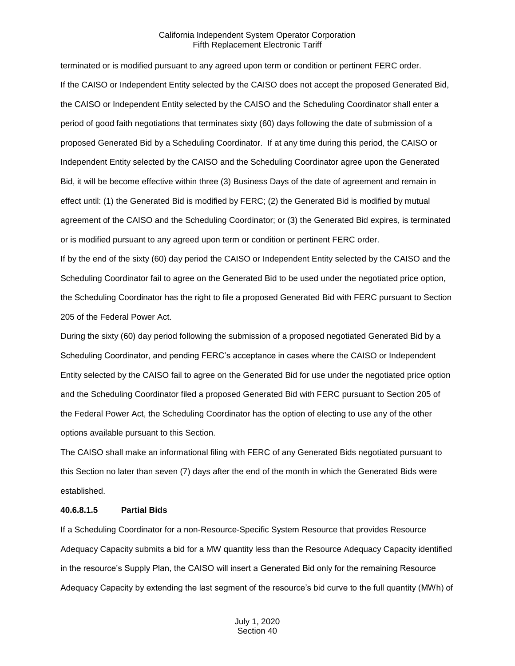terminated or is modified pursuant to any agreed upon term or condition or pertinent FERC order. If the CAISO or Independent Entity selected by the CAISO does not accept the proposed Generated Bid, the CAISO or Independent Entity selected by the CAISO and the Scheduling Coordinator shall enter a period of good faith negotiations that terminates sixty (60) days following the date of submission of a proposed Generated Bid by a Scheduling Coordinator. If at any time during this period, the CAISO or Independent Entity selected by the CAISO and the Scheduling Coordinator agree upon the Generated Bid, it will be become effective within three (3) Business Days of the date of agreement and remain in effect until: (1) the Generated Bid is modified by FERC; (2) the Generated Bid is modified by mutual agreement of the CAISO and the Scheduling Coordinator; or (3) the Generated Bid expires, is terminated or is modified pursuant to any agreed upon term or condition or pertinent FERC order.

If by the end of the sixty (60) day period the CAISO or Independent Entity selected by the CAISO and the Scheduling Coordinator fail to agree on the Generated Bid to be used under the negotiated price option, the Scheduling Coordinator has the right to file a proposed Generated Bid with FERC pursuant to Section 205 of the Federal Power Act.

During the sixty (60) day period following the submission of a proposed negotiated Generated Bid by a Scheduling Coordinator, and pending FERC's acceptance in cases where the CAISO or Independent Entity selected by the CAISO fail to agree on the Generated Bid for use under the negotiated price option and the Scheduling Coordinator filed a proposed Generated Bid with FERC pursuant to Section 205 of the Federal Power Act, the Scheduling Coordinator has the option of electing to use any of the other options available pursuant to this Section.

The CAISO shall make an informational filing with FERC of any Generated Bids negotiated pursuant to this Section no later than seven (7) days after the end of the month in which the Generated Bids were established.

#### **40.6.8.1.5 Partial Bids**

If a Scheduling Coordinator for a non-Resource-Specific System Resource that provides Resource Adequacy Capacity submits a bid for a MW quantity less than the Resource Adequacy Capacity identified in the resource's Supply Plan, the CAISO will insert a Generated Bid only for the remaining Resource Adequacy Capacity by extending the last segment of the resource's bid curve to the full quantity (MWh) of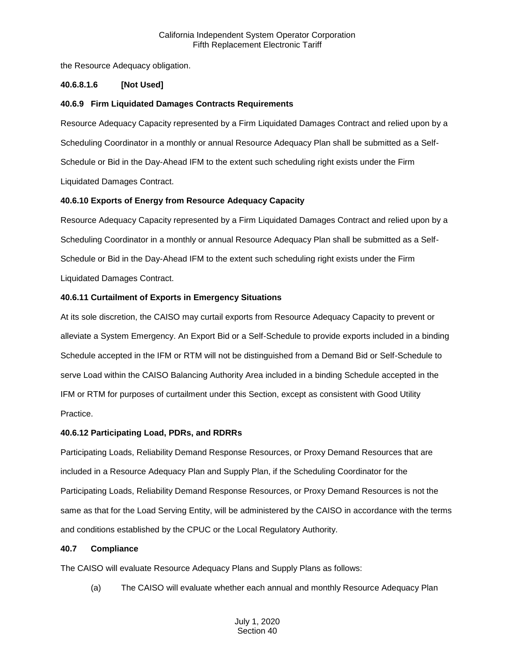the Resource Adequacy obligation.

## **40.6.8.1.6 [Not Used]**

## **40.6.9 Firm Liquidated Damages Contracts Requirements**

Resource Adequacy Capacity represented by a Firm Liquidated Damages Contract and relied upon by a Scheduling Coordinator in a monthly or annual Resource Adequacy Plan shall be submitted as a Self-Schedule or Bid in the Day-Ahead IFM to the extent such scheduling right exists under the Firm Liquidated Damages Contract.

## **40.6.10 Exports of Energy from Resource Adequacy Capacity**

Resource Adequacy Capacity represented by a Firm Liquidated Damages Contract and relied upon by a Scheduling Coordinator in a monthly or annual Resource Adequacy Plan shall be submitted as a Self-Schedule or Bid in the Day-Ahead IFM to the extent such scheduling right exists under the Firm Liquidated Damages Contract.

## **40.6.11 Curtailment of Exports in Emergency Situations**

At its sole discretion, the CAISO may curtail exports from Resource Adequacy Capacity to prevent or alleviate a System Emergency. An Export Bid or a Self-Schedule to provide exports included in a binding Schedule accepted in the IFM or RTM will not be distinguished from a Demand Bid or Self-Schedule to serve Load within the CAISO Balancing Authority Area included in a binding Schedule accepted in the IFM or RTM for purposes of curtailment under this Section, except as consistent with Good Utility Practice.

#### **40.6.12 Participating Load, PDRs, and RDRRs**

Participating Loads, Reliability Demand Response Resources, or Proxy Demand Resources that are included in a Resource Adequacy Plan and Supply Plan, if the Scheduling Coordinator for the Participating Loads, Reliability Demand Response Resources, or Proxy Demand Resources is not the same as that for the Load Serving Entity, will be administered by the CAISO in accordance with the terms and conditions established by the CPUC or the Local Regulatory Authority.

#### **40.7 Compliance**

The CAISO will evaluate Resource Adequacy Plans and Supply Plans as follows:

(a) The CAISO will evaluate whether each annual and monthly Resource Adequacy Plan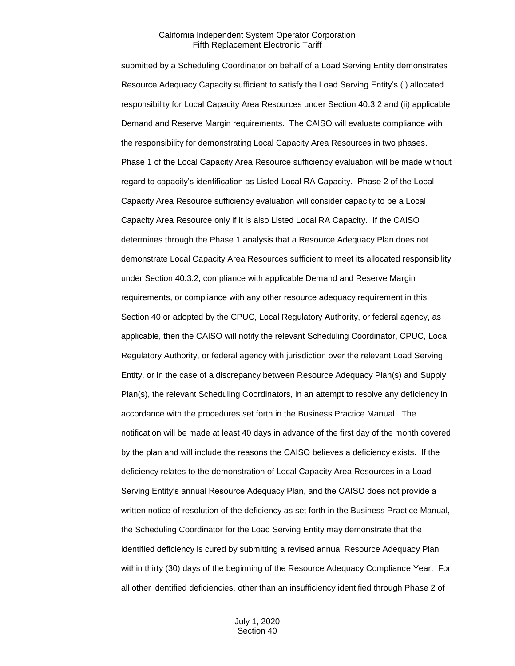submitted by a Scheduling Coordinator on behalf of a Load Serving Entity demonstrates Resource Adequacy Capacity sufficient to satisfy the Load Serving Entity's (i) allocated responsibility for Local Capacity Area Resources under Section 40.3.2 and (ii) applicable Demand and Reserve Margin requirements. The CAISO will evaluate compliance with the responsibility for demonstrating Local Capacity Area Resources in two phases. Phase 1 of the Local Capacity Area Resource sufficiency evaluation will be made without regard to capacity's identification as Listed Local RA Capacity. Phase 2 of the Local Capacity Area Resource sufficiency evaluation will consider capacity to be a Local Capacity Area Resource only if it is also Listed Local RA Capacity. If the CAISO determines through the Phase 1 analysis that a Resource Adequacy Plan does not demonstrate Local Capacity Area Resources sufficient to meet its allocated responsibility under Section 40.3.2, compliance with applicable Demand and Reserve Margin requirements, or compliance with any other resource adequacy requirement in this Section 40 or adopted by the CPUC, Local Regulatory Authority, or federal agency, as applicable, then the CAISO will notify the relevant Scheduling Coordinator, CPUC, Local Regulatory Authority, or federal agency with jurisdiction over the relevant Load Serving Entity, or in the case of a discrepancy between Resource Adequacy Plan(s) and Supply Plan(s), the relevant Scheduling Coordinators, in an attempt to resolve any deficiency in accordance with the procedures set forth in the Business Practice Manual. The notification will be made at least 40 days in advance of the first day of the month covered by the plan and will include the reasons the CAISO believes a deficiency exists. If the deficiency relates to the demonstration of Local Capacity Area Resources in a Load Serving Entity's annual Resource Adequacy Plan, and the CAISO does not provide a written notice of resolution of the deficiency as set forth in the Business Practice Manual, the Scheduling Coordinator for the Load Serving Entity may demonstrate that the identified deficiency is cured by submitting a revised annual Resource Adequacy Plan within thirty (30) days of the beginning of the Resource Adequacy Compliance Year. For all other identified deficiencies, other than an insufficiency identified through Phase 2 of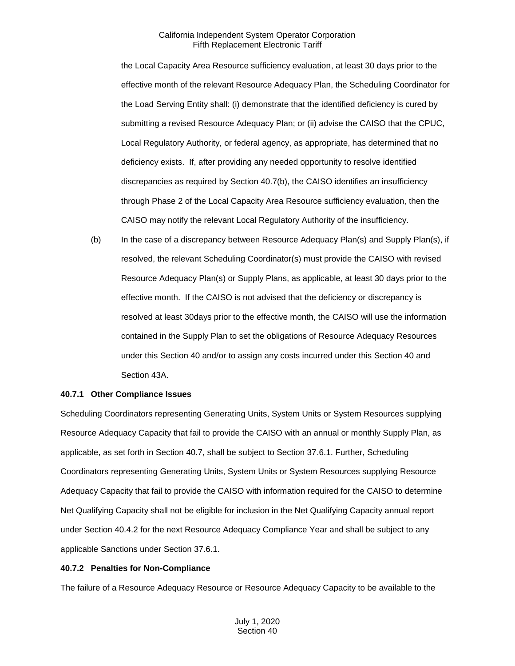the Local Capacity Area Resource sufficiency evaluation, at least 30 days prior to the effective month of the relevant Resource Adequacy Plan, the Scheduling Coordinator for the Load Serving Entity shall: (i) demonstrate that the identified deficiency is cured by submitting a revised Resource Adequacy Plan; or (ii) advise the CAISO that the CPUC, Local Regulatory Authority, or federal agency, as appropriate, has determined that no deficiency exists. If, after providing any needed opportunity to resolve identified discrepancies as required by Section 40.7(b), the CAISO identifies an insufficiency through Phase 2 of the Local Capacity Area Resource sufficiency evaluation, then the CAISO may notify the relevant Local Regulatory Authority of the insufficiency.

(b) In the case of a discrepancy between Resource Adequacy Plan(s) and Supply Plan(s), if resolved, the relevant Scheduling Coordinator(s) must provide the CAISO with revised Resource Adequacy Plan(s) or Supply Plans, as applicable, at least 30 days prior to the effective month. If the CAISO is not advised that the deficiency or discrepancy is resolved at least 30days prior to the effective month, the CAISO will use the information contained in the Supply Plan to set the obligations of Resource Adequacy Resources under this Section 40 and/or to assign any costs incurred under this Section 40 and Section 43A.

# **40.7.1 Other Compliance Issues**

Scheduling Coordinators representing Generating Units, System Units or System Resources supplying Resource Adequacy Capacity that fail to provide the CAISO with an annual or monthly Supply Plan, as applicable, as set forth in Section 40.7, shall be subject to Section 37.6.1. Further, Scheduling Coordinators representing Generating Units, System Units or System Resources supplying Resource Adequacy Capacity that fail to provide the CAISO with information required for the CAISO to determine Net Qualifying Capacity shall not be eligible for inclusion in the Net Qualifying Capacity annual report under Section 40.4.2 for the next Resource Adequacy Compliance Year and shall be subject to any applicable Sanctions under Section 37.6.1.

#### **40.7.2 Penalties for Non-Compliance**

The failure of a Resource Adequacy Resource or Resource Adequacy Capacity to be available to the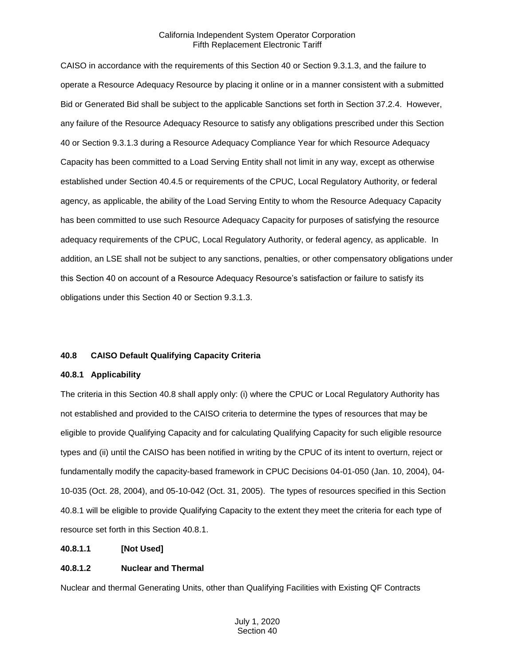CAISO in accordance with the requirements of this Section 40 or Section 9.3.1.3, and the failure to operate a Resource Adequacy Resource by placing it online or in a manner consistent with a submitted Bid or Generated Bid shall be subject to the applicable Sanctions set forth in Section 37.2.4. However, any failure of the Resource Adequacy Resource to satisfy any obligations prescribed under this Section 40 or Section 9.3.1.3 during a Resource Adequacy Compliance Year for which Resource Adequacy Capacity has been committed to a Load Serving Entity shall not limit in any way, except as otherwise established under Section 40.4.5 or requirements of the CPUC, Local Regulatory Authority, or federal agency, as applicable, the ability of the Load Serving Entity to whom the Resource Adequacy Capacity has been committed to use such Resource Adequacy Capacity for purposes of satisfying the resource adequacy requirements of the CPUC, Local Regulatory Authority, or federal agency, as applicable. In addition, an LSE shall not be subject to any sanctions, penalties, or other compensatory obligations under this Section 40 on account of a Resource Adequacy Resource's satisfaction or failure to satisfy its obligations under this Section 40 or Section 9.3.1.3.

# **40.8 CAISO Default Qualifying Capacity Criteria**

#### **40.8.1 Applicability**

The criteria in this Section 40.8 shall apply only: (i) where the CPUC or Local Regulatory Authority has not established and provided to the CAISO criteria to determine the types of resources that may be eligible to provide Qualifying Capacity and for calculating Qualifying Capacity for such eligible resource types and (ii) until the CAISO has been notified in writing by the CPUC of its intent to overturn, reject or fundamentally modify the capacity-based framework in CPUC Decisions 04-01-050 (Jan. 10, 2004), 04- 10-035 (Oct. 28, 2004), and 05-10-042 (Oct. 31, 2005). The types of resources specified in this Section 40.8.1 will be eligible to provide Qualifying Capacity to the extent they meet the criteria for each type of resource set forth in this Section 40.8.1.

# **40.8.1.1 [Not Used]**

# **40.8.1.2 Nuclear and Thermal**

Nuclear and thermal Generating Units, other than Qualifying Facilities with Existing QF Contracts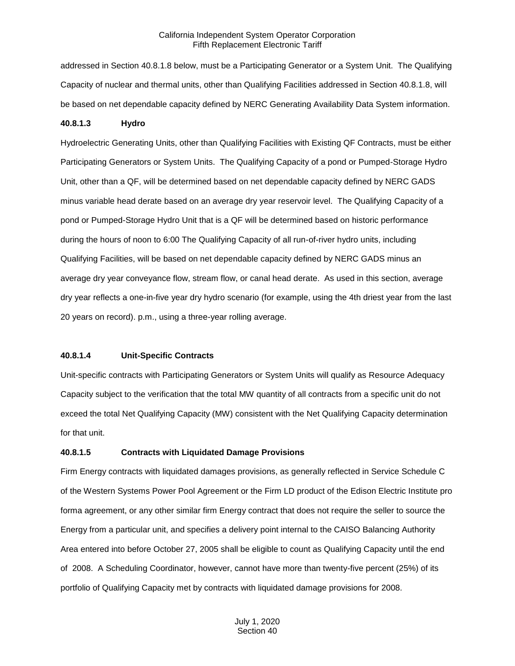addressed in Section 40.8.1.8 below, must be a Participating Generator or a System Unit. The Qualifying Capacity of nuclear and thermal units, other than Qualifying Facilities addressed in Section 40.8.1.8, will be based on net dependable capacity defined by NERC Generating Availability Data System information.

#### **40.8.1.3 Hydro**

Hydroelectric Generating Units, other than Qualifying Facilities with Existing QF Contracts, must be either Participating Generators or System Units. The Qualifying Capacity of a pond or Pumped-Storage Hydro Unit, other than a QF, will be determined based on net dependable capacity defined by NERC GADS minus variable head derate based on an average dry year reservoir level. The Qualifying Capacity of a pond or Pumped-Storage Hydro Unit that is a QF will be determined based on historic performance during the hours of noon to 6:00 The Qualifying Capacity of all run-of-river hydro units, including Qualifying Facilities, will be based on net dependable capacity defined by NERC GADS minus an average dry year conveyance flow, stream flow, or canal head derate. As used in this section, average dry year reflects a one-in-five year dry hydro scenario (for example, using the 4th driest year from the last 20 years on record). p.m., using a three-year rolling average.

#### **40.8.1.4 Unit-Specific Contracts**

Unit-specific contracts with Participating Generators or System Units will qualify as Resource Adequacy Capacity subject to the verification that the total MW quantity of all contracts from a specific unit do not exceed the total Net Qualifying Capacity (MW) consistent with the Net Qualifying Capacity determination for that unit.

#### **40.8.1.5 Contracts with Liquidated Damage Provisions**

Firm Energy contracts with liquidated damages provisions, as generally reflected in Service Schedule C of the Western Systems Power Pool Agreement or the Firm LD product of the Edison Electric Institute pro forma agreement, or any other similar firm Energy contract that does not require the seller to source the Energy from a particular unit, and specifies a delivery point internal to the CAISO Balancing Authority Area entered into before October 27, 2005 shall be eligible to count as Qualifying Capacity until the end of 2008. A Scheduling Coordinator, however, cannot have more than twenty-five percent (25%) of its portfolio of Qualifying Capacity met by contracts with liquidated damage provisions for 2008.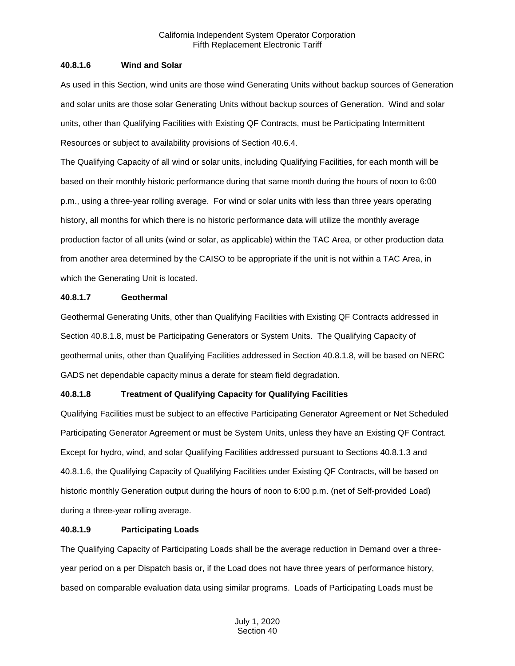## **40.8.1.6 Wind and Solar**

As used in this Section, wind units are those wind Generating Units without backup sources of Generation and solar units are those solar Generating Units without backup sources of Generation. Wind and solar units, other than Qualifying Facilities with Existing QF Contracts, must be Participating Intermittent Resources or subject to availability provisions of Section 40.6.4.

The Qualifying Capacity of all wind or solar units, including Qualifying Facilities, for each month will be based on their monthly historic performance during that same month during the hours of noon to 6:00 p.m., using a three-year rolling average. For wind or solar units with less than three years operating history, all months for which there is no historic performance data will utilize the monthly average production factor of all units (wind or solar, as applicable) within the TAC Area, or other production data from another area determined by the CAISO to be appropriate if the unit is not within a TAC Area, in which the Generating Unit is located.

## **40.8.1.7 Geothermal**

Geothermal Generating Units, other than Qualifying Facilities with Existing QF Contracts addressed in Section 40.8.1.8, must be Participating Generators or System Units. The Qualifying Capacity of geothermal units, other than Qualifying Facilities addressed in Section 40.8.1.8, will be based on NERC GADS net dependable capacity minus a derate for steam field degradation.

# **40.8.1.8 Treatment of Qualifying Capacity for Qualifying Facilities**

Qualifying Facilities must be subject to an effective Participating Generator Agreement or Net Scheduled Participating Generator Agreement or must be System Units, unless they have an Existing QF Contract. Except for hydro, wind, and solar Qualifying Facilities addressed pursuant to Sections 40.8.1.3 and 40.8.1.6, the Qualifying Capacity of Qualifying Facilities under Existing QF Contracts, will be based on historic monthly Generation output during the hours of noon to 6:00 p.m. (net of Self-provided Load) during a three-year rolling average.

#### **40.8.1.9 Participating Loads**

The Qualifying Capacity of Participating Loads shall be the average reduction in Demand over a threeyear period on a per Dispatch basis or, if the Load does not have three years of performance history, based on comparable evaluation data using similar programs. Loads of Participating Loads must be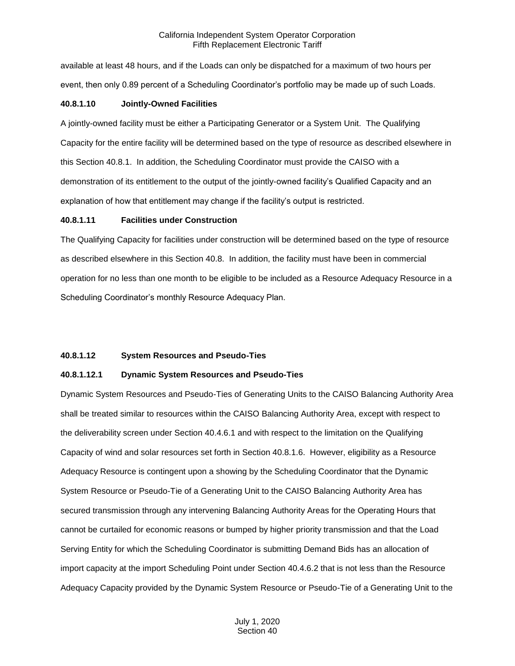available at least 48 hours, and if the Loads can only be dispatched for a maximum of two hours per event, then only 0.89 percent of a Scheduling Coordinator's portfolio may be made up of such Loads.

#### **40.8.1.10 Jointly-Owned Facilities**

A jointly-owned facility must be either a Participating Generator or a System Unit. The Qualifying Capacity for the entire facility will be determined based on the type of resource as described elsewhere in this Section 40.8.1. In addition, the Scheduling Coordinator must provide the CAISO with a demonstration of its entitlement to the output of the jointly-owned facility's Qualified Capacity and an explanation of how that entitlement may change if the facility's output is restricted.

#### **40.8.1.11 Facilities under Construction**

The Qualifying Capacity for facilities under construction will be determined based on the type of resource as described elsewhere in this Section 40.8. In addition, the facility must have been in commercial operation for no less than one month to be eligible to be included as a Resource Adequacy Resource in a Scheduling Coordinator's monthly Resource Adequacy Plan.

#### **40.8.1.12 System Resources and Pseudo-Ties**

#### **40.8.1.12.1 Dynamic System Resources and Pseudo-Ties**

Dynamic System Resources and Pseudo-Ties of Generating Units to the CAISO Balancing Authority Area shall be treated similar to resources within the CAISO Balancing Authority Area, except with respect to the deliverability screen under Section 40.4.6.1 and with respect to the limitation on the Qualifying Capacity of wind and solar resources set forth in Section 40.8.1.6. However, eligibility as a Resource Adequacy Resource is contingent upon a showing by the Scheduling Coordinator that the Dynamic System Resource or Pseudo-Tie of a Generating Unit to the CAISO Balancing Authority Area has secured transmission through any intervening Balancing Authority Areas for the Operating Hours that cannot be curtailed for economic reasons or bumped by higher priority transmission and that the Load Serving Entity for which the Scheduling Coordinator is submitting Demand Bids has an allocation of import capacity at the import Scheduling Point under Section 40.4.6.2 that is not less than the Resource Adequacy Capacity provided by the Dynamic System Resource or Pseudo-Tie of a Generating Unit to the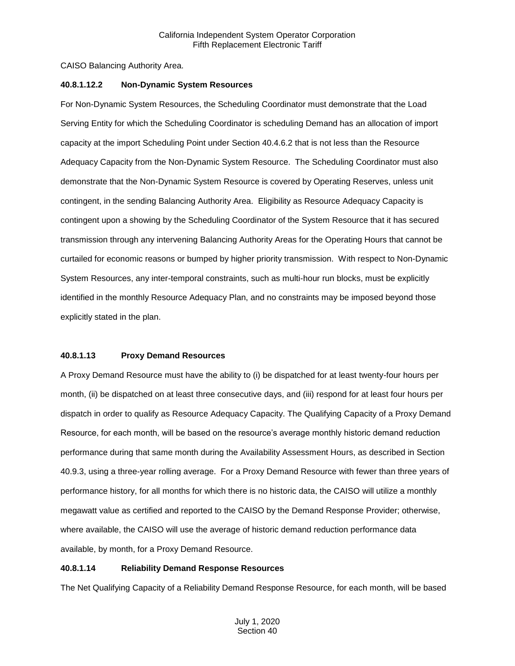CAISO Balancing Authority Area.

### **40.8.1.12.2 Non-Dynamic System Resources**

For Non-Dynamic System Resources, the Scheduling Coordinator must demonstrate that the Load Serving Entity for which the Scheduling Coordinator is scheduling Demand has an allocation of import capacity at the import Scheduling Point under Section 40.4.6.2 that is not less than the Resource Adequacy Capacity from the Non-Dynamic System Resource. The Scheduling Coordinator must also demonstrate that the Non-Dynamic System Resource is covered by Operating Reserves, unless unit contingent, in the sending Balancing Authority Area. Eligibility as Resource Adequacy Capacity is contingent upon a showing by the Scheduling Coordinator of the System Resource that it has secured transmission through any intervening Balancing Authority Areas for the Operating Hours that cannot be curtailed for economic reasons or bumped by higher priority transmission. With respect to Non-Dynamic System Resources, any inter-temporal constraints, such as multi-hour run blocks, must be explicitly identified in the monthly Resource Adequacy Plan, and no constraints may be imposed beyond those explicitly stated in the plan.

# **40.8.1.13 Proxy Demand Resources**

A Proxy Demand Resource must have the ability to (i) be dispatched for at least twenty-four hours per month, (ii) be dispatched on at least three consecutive days, and (iii) respond for at least four hours per dispatch in order to qualify as Resource Adequacy Capacity. The Qualifying Capacity of a Proxy Demand Resource, for each month, will be based on the resource's average monthly historic demand reduction performance during that same month during the Availability Assessment Hours, as described in Section 40.9.3, using a three-year rolling average. For a Proxy Demand Resource with fewer than three years of performance history, for all months for which there is no historic data, the CAISO will utilize a monthly megawatt value as certified and reported to the CAISO by the Demand Response Provider; otherwise, where available, the CAISO will use the average of historic demand reduction performance data available, by month, for a Proxy Demand Resource.

#### **40.8.1.14 Reliability Demand Response Resources**

The Net Qualifying Capacity of a Reliability Demand Response Resource, for each month, will be based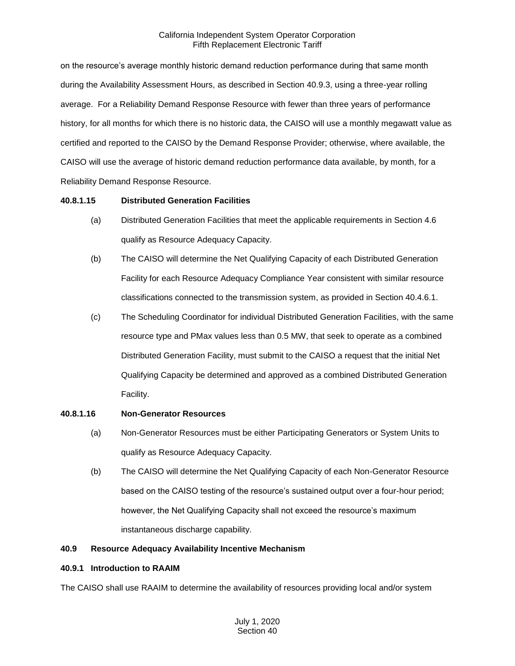on the resource's average monthly historic demand reduction performance during that same month during the Availability Assessment Hours, as described in Section 40.9.3, using a three-year rolling average. For a Reliability Demand Response Resource with fewer than three years of performance history, for all months for which there is no historic data, the CAISO will use a monthly megawatt value as certified and reported to the CAISO by the Demand Response Provider; otherwise, where available, the CAISO will use the average of historic demand reduction performance data available, by month, for a Reliability Demand Response Resource.

## **40.8.1.15 Distributed Generation Facilities**

- (a) Distributed Generation Facilities that meet the applicable requirements in Section 4.6 qualify as Resource Adequacy Capacity.
- (b) The CAISO will determine the Net Qualifying Capacity of each Distributed Generation Facility for each Resource Adequacy Compliance Year consistent with similar resource classifications connected to the transmission system, as provided in Section 40.4.6.1.
- (c) The Scheduling Coordinator for individual Distributed Generation Facilities, with the same resource type and PMax values less than 0.5 MW, that seek to operate as a combined Distributed Generation Facility, must submit to the CAISO a request that the initial Net Qualifying Capacity be determined and approved as a combined Distributed Generation Facility.

# **40.8.1.16 Non-Generator Resources**

- (a) Non-Generator Resources must be either Participating Generators or System Units to qualify as Resource Adequacy Capacity.
- (b) The CAISO will determine the Net Qualifying Capacity of each Non-Generator Resource based on the CAISO testing of the resource's sustained output over a four-hour period; however, the Net Qualifying Capacity shall not exceed the resource's maximum instantaneous discharge capability.

# **40.9 Resource Adequacy Availability Incentive Mechanism**

# **40.9.1 Introduction to RAAIM**

The CAISO shall use RAAIM to determine the availability of resources providing local and/or system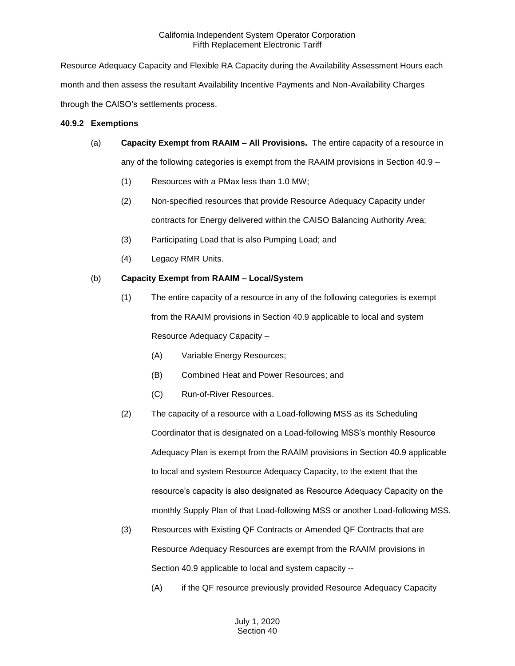Resource Adequacy Capacity and Flexible RA Capacity during the Availability Assessment Hours each month and then assess the resultant Availability Incentive Payments and Non-Availability Charges through the CAISO's settlements process.

### **40.9.2 Exemptions**

- (a) **Capacity Exempt from RAAIM – All Provisions.** The entire capacity of a resource in any of the following categories is exempt from the RAAIM provisions in Section 40.9 –
	- (1) Resources with a PMax less than 1.0 MW;
	- (2) Non-specified resources that provide Resource Adequacy Capacity under contracts for Energy delivered within the CAISO Balancing Authority Area;
	- (3) Participating Load that is also Pumping Load; and
	- (4) Legacy RMR Units.

# (b) **Capacity Exempt from RAAIM – Local/System**

- (1) The entire capacity of a resource in any of the following categories is exempt from the RAAIM provisions in Section 40.9 applicable to local and system Resource Adequacy Capacity –
	- (A) Variable Energy Resources;
	- (B) Combined Heat and Power Resources; and
	- (C) Run-of-River Resources.
- (2) The capacity of a resource with a Load-following MSS as its Scheduling Coordinator that is designated on a Load-following MSS's monthly Resource Adequacy Plan is exempt from the RAAIM provisions in Section 40.9 applicable to local and system Resource Adequacy Capacity, to the extent that the resource's capacity is also designated as Resource Adequacy Capacity on the monthly Supply Plan of that Load-following MSS or another Load-following MSS.
- (3) Resources with Existing QF Contracts or Amended QF Contracts that are Resource Adequacy Resources are exempt from the RAAIM provisions in Section 40.9 applicable to local and system capacity --
	- (A) if the QF resource previously provided Resource Adequacy Capacity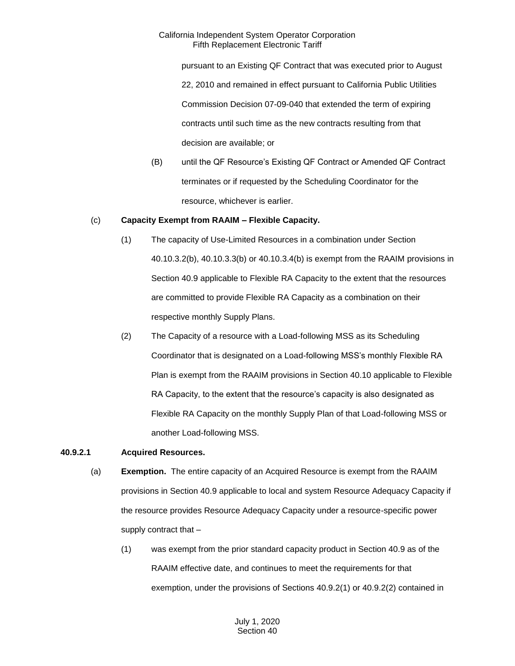pursuant to an Existing QF Contract that was executed prior to August 22, 2010 and remained in effect pursuant to California Public Utilities Commission Decision 07-09-040 that extended the term of expiring contracts until such time as the new contracts resulting from that decision are available; or

(B) until the QF Resource's Existing QF Contract or Amended QF Contract terminates or if requested by the Scheduling Coordinator for the resource, whichever is earlier.

#### (c) **Capacity Exempt from RAAIM – Flexible Capacity.**

- (1) The capacity of Use-Limited Resources in a combination under Section 40.10.3.2(b), 40.10.3.3(b) or 40.10.3.4(b) is exempt from the RAAIM provisions in Section 40.9 applicable to Flexible RA Capacity to the extent that the resources are committed to provide Flexible RA Capacity as a combination on their respective monthly Supply Plans.
- (2) The Capacity of a resource with a Load-following MSS as its Scheduling Coordinator that is designated on a Load-following MSS's monthly Flexible RA Plan is exempt from the RAAIM provisions in Section 40.10 applicable to Flexible RA Capacity, to the extent that the resource's capacity is also designated as Flexible RA Capacity on the monthly Supply Plan of that Load-following MSS or another Load-following MSS.

#### **40.9.2.1 Acquired Resources.**

- (a) **Exemption.** The entire capacity of an Acquired Resource is exempt from the RAAIM provisions in Section 40.9 applicable to local and system Resource Adequacy Capacity if the resource provides Resource Adequacy Capacity under a resource-specific power supply contract that –
	- (1) was exempt from the prior standard capacity product in Section 40.9 as of the RAAIM effective date, and continues to meet the requirements for that exemption, under the provisions of Sections 40.9.2(1) or 40.9.2(2) contained in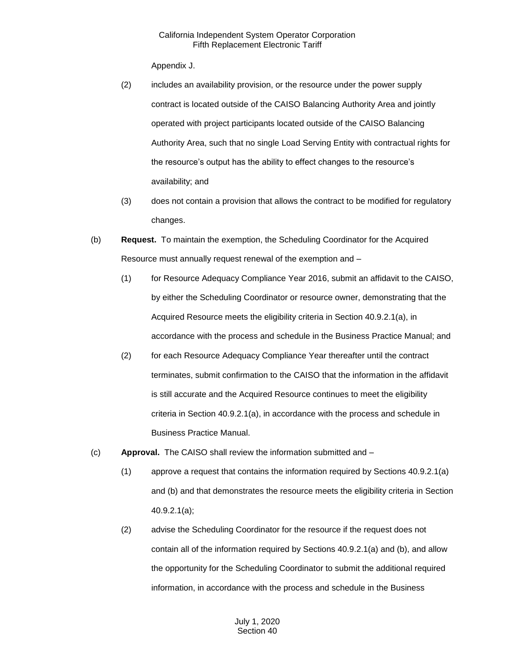Appendix J.

- (2) includes an availability provision, or the resource under the power supply contract is located outside of the CAISO Balancing Authority Area and jointly operated with project participants located outside of the CAISO Balancing Authority Area, such that no single Load Serving Entity with contractual rights for the resource's output has the ability to effect changes to the resource's availability; and
- (3) does not contain a provision that allows the contract to be modified for regulatory changes.
- (b) **Request.** To maintain the exemption, the Scheduling Coordinator for the Acquired Resource must annually request renewal of the exemption and –
	- (1) for Resource Adequacy Compliance Year 2016, submit an affidavit to the CAISO, by either the Scheduling Coordinator or resource owner, demonstrating that the Acquired Resource meets the eligibility criteria in Section 40.9.2.1(a), in accordance with the process and schedule in the Business Practice Manual; and
	- (2) for each Resource Adequacy Compliance Year thereafter until the contract terminates, submit confirmation to the CAISO that the information in the affidavit is still accurate and the Acquired Resource continues to meet the eligibility criteria in Section 40.9.2.1(a), in accordance with the process and schedule in Business Practice Manual.
- (c) **Approval.** The CAISO shall review the information submitted and
	- (1) approve a request that contains the information required by Sections 40.9.2.1(a) and (b) and that demonstrates the resource meets the eligibility criteria in Section 40.9.2.1(a);
	- (2) advise the Scheduling Coordinator for the resource if the request does not contain all of the information required by Sections 40.9.2.1(a) and (b), and allow the opportunity for the Scheduling Coordinator to submit the additional required information, in accordance with the process and schedule in the Business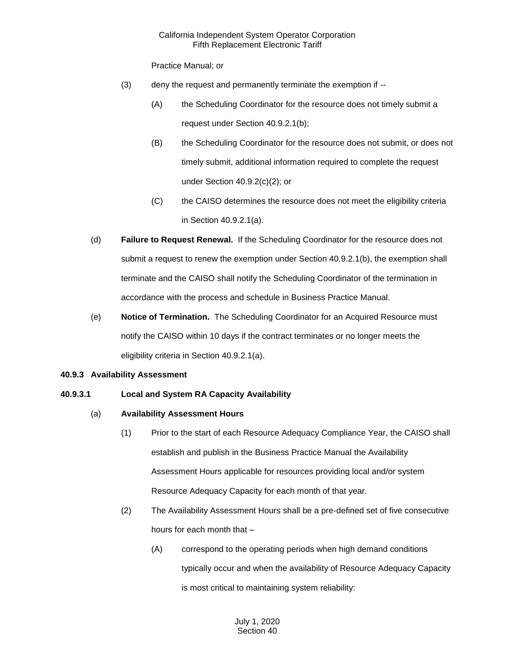Practice Manual; or

- (3) deny the request and permanently terminate the exemption if --
	- (A) the Scheduling Coordinator for the resource does not timely submit a request under Section 40.9.2.1(b);
	- (B) the Scheduling Coordinator for the resource does not submit, or does not timely submit, additional information required to complete the request under Section 40.9.2(c)(2); or
	- (C) the CAISO determines the resource does not meet the eligibility criteria in Section 40.9.2.1(a).
- (d) **Failure to Request Renewal.** If the Scheduling Coordinator for the resource does not submit a request to renew the exemption under Section 40.9.2.1(b), the exemption shall terminate and the CAISO shall notify the Scheduling Coordinator of the termination in accordance with the process and schedule in Business Practice Manual.
- (e) **Notice of Termination.** The Scheduling Coordinator for an Acquired Resource must notify the CAISO within 10 days if the contract terminates or no longer meets the eligibility criteria in Section 40.9.2.1(a).

# **40.9.3 Availability Assessment**

# **40.9.3.1 Local and System RA Capacity Availability**

#### (a) **Availability Assessment Hours**

- (1) Prior to the start of each Resource Adequacy Compliance Year, the CAISO shall establish and publish in the Business Practice Manual the Availability Assessment Hours applicable for resources providing local and/or system Resource Adequacy Capacity for each month of that year.
- (2) The Availability Assessment Hours shall be a pre-defined set of five consecutive hours for each month that –
	- (A) correspond to the operating periods when high demand conditions typically occur and when the availability of Resource Adequacy Capacity is most critical to maintaining system reliability: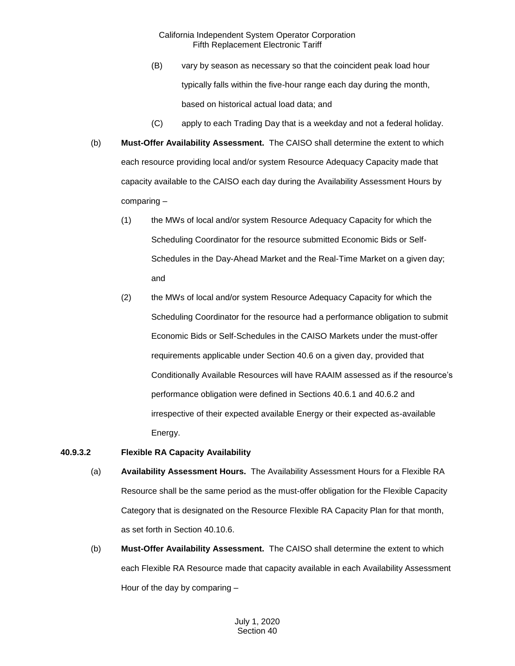- (B) vary by season as necessary so that the coincident peak load hour typically falls within the five-hour range each day during the month, based on historical actual load data; and
- (C) apply to each Trading Day that is a weekday and not a federal holiday.
- (b) **Must-Offer Availability Assessment.** The CAISO shall determine the extent to which each resource providing local and/or system Resource Adequacy Capacity made that capacity available to the CAISO each day during the Availability Assessment Hours by comparing –
	- (1) the MWs of local and/or system Resource Adequacy Capacity for which the Scheduling Coordinator for the resource submitted Economic Bids or Self-Schedules in the Day-Ahead Market and the Real-Time Market on a given day; and
	- (2) the MWs of local and/or system Resource Adequacy Capacity for which the Scheduling Coordinator for the resource had a performance obligation to submit Economic Bids or Self-Schedules in the CAISO Markets under the must-offer requirements applicable under Section 40.6 on a given day, provided that Conditionally Available Resources will have RAAIM assessed as if the resource's performance obligation were defined in Sections 40.6.1 and 40.6.2 and irrespective of their expected available Energy or their expected as-available Energy.

# **40.9.3.2 Flexible RA Capacity Availability**

- (a) **Availability Assessment Hours.** The Availability Assessment Hours for a Flexible RA Resource shall be the same period as the must-offer obligation for the Flexible Capacity Category that is designated on the Resource Flexible RA Capacity Plan for that month, as set forth in Section 40.10.6.
- (b) **Must-Offer Availability Assessment.** The CAISO shall determine the extent to which each Flexible RA Resource made that capacity available in each Availability Assessment Hour of the day by comparing –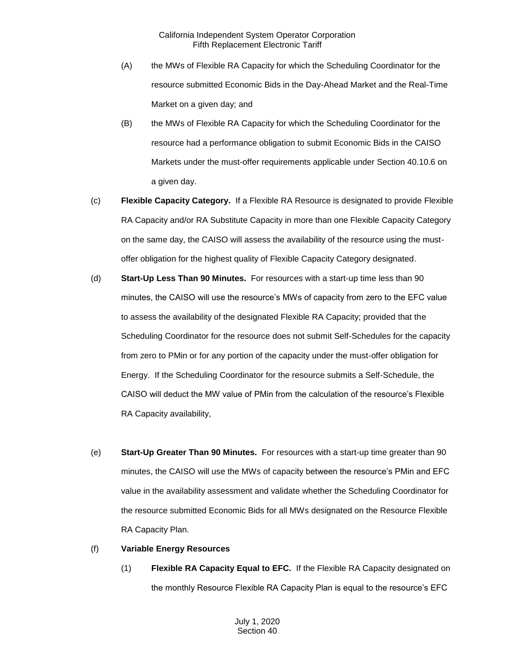- (A) the MWs of Flexible RA Capacity for which the Scheduling Coordinator for the resource submitted Economic Bids in the Day-Ahead Market and the Real-Time Market on a given day; and
- (B) the MWs of Flexible RA Capacity for which the Scheduling Coordinator for the resource had a performance obligation to submit Economic Bids in the CAISO Markets under the must-offer requirements applicable under Section 40.10.6 on a given day.
- (c) **Flexible Capacity Category.** If a Flexible RA Resource is designated to provide Flexible RA Capacity and/or RA Substitute Capacity in more than one Flexible Capacity Category on the same day, the CAISO will assess the availability of the resource using the mustoffer obligation for the highest quality of Flexible Capacity Category designated.
- (d) **Start-Up Less Than 90 Minutes.** For resources with a start-up time less than 90 minutes, the CAISO will use the resource's MWs of capacity from zero to the EFC value to assess the availability of the designated Flexible RA Capacity; provided that the Scheduling Coordinator for the resource does not submit Self-Schedules for the capacity from zero to PMin or for any portion of the capacity under the must-offer obligation for Energy. If the Scheduling Coordinator for the resource submits a Self-Schedule, the CAISO will deduct the MW value of PMin from the calculation of the resource's Flexible RA Capacity availability,
- (e) **Start-Up Greater Than 90 Minutes.** For resources with a start-up time greater than 90 minutes, the CAISO will use the MWs of capacity between the resource's PMin and EFC value in the availability assessment and validate whether the Scheduling Coordinator for the resource submitted Economic Bids for all MWs designated on the Resource Flexible RA Capacity Plan.
- (f) **Variable Energy Resources**
	- (1) **Flexible RA Capacity Equal to EFC.** If the Flexible RA Capacity designated on the monthly Resource Flexible RA Capacity Plan is equal to the resource's EFC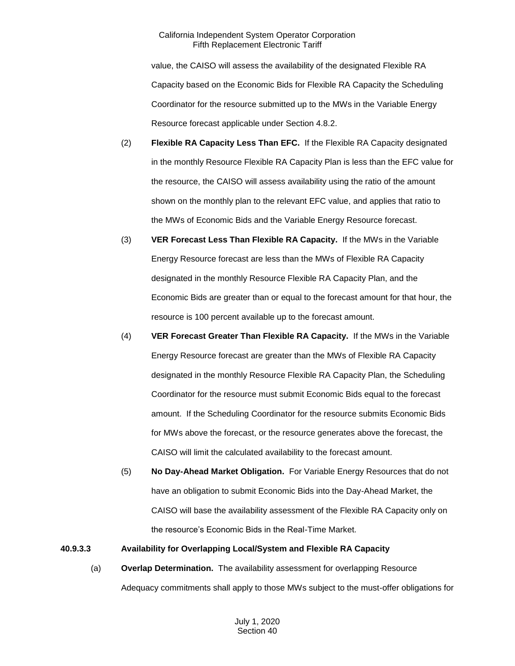value, the CAISO will assess the availability of the designated Flexible RA Capacity based on the Economic Bids for Flexible RA Capacity the Scheduling Coordinator for the resource submitted up to the MWs in the Variable Energy Resource forecast applicable under Section 4.8.2.

- (2) **Flexible RA Capacity Less Than EFC.** If the Flexible RA Capacity designated in the monthly Resource Flexible RA Capacity Plan is less than the EFC value for the resource, the CAISO will assess availability using the ratio of the amount shown on the monthly plan to the relevant EFC value, and applies that ratio to the MWs of Economic Bids and the Variable Energy Resource forecast.
- (3) **VER Forecast Less Than Flexible RA Capacity.** If the MWs in the Variable Energy Resource forecast are less than the MWs of Flexible RA Capacity designated in the monthly Resource Flexible RA Capacity Plan, and the Economic Bids are greater than or equal to the forecast amount for that hour, the resource is 100 percent available up to the forecast amount.
- (4) **VER Forecast Greater Than Flexible RA Capacity.** If the MWs in the Variable Energy Resource forecast are greater than the MWs of Flexible RA Capacity designated in the monthly Resource Flexible RA Capacity Plan, the Scheduling Coordinator for the resource must submit Economic Bids equal to the forecast amount. If the Scheduling Coordinator for the resource submits Economic Bids for MWs above the forecast, or the resource generates above the forecast, the CAISO will limit the calculated availability to the forecast amount.
- (5) **No Day-Ahead Market Obligation.** For Variable Energy Resources that do not have an obligation to submit Economic Bids into the Day-Ahead Market, the CAISO will base the availability assessment of the Flexible RA Capacity only on the resource's Economic Bids in the Real-Time Market.

# **40.9.3.3 Availability for Overlapping Local/System and Flexible RA Capacity**

(a) **Overlap Determination.** The availability assessment for overlapping Resource Adequacy commitments shall apply to those MWs subject to the must-offer obligations for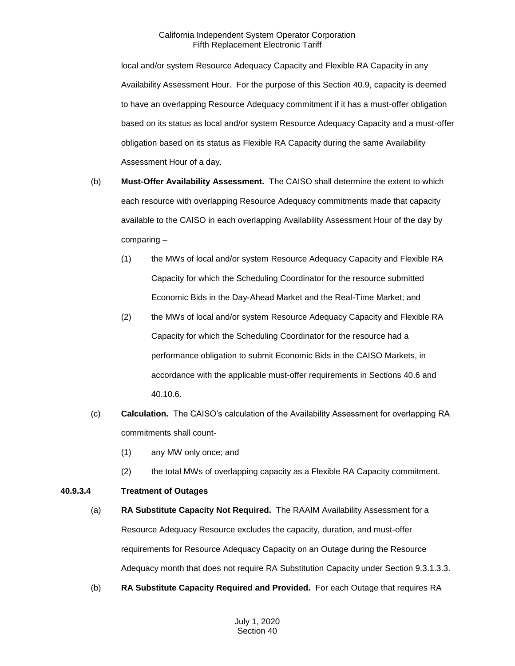local and/or system Resource Adequacy Capacity and Flexible RA Capacity in any Availability Assessment Hour. For the purpose of this Section 40.9, capacity is deemed to have an overlapping Resource Adequacy commitment if it has a must-offer obligation based on its status as local and/or system Resource Adequacy Capacity and a must-offer obligation based on its status as Flexible RA Capacity during the same Availability Assessment Hour of a day.

- (b) **Must-Offer Availability Assessment.** The CAISO shall determine the extent to which each resource with overlapping Resource Adequacy commitments made that capacity available to the CAISO in each overlapping Availability Assessment Hour of the day by comparing –
	- (1) the MWs of local and/or system Resource Adequacy Capacity and Flexible RA Capacity for which the Scheduling Coordinator for the resource submitted Economic Bids in the Day-Ahead Market and the Real-Time Market; and
	- (2) the MWs of local and/or system Resource Adequacy Capacity and Flexible RA Capacity for which the Scheduling Coordinator for the resource had a performance obligation to submit Economic Bids in the CAISO Markets, in accordance with the applicable must-offer requirements in Sections 40.6 and 40.10.6.
- (c) **Calculation.** The CAISO's calculation of the Availability Assessment for overlapping RA commitments shall count-
	- (1) any MW only once; and
	- (2) the total MWs of overlapping capacity as a Flexible RA Capacity commitment.

# **40.9.3.4 Treatment of Outages**

- (a) **RA Substitute Capacity Not Required.** The RAAIM Availability Assessment for a Resource Adequacy Resource excludes the capacity, duration, and must-offer requirements for Resource Adequacy Capacity on an Outage during the Resource Adequacy month that does not require RA Substitution Capacity under Section 9.3.1.3.3.
- (b) **RA Substitute Capacity Required and Provided.** For each Outage that requires RA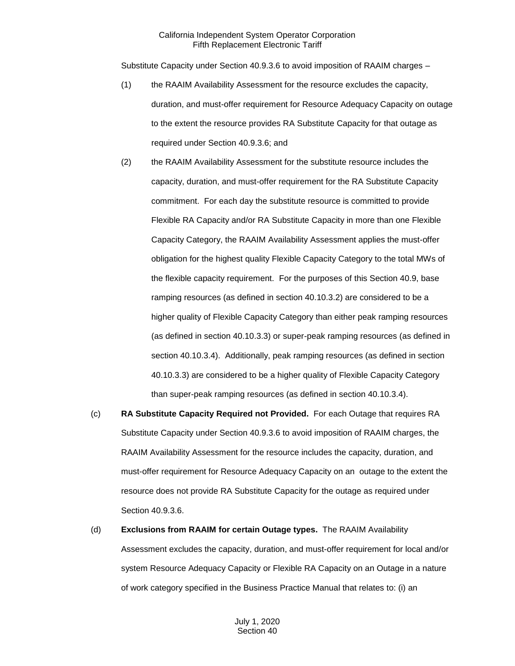Substitute Capacity under Section 40.9.3.6 to avoid imposition of RAAIM charges –

- (1) the RAAIM Availability Assessment for the resource excludes the capacity, duration, and must-offer requirement for Resource Adequacy Capacity on outage to the extent the resource provides RA Substitute Capacity for that outage as required under Section 40.9.3.6; and
- (2) the RAAIM Availability Assessment for the substitute resource includes the capacity, duration, and must-offer requirement for the RA Substitute Capacity commitment. For each day the substitute resource is committed to provide Flexible RA Capacity and/or RA Substitute Capacity in more than one Flexible Capacity Category, the RAAIM Availability Assessment applies the must-offer obligation for the highest quality Flexible Capacity Category to the total MWs of the flexible capacity requirement. For the purposes of this Section 40.9, base ramping resources (as defined in section 40.10.3.2) are considered to be a higher quality of Flexible Capacity Category than either peak ramping resources (as defined in section 40.10.3.3) or super-peak ramping resources (as defined in section 40.10.3.4). Additionally, peak ramping resources (as defined in section 40.10.3.3) are considered to be a higher quality of Flexible Capacity Category than super-peak ramping resources (as defined in section 40.10.3.4).
- (c) **RA Substitute Capacity Required not Provided.** For each Outage that requires RA Substitute Capacity under Section 40.9.3.6 to avoid imposition of RAAIM charges, the RAAIM Availability Assessment for the resource includes the capacity, duration, and must-offer requirement for Resource Adequacy Capacity on an outage to the extent the resource does not provide RA Substitute Capacity for the outage as required under Section 40.9.3.6.
- (d) **Exclusions from RAAIM for certain Outage types.** The RAAIM Availability Assessment excludes the capacity, duration, and must-offer requirement for local and/or system Resource Adequacy Capacity or Flexible RA Capacity on an Outage in a nature of work category specified in the Business Practice Manual that relates to: (i) an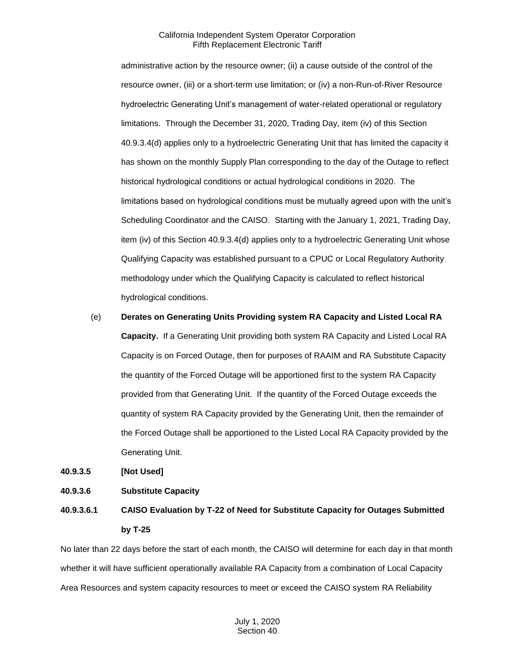administrative action by the resource owner; (ii) a cause outside of the control of the resource owner, (iii) or a short-term use limitation; or (iv) a non-Run-of-River Resource hydroelectric Generating Unit's management of water-related operational or regulatory limitations. Through the December 31, 2020, Trading Day, item (iv) of this Section 40.9.3.4(d) applies only to a hydroelectric Generating Unit that has limited the capacity it has shown on the monthly Supply Plan corresponding to the day of the Outage to reflect historical hydrological conditions or actual hydrological conditions in 2020. The limitations based on hydrological conditions must be mutually agreed upon with the unit's Scheduling Coordinator and the CAISO. Starting with the January 1, 2021, Trading Day, item (iv) of this Section 40.9.3.4(d) applies only to a hydroelectric Generating Unit whose Qualifying Capacity was established pursuant to a CPUC or Local Regulatory Authority methodology under which the Qualifying Capacity is calculated to reflect historical hydrological conditions.

(e) **Derates on Generating Units Providing system RA Capacity and Listed Local RA Capacity.** If a Generating Unit providing both system RA Capacity and Listed Local RA Capacity is on Forced Outage, then for purposes of RAAIM and RA Substitute Capacity the quantity of the Forced Outage will be apportioned first to the system RA Capacity provided from that Generating Unit. If the quantity of the Forced Outage exceeds the quantity of system RA Capacity provided by the Generating Unit, then the remainder of the Forced Outage shall be apportioned to the Listed Local RA Capacity provided by the Generating Unit.

**40.9.3.5 [Not Used]** 

#### **40.9.3.6 Substitute Capacity**

# **40.9.3.6.1 CAISO Evaluation by T-22 of Need for Substitute Capacity for Outages Submitted by T-25**

No later than 22 days before the start of each month, the CAISO will determine for each day in that month whether it will have sufficient operationally available RA Capacity from a combination of Local Capacity Area Resources and system capacity resources to meet or exceed the CAISO system RA Reliability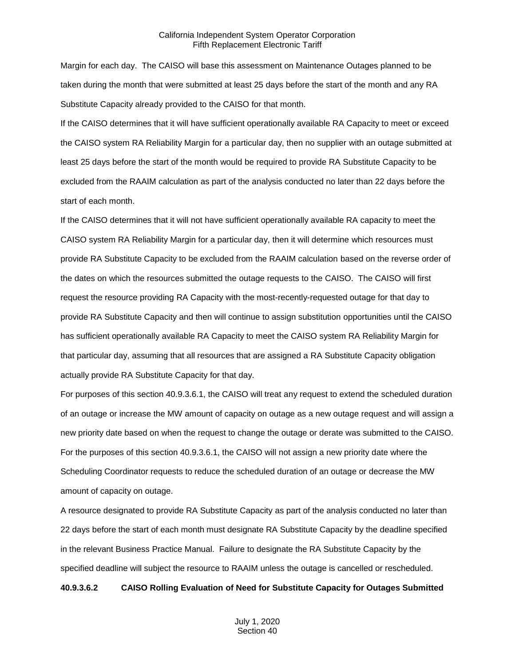Margin for each day. The CAISO will base this assessment on Maintenance Outages planned to be taken during the month that were submitted at least 25 days before the start of the month and any RA Substitute Capacity already provided to the CAISO for that month.

If the CAISO determines that it will have sufficient operationally available RA Capacity to meet or exceed the CAISO system RA Reliability Margin for a particular day, then no supplier with an outage submitted at least 25 days before the start of the month would be required to provide RA Substitute Capacity to be excluded from the RAAIM calculation as part of the analysis conducted no later than 22 days before the start of each month.

If the CAISO determines that it will not have sufficient operationally available RA capacity to meet the CAISO system RA Reliability Margin for a particular day, then it will determine which resources must provide RA Substitute Capacity to be excluded from the RAAIM calculation based on the reverse order of the dates on which the resources submitted the outage requests to the CAISO. The CAISO will first request the resource providing RA Capacity with the most-recently-requested outage for that day to provide RA Substitute Capacity and then will continue to assign substitution opportunities until the CAISO has sufficient operationally available RA Capacity to meet the CAISO system RA Reliability Margin for that particular day, assuming that all resources that are assigned a RA Substitute Capacity obligation actually provide RA Substitute Capacity for that day.

For purposes of this section 40.9.3.6.1, the CAISO will treat any request to extend the scheduled duration of an outage or increase the MW amount of capacity on outage as a new outage request and will assign a new priority date based on when the request to change the outage or derate was submitted to the CAISO. For the purposes of this section 40.9.3.6.1, the CAISO will not assign a new priority date where the Scheduling Coordinator requests to reduce the scheduled duration of an outage or decrease the MW amount of capacity on outage.

A resource designated to provide RA Substitute Capacity as part of the analysis conducted no later than 22 days before the start of each month must designate RA Substitute Capacity by the deadline specified in the relevant Business Practice Manual. Failure to designate the RA Substitute Capacity by the specified deadline will subject the resource to RAAIM unless the outage is cancelled or rescheduled.

#### **40.9.3.6.2 CAISO Rolling Evaluation of Need for Substitute Capacity for Outages Submitted**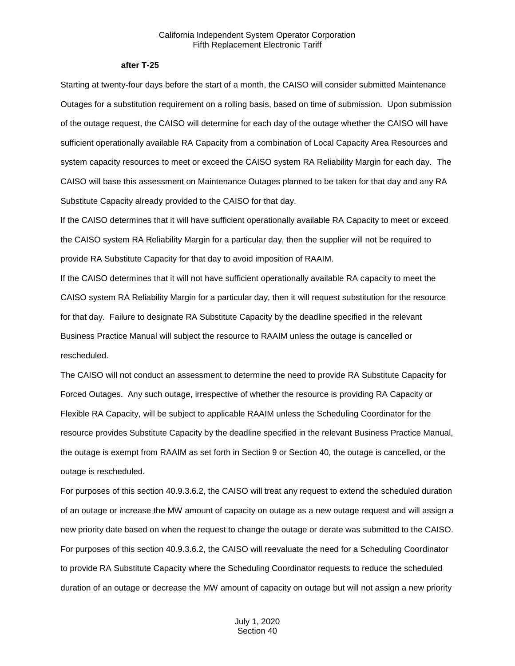#### **after T-25**

Starting at twenty-four days before the start of a month, the CAISO will consider submitted Maintenance Outages for a substitution requirement on a rolling basis, based on time of submission. Upon submission of the outage request, the CAISO will determine for each day of the outage whether the CAISO will have sufficient operationally available RA Capacity from a combination of Local Capacity Area Resources and system capacity resources to meet or exceed the CAISO system RA Reliability Margin for each day. The CAISO will base this assessment on Maintenance Outages planned to be taken for that day and any RA Substitute Capacity already provided to the CAISO for that day.

If the CAISO determines that it will have sufficient operationally available RA Capacity to meet or exceed the CAISO system RA Reliability Margin for a particular day, then the supplier will not be required to provide RA Substitute Capacity for that day to avoid imposition of RAAIM.

If the CAISO determines that it will not have sufficient operationally available RA capacity to meet the CAISO system RA Reliability Margin for a particular day, then it will request substitution for the resource for that day. Failure to designate RA Substitute Capacity by the deadline specified in the relevant Business Practice Manual will subject the resource to RAAIM unless the outage is cancelled or rescheduled.

The CAISO will not conduct an assessment to determine the need to provide RA Substitute Capacity for Forced Outages. Any such outage, irrespective of whether the resource is providing RA Capacity or Flexible RA Capacity, will be subject to applicable RAAIM unless the Scheduling Coordinator for the resource provides Substitute Capacity by the deadline specified in the relevant Business Practice Manual, the outage is exempt from RAAIM as set forth in Section 9 or Section 40, the outage is cancelled, or the outage is rescheduled.

For purposes of this section 40.9.3.6.2, the CAISO will treat any request to extend the scheduled duration of an outage or increase the MW amount of capacity on outage as a new outage request and will assign a new priority date based on when the request to change the outage or derate was submitted to the CAISO. For purposes of this section 40.9.3.6.2, the CAISO will reevaluate the need for a Scheduling Coordinator to provide RA Substitute Capacity where the Scheduling Coordinator requests to reduce the scheduled duration of an outage or decrease the MW amount of capacity on outage but will not assign a new priority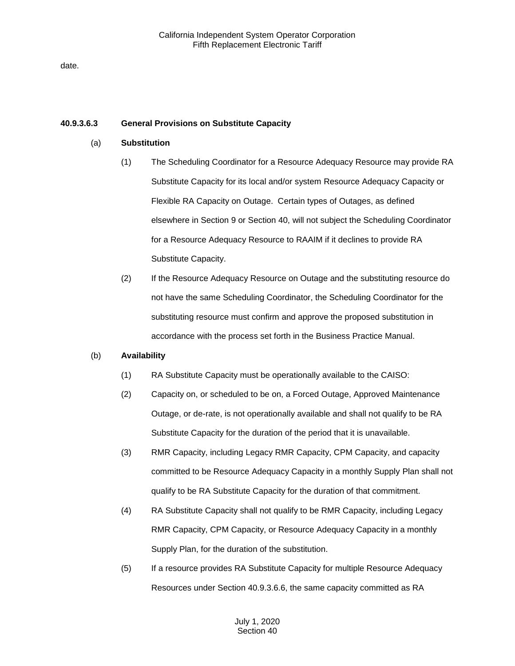date.

## **40.9.3.6.3 General Provisions on Substitute Capacity**

## (a) **Substitution**

- (1) The Scheduling Coordinator for a Resource Adequacy Resource may provide RA Substitute Capacity for its local and/or system Resource Adequacy Capacity or Flexible RA Capacity on Outage. Certain types of Outages, as defined elsewhere in Section 9 or Section 40, will not subject the Scheduling Coordinator for a Resource Adequacy Resource to RAAIM if it declines to provide RA Substitute Capacity.
- (2) If the Resource Adequacy Resource on Outage and the substituting resource do not have the same Scheduling Coordinator, the Scheduling Coordinator for the substituting resource must confirm and approve the proposed substitution in accordance with the process set forth in the Business Practice Manual.

# (b) **Availability**

- (1) RA Substitute Capacity must be operationally available to the CAISO:
- (2) Capacity on, or scheduled to be on, a Forced Outage, Approved Maintenance Outage, or de-rate, is not operationally available and shall not qualify to be RA Substitute Capacity for the duration of the period that it is unavailable.
- (3) RMR Capacity, including Legacy RMR Capacity, CPM Capacity, and capacity committed to be Resource Adequacy Capacity in a monthly Supply Plan shall not qualify to be RA Substitute Capacity for the duration of that commitment.
- (4) RA Substitute Capacity shall not qualify to be RMR Capacity, including Legacy RMR Capacity, CPM Capacity, or Resource Adequacy Capacity in a monthly Supply Plan, for the duration of the substitution.
- (5) If a resource provides RA Substitute Capacity for multiple Resource Adequacy Resources under Section 40.9.3.6.6, the same capacity committed as RA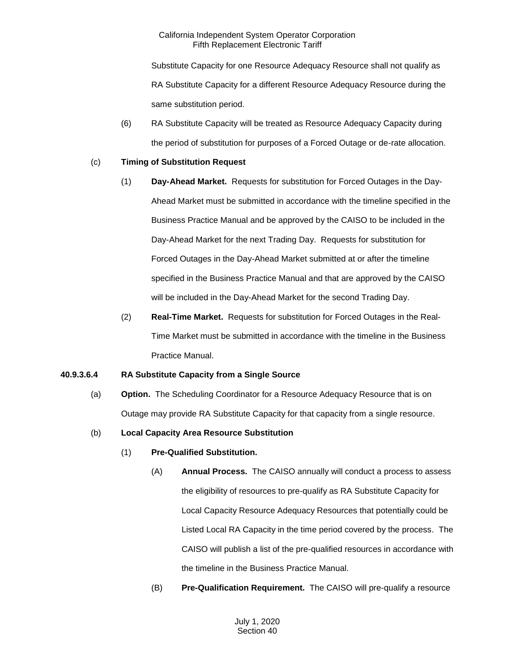Substitute Capacity for one Resource Adequacy Resource shall not qualify as RA Substitute Capacity for a different Resource Adequacy Resource during the same substitution period.

(6) RA Substitute Capacity will be treated as Resource Adequacy Capacity during the period of substitution for purposes of a Forced Outage or de-rate allocation.

# (c) **Timing of Substitution Request**

- (1) **Day-Ahead Market.** Requests for substitution for Forced Outages in the Day-Ahead Market must be submitted in accordance with the timeline specified in the Business Practice Manual and be approved by the CAISO to be included in the Day-Ahead Market for the next Trading Day. Requests for substitution for Forced Outages in the Day-Ahead Market submitted at or after the timeline specified in the Business Practice Manual and that are approved by the CAISO will be included in the Day-Ahead Market for the second Trading Day.
- (2) **Real-Time Market.** Requests for substitution for Forced Outages in the Real-Time Market must be submitted in accordance with the timeline in the Business Practice Manual.

#### **40.9.3.6.4 RA Substitute Capacity from a Single Source**

(a) **Option.** The Scheduling Coordinator for a Resource Adequacy Resource that is on Outage may provide RA Substitute Capacity for that capacity from a single resource.

# (b) **Local Capacity Area Resource Substitution**

- (1) **Pre-Qualified Substitution.**
	- (A) **Annual Process.** The CAISO annually will conduct a process to assess the eligibility of resources to pre-qualify as RA Substitute Capacity for Local Capacity Resource Adequacy Resources that potentially could be Listed Local RA Capacity in the time period covered by the process. The CAISO will publish a list of the pre-qualified resources in accordance with the timeline in the Business Practice Manual.
	- (B) **Pre-Qualification Requirement.** The CAISO will pre-qualify a resource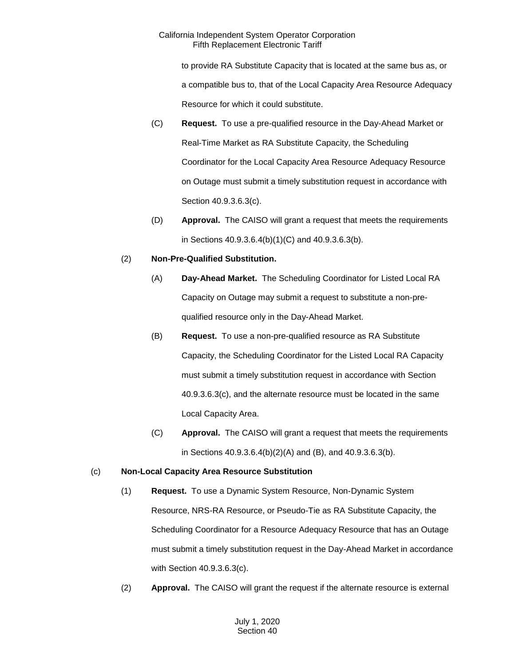to provide RA Substitute Capacity that is located at the same bus as, or a compatible bus to, that of the Local Capacity Area Resource Adequacy Resource for which it could substitute.

- (C) **Request.** To use a pre-qualified resource in the Day-Ahead Market or Real-Time Market as RA Substitute Capacity, the Scheduling Coordinator for the Local Capacity Area Resource Adequacy Resource on Outage must submit a timely substitution request in accordance with Section 40.9.3.6.3(c).
- (D) **Approval.** The CAISO will grant a request that meets the requirements in Sections 40.9.3.6.4(b)(1)(C) and 40.9.3.6.3(b).

# (2) **Non-Pre-Qualified Substitution.**

- (A) **Day-Ahead Market.** The Scheduling Coordinator for Listed Local RA Capacity on Outage may submit a request to substitute a non-prequalified resource only in the Day-Ahead Market.
- (B) **Request.** To use a non-pre-qualified resource as RA Substitute Capacity, the Scheduling Coordinator for the Listed Local RA Capacity must submit a timely substitution request in accordance with Section 40.9.3.6.3(c), and the alternate resource must be located in the same Local Capacity Area.
- (C) **Approval.** The CAISO will grant a request that meets the requirements in Sections 40.9.3.6.4(b)(2)(A) and (B), and 40.9.3.6.3(b).

# (c) **Non-Local Capacity Area Resource Substitution**

- (1) **Request.** To use a Dynamic System Resource, Non-Dynamic System Resource, NRS-RA Resource, or Pseudo-Tie as RA Substitute Capacity, the Scheduling Coordinator for a Resource Adequacy Resource that has an Outage must submit a timely substitution request in the Day-Ahead Market in accordance with Section 40.9.3.6.3(c).
- (2) **Approval.** The CAISO will grant the request if the alternate resource is external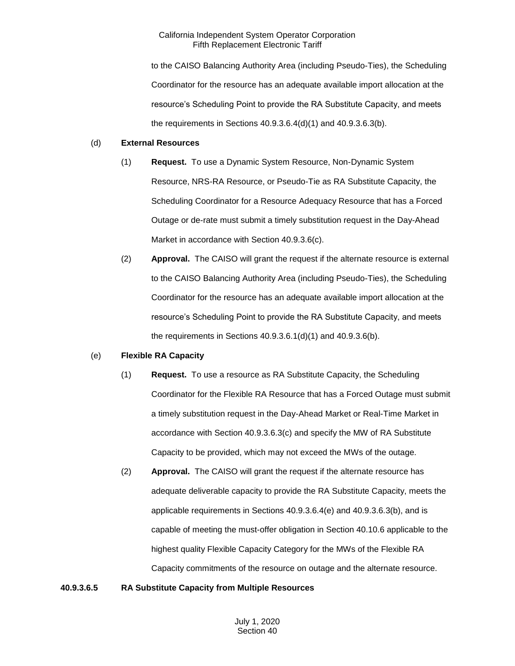to the CAISO Balancing Authority Area (including Pseudo-Ties), the Scheduling Coordinator for the resource has an adequate available import allocation at the resource's Scheduling Point to provide the RA Substitute Capacity, and meets the requirements in Sections 40.9.3.6.4(d)(1) and 40.9.3.6.3(b).

### (d) **External Resources**

- (1) **Request.** To use a Dynamic System Resource, Non-Dynamic System Resource, NRS-RA Resource, or Pseudo-Tie as RA Substitute Capacity, the Scheduling Coordinator for a Resource Adequacy Resource that has a Forced Outage or de-rate must submit a timely substitution request in the Day-Ahead Market in accordance with Section 40.9.3.6(c).
- (2) **Approval.** The CAISO will grant the request if the alternate resource is external to the CAISO Balancing Authority Area (including Pseudo-Ties), the Scheduling Coordinator for the resource has an adequate available import allocation at the resource's Scheduling Point to provide the RA Substitute Capacity, and meets the requirements in Sections 40.9.3.6.1(d)(1) and 40.9.3.6(b).

#### (e) **Flexible RA Capacity**

- (1) **Request.** To use a resource as RA Substitute Capacity, the Scheduling Coordinator for the Flexible RA Resource that has a Forced Outage must submit a timely substitution request in the Day-Ahead Market or Real-Time Market in accordance with Section 40.9.3.6.3(c) and specify the MW of RA Substitute Capacity to be provided, which may not exceed the MWs of the outage.
- (2) **Approval.** The CAISO will grant the request if the alternate resource has adequate deliverable capacity to provide the RA Substitute Capacity, meets the applicable requirements in Sections 40.9.3.6.4(e) and 40.9.3.6.3(b), and is capable of meeting the must-offer obligation in Section 40.10.6 applicable to the highest quality Flexible Capacity Category for the MWs of the Flexible RA Capacity commitments of the resource on outage and the alternate resource.

# **40.9.3.6.5 RA Substitute Capacity from Multiple Resources**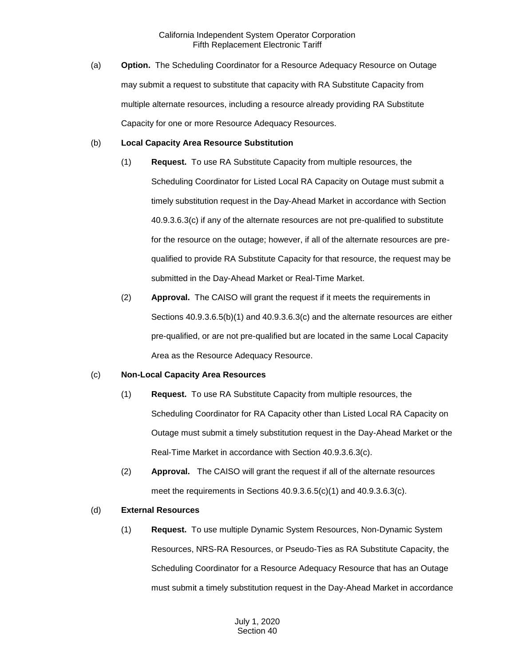(a) **Option.** The Scheduling Coordinator for a Resource Adequacy Resource on Outage may submit a request to substitute that capacity with RA Substitute Capacity from multiple alternate resources, including a resource already providing RA Substitute Capacity for one or more Resource Adequacy Resources.

#### (b) **Local Capacity Area Resource Substitution**

- (1) **Request.** To use RA Substitute Capacity from multiple resources, the Scheduling Coordinator for Listed Local RA Capacity on Outage must submit a timely substitution request in the Day-Ahead Market in accordance with Section 40.9.3.6.3(c) if any of the alternate resources are not pre-qualified to substitute for the resource on the outage; however, if all of the alternate resources are prequalified to provide RA Substitute Capacity for that resource, the request may be submitted in the Day-Ahead Market or Real-Time Market.
- (2) **Approval.** The CAISO will grant the request if it meets the requirements in Sections 40.9.3.6.5(b)(1) and 40.9.3.6.3(c) and the alternate resources are either pre-qualified, or are not pre-qualified but are located in the same Local Capacity Area as the Resource Adequacy Resource.

# (c) **Non-Local Capacity Area Resources**

- (1) **Request.** To use RA Substitute Capacity from multiple resources, the Scheduling Coordinator for RA Capacity other than Listed Local RA Capacity on Outage must submit a timely substitution request in the Day-Ahead Market or the Real-Time Market in accordance with Section 40.9.3.6.3(c).
- (2) **Approval.** The CAISO will grant the request if all of the alternate resources meet the requirements in Sections 40.9.3.6.5(c)(1) and 40.9.3.6.3(c).

# (d) **External Resources**

(1) **Request.** To use multiple Dynamic System Resources, Non-Dynamic System Resources, NRS-RA Resources, or Pseudo-Ties as RA Substitute Capacity, the Scheduling Coordinator for a Resource Adequacy Resource that has an Outage must submit a timely substitution request in the Day-Ahead Market in accordance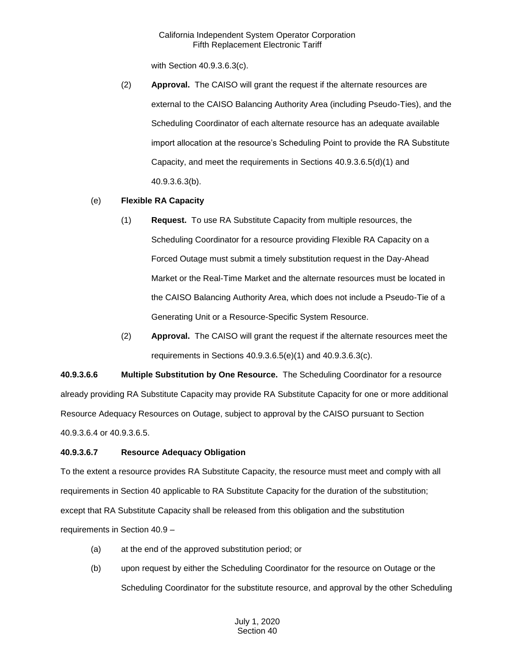with Section 40.9.3.6.3(c).

(2) **Approval.** The CAISO will grant the request if the alternate resources are external to the CAISO Balancing Authority Area (including Pseudo-Ties), and the Scheduling Coordinator of each alternate resource has an adequate available import allocation at the resource's Scheduling Point to provide the RA Substitute Capacity, and meet the requirements in Sections 40.9.3.6.5(d)(1) and 40.9.3.6.3(b).

# (e) **Flexible RA Capacity**

- (1) **Request.** To use RA Substitute Capacity from multiple resources, the Scheduling Coordinator for a resource providing Flexible RA Capacity on a Forced Outage must submit a timely substitution request in the Day-Ahead Market or the Real-Time Market and the alternate resources must be located in the CAISO Balancing Authority Area, which does not include a Pseudo-Tie of a Generating Unit or a Resource-Specific System Resource.
- (2) **Approval.** The CAISO will grant the request if the alternate resources meet the requirements in Sections 40.9.3.6.5(e)(1) and 40.9.3.6.3(c).

**40.9.3.6.6 Multiple Substitution by One Resource.** The Scheduling Coordinator for a resource already providing RA Substitute Capacity may provide RA Substitute Capacity for one or more additional Resource Adequacy Resources on Outage, subject to approval by the CAISO pursuant to Section 40.9.3.6.4 or 40.9.3.6.5.

# **40.9.3.6.7 Resource Adequacy Obligation**

To the extent a resource provides RA Substitute Capacity, the resource must meet and comply with all requirements in Section 40 applicable to RA Substitute Capacity for the duration of the substitution; except that RA Substitute Capacity shall be released from this obligation and the substitution requirements in Section 40.9 –

- (a) at the end of the approved substitution period; or
- (b) upon request by either the Scheduling Coordinator for the resource on Outage or the Scheduling Coordinator for the substitute resource, and approval by the other Scheduling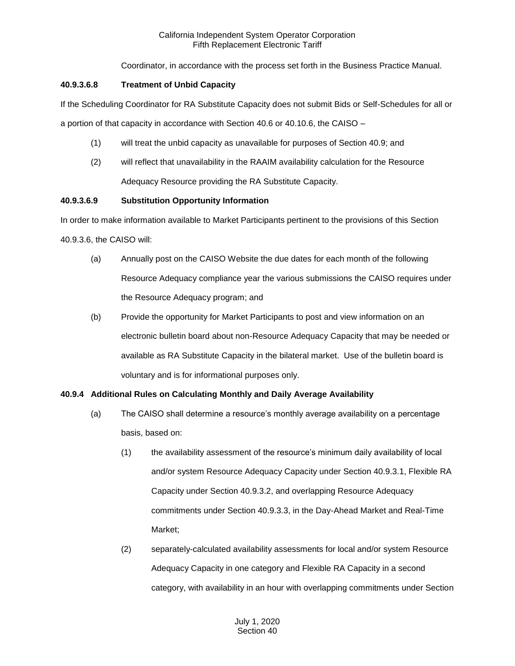Coordinator, in accordance with the process set forth in the Business Practice Manual.

# **40.9.3.6.8 Treatment of Unbid Capacity**

If the Scheduling Coordinator for RA Substitute Capacity does not submit Bids or Self-Schedules for all or

a portion of that capacity in accordance with Section 40.6 or 40.10.6, the CAISO –

- (1) will treat the unbid capacity as unavailable for purposes of Section 40.9; and
- (2) will reflect that unavailability in the RAAIM availability calculation for the Resource Adequacy Resource providing the RA Substitute Capacity.

# **40.9.3.6.9 Substitution Opportunity Information**

In order to make information available to Market Participants pertinent to the provisions of this Section 40.9.3.6, the CAISO will:

- (a) Annually post on the CAISO Website the due dates for each month of the following Resource Adequacy compliance year the various submissions the CAISO requires under the Resource Adequacy program; and
- (b) Provide the opportunity for Market Participants to post and view information on an electronic bulletin board about non-Resource Adequacy Capacity that may be needed or available as RA Substitute Capacity in the bilateral market. Use of the bulletin board is voluntary and is for informational purposes only.

# **40.9.4 Additional Rules on Calculating Monthly and Daily Average Availability**

- (a) The CAISO shall determine a resource's monthly average availability on a percentage basis, based on:
	- (1) the availability assessment of the resource's minimum daily availability of local and/or system Resource Adequacy Capacity under Section 40.9.3.1, Flexible RA Capacity under Section 40.9.3.2, and overlapping Resource Adequacy commitments under Section 40.9.3.3, in the Day-Ahead Market and Real-Time Market;
	- (2) separately-calculated availability assessments for local and/or system Resource Adequacy Capacity in one category and Flexible RA Capacity in a second category, with availability in an hour with overlapping commitments under Section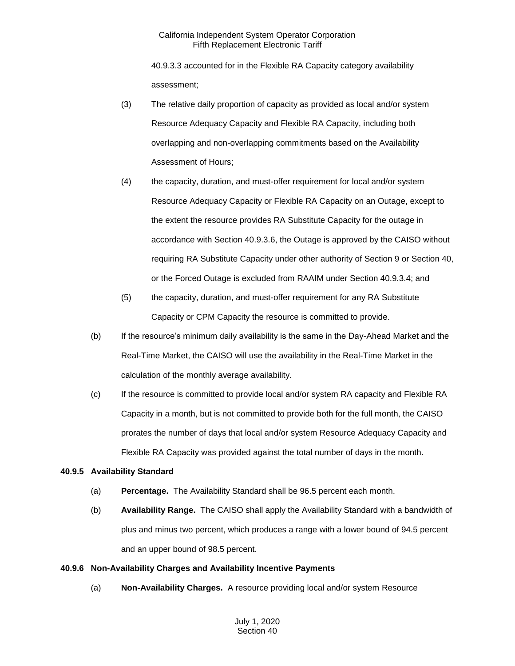40.9.3.3 accounted for in the Flexible RA Capacity category availability assessment;

- (3) The relative daily proportion of capacity as provided as local and/or system Resource Adequacy Capacity and Flexible RA Capacity, including both overlapping and non-overlapping commitments based on the Availability Assessment of Hours;
- (4) the capacity, duration, and must-offer requirement for local and/or system Resource Adequacy Capacity or Flexible RA Capacity on an Outage, except to the extent the resource provides RA Substitute Capacity for the outage in accordance with Section 40.9.3.6, the Outage is approved by the CAISO without requiring RA Substitute Capacity under other authority of Section 9 or Section 40, or the Forced Outage is excluded from RAAIM under Section 40.9.3.4; and
- (5) the capacity, duration, and must-offer requirement for any RA Substitute Capacity or CPM Capacity the resource is committed to provide.
- (b) If the resource's minimum daily availability is the same in the Day-Ahead Market and the Real-Time Market, the CAISO will use the availability in the Real-Time Market in the calculation of the monthly average availability.
- (c) If the resource is committed to provide local and/or system RA capacity and Flexible RA Capacity in a month, but is not committed to provide both for the full month, the CAISO prorates the number of days that local and/or system Resource Adequacy Capacity and Flexible RA Capacity was provided against the total number of days in the month.

# **40.9.5 Availability Standard**

- (a) **Percentage.** The Availability Standard shall be 96.5 percent each month.
- (b) **Availability Range.** The CAISO shall apply the Availability Standard with a bandwidth of plus and minus two percent, which produces a range with a lower bound of 94.5 percent and an upper bound of 98.5 percent.

# **40.9.6 Non-Availability Charges and Availability Incentive Payments**

(a) **Non-Availability Charges.** A resource providing local and/or system Resource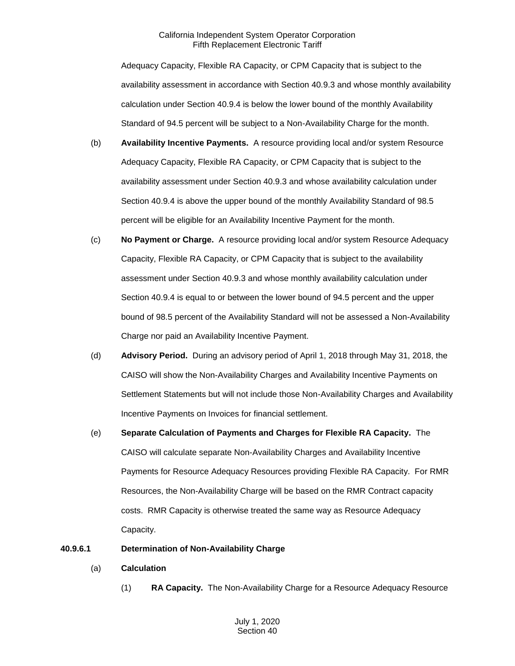Adequacy Capacity, Flexible RA Capacity, or CPM Capacity that is subject to the availability assessment in accordance with Section 40.9.3 and whose monthly availability calculation under Section 40.9.4 is below the lower bound of the monthly Availability Standard of 94.5 percent will be subject to a Non-Availability Charge for the month.

- (b) **Availability Incentive Payments.** A resource providing local and/or system Resource Adequacy Capacity, Flexible RA Capacity, or CPM Capacity that is subject to the availability assessment under Section 40.9.3 and whose availability calculation under Section 40.9.4 is above the upper bound of the monthly Availability Standard of 98.5 percent will be eligible for an Availability Incentive Payment for the month.
- (c) **No Payment or Charge.** A resource providing local and/or system Resource Adequacy Capacity, Flexible RA Capacity, or CPM Capacity that is subject to the availability assessment under Section 40.9.3 and whose monthly availability calculation under Section 40.9.4 is equal to or between the lower bound of 94.5 percent and the upper bound of 98.5 percent of the Availability Standard will not be assessed a Non-Availability Charge nor paid an Availability Incentive Payment.
- (d) **Advisory Period.** During an advisory period of April 1, 2018 through May 31, 2018, the CAISO will show the Non-Availability Charges and Availability Incentive Payments on Settlement Statements but will not include those Non-Availability Charges and Availability Incentive Payments on Invoices for financial settlement.
- (e) **Separate Calculation of Payments and Charges for Flexible RA Capacity.** The CAISO will calculate separate Non-Availability Charges and Availability Incentive Payments for Resource Adequacy Resources providing Flexible RA Capacity. For RMR Resources, the Non-Availability Charge will be based on the RMR Contract capacity costs. RMR Capacity is otherwise treated the same way as Resource Adequacy Capacity.

# **40.9.6.1 Determination of Non-Availability Charge**

- (a) **Calculation**
	- (1) **RA Capacity.** The Non-Availability Charge for a Resource Adequacy Resource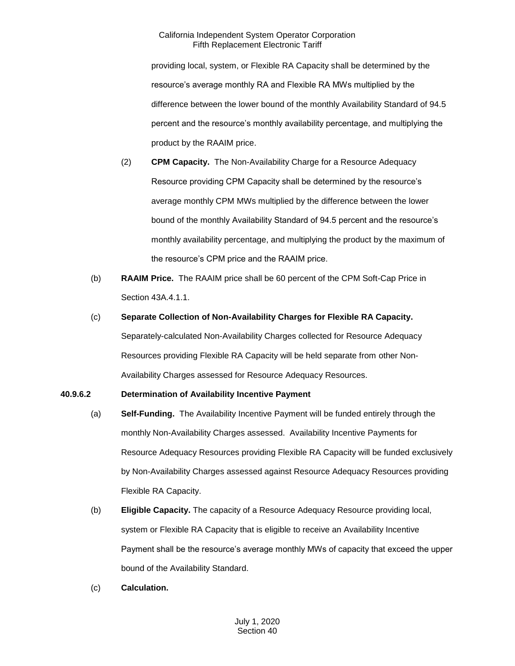providing local, system, or Flexible RA Capacity shall be determined by the resource's average monthly RA and Flexible RA MWs multiplied by the difference between the lower bound of the monthly Availability Standard of 94.5 percent and the resource's monthly availability percentage, and multiplying the product by the RAAIM price.

- (2) **CPM Capacity.** The Non-Availability Charge for a Resource Adequacy Resource providing CPM Capacity shall be determined by the resource's average monthly CPM MWs multiplied by the difference between the lower bound of the monthly Availability Standard of 94.5 percent and the resource's monthly availability percentage, and multiplying the product by the maximum of the resource's CPM price and the RAAIM price.
- (b) **RAAIM Price.** The RAAIM price shall be 60 percent of the CPM Soft-Cap Price in Section 43A.4.1.1.
- (c) **Separate Collection of Non-Availability Charges for Flexible RA Capacity.**

Separately-calculated Non-Availability Charges collected for Resource Adequacy Resources providing Flexible RA Capacity will be held separate from other Non-Availability Charges assessed for Resource Adequacy Resources.

# **40.9.6.2 Determination of Availability Incentive Payment**

- (a) **Self-Funding.** The Availability Incentive Payment will be funded entirely through the monthly Non-Availability Charges assessed. Availability Incentive Payments for Resource Adequacy Resources providing Flexible RA Capacity will be funded exclusively by Non-Availability Charges assessed against Resource Adequacy Resources providing Flexible RA Capacity.
- (b) **Eligible Capacity.** The capacity of a Resource Adequacy Resource providing local, system or Flexible RA Capacity that is eligible to receive an Availability Incentive Payment shall be the resource's average monthly MWs of capacity that exceed the upper bound of the Availability Standard.
- (c) **Calculation.**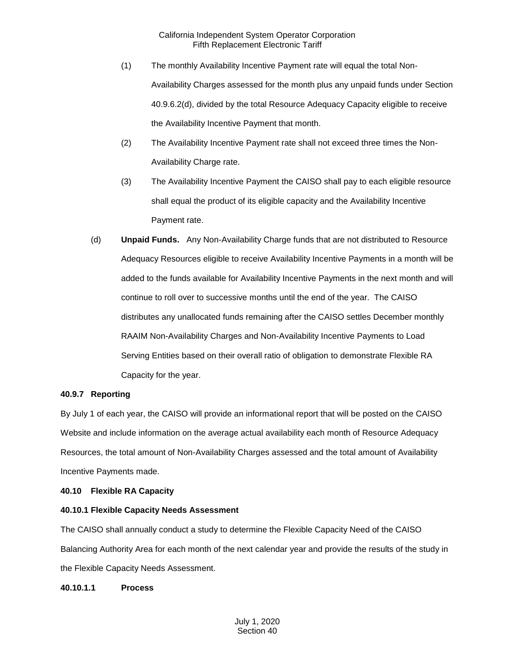- (1) The monthly Availability Incentive Payment rate will equal the total Non-Availability Charges assessed for the month plus any unpaid funds under Section 40.9.6.2(d), divided by the total Resource Adequacy Capacity eligible to receive the Availability Incentive Payment that month.
- (2) The Availability Incentive Payment rate shall not exceed three times the Non-Availability Charge rate.
- (3) The Availability Incentive Payment the CAISO shall pay to each eligible resource shall equal the product of its eligible capacity and the Availability Incentive Payment rate.
- (d) **Unpaid Funds.** Any Non-Availability Charge funds that are not distributed to Resource Adequacy Resources eligible to receive Availability Incentive Payments in a month will be added to the funds available for Availability Incentive Payments in the next month and will continue to roll over to successive months until the end of the year. The CAISO distributes any unallocated funds remaining after the CAISO settles December monthly RAAIM Non-Availability Charges and Non-Availability Incentive Payments to Load Serving Entities based on their overall ratio of obligation to demonstrate Flexible RA Capacity for the year.

# **40.9.7 Reporting**

By July 1 of each year, the CAISO will provide an informational report that will be posted on the CAISO Website and include information on the average actual availability each month of Resource Adequacy Resources, the total amount of Non-Availability Charges assessed and the total amount of Availability Incentive Payments made.

## **40.10 Flexible RA Capacity**

# **40.10.1 Flexible Capacity Needs Assessment**

The CAISO shall annually conduct a study to determine the Flexible Capacity Need of the CAISO Balancing Authority Area for each month of the next calendar year and provide the results of the study in the Flexible Capacity Needs Assessment.

## **40.10.1.1 Process**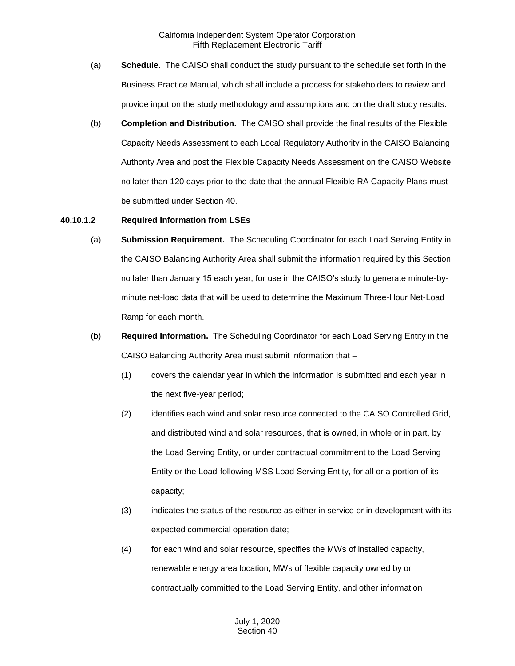- (a) **Schedule.** The CAISO shall conduct the study pursuant to the schedule set forth in the Business Practice Manual, which shall include a process for stakeholders to review and provide input on the study methodology and assumptions and on the draft study results.
- (b) **Completion and Distribution.** The CAISO shall provide the final results of the Flexible Capacity Needs Assessment to each Local Regulatory Authority in the CAISO Balancing Authority Area and post the Flexible Capacity Needs Assessment on the CAISO Website no later than 120 days prior to the date that the annual Flexible RA Capacity Plans must be submitted under Section 40.

## **40.10.1.2 Required Information from LSEs**

- (a) **Submission Requirement.** The Scheduling Coordinator for each Load Serving Entity in the CAISO Balancing Authority Area shall submit the information required by this Section, no later than January 15 each year, for use in the CAISO's study to generate minute-byminute net-load data that will be used to determine the Maximum Three-Hour Net-Load Ramp for each month.
- (b) **Required Information.** The Scheduling Coordinator for each Load Serving Entity in the CAISO Balancing Authority Area must submit information that –
	- (1) covers the calendar year in which the information is submitted and each year in the next five-year period;
	- (2) identifies each wind and solar resource connected to the CAISO Controlled Grid, and distributed wind and solar resources, that is owned, in whole or in part, by the Load Serving Entity, or under contractual commitment to the Load Serving Entity or the Load-following MSS Load Serving Entity, for all or a portion of its capacity;
	- (3) indicates the status of the resource as either in service or in development with its expected commercial operation date;
	- (4) for each wind and solar resource, specifies the MWs of installed capacity, renewable energy area location, MWs of flexible capacity owned by or contractually committed to the Load Serving Entity, and other information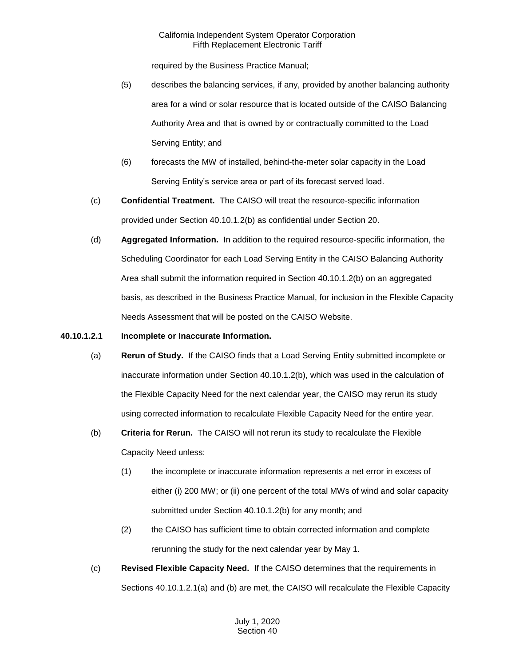required by the Business Practice Manual;

- (5) describes the balancing services, if any, provided by another balancing authority area for a wind or solar resource that is located outside of the CAISO Balancing Authority Area and that is owned by or contractually committed to the Load Serving Entity; and
- (6) forecasts the MW of installed, behind-the-meter solar capacity in the Load Serving Entity's service area or part of its forecast served load.
- (c) **Confidential Treatment.** The CAISO will treat the resource-specific information provided under Section 40.10.1.2(b) as confidential under Section 20.
- (d) **Aggregated Information.** In addition to the required resource-specific information, the Scheduling Coordinator for each Load Serving Entity in the CAISO Balancing Authority Area shall submit the information required in Section 40.10.1.2(b) on an aggregated basis, as described in the Business Practice Manual, for inclusion in the Flexible Capacity Needs Assessment that will be posted on the CAISO Website.

# **40.10.1.2.1 Incomplete or Inaccurate Information.**

- (a) **Rerun of Study.** If the CAISO finds that a Load Serving Entity submitted incomplete or inaccurate information under Section 40.10.1.2(b), which was used in the calculation of the Flexible Capacity Need for the next calendar year, the CAISO may rerun its study using corrected information to recalculate Flexible Capacity Need for the entire year.
- (b) **Criteria for Rerun.** The CAISO will not rerun its study to recalculate the Flexible Capacity Need unless:
	- (1) the incomplete or inaccurate information represents a net error in excess of either (i) 200 MW; or (ii) one percent of the total MWs of wind and solar capacity submitted under Section 40.10.1.2(b) for any month; and
	- (2) the CAISO has sufficient time to obtain corrected information and complete rerunning the study for the next calendar year by May 1.
- (c) **Revised Flexible Capacity Need.** If the CAISO determines that the requirements in Sections 40.10.1.2.1(a) and (b) are met, the CAISO will recalculate the Flexible Capacity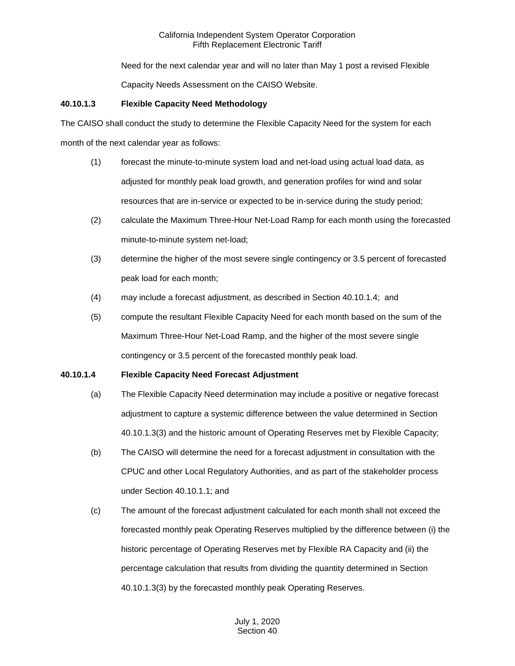Need for the next calendar year and will no later than May 1 post a revised Flexible

Capacity Needs Assessment on the CAISO Website.

# **40.10.1.3 Flexible Capacity Need Methodology**

The CAISO shall conduct the study to determine the Flexible Capacity Need for the system for each month of the next calendar year as follows:

- (1) forecast the minute-to-minute system load and net-load using actual load data, as adjusted for monthly peak load growth, and generation profiles for wind and solar resources that are in-service or expected to be in-service during the study period;
- (2) calculate the Maximum Three-Hour Net-Load Ramp for each month using the forecasted minute-to-minute system net-load;
- (3) determine the higher of the most severe single contingency or 3.5 percent of forecasted peak load for each month;
- (4) may include a forecast adjustment, as described in Section 40.10.1.4; and
- (5) compute the resultant Flexible Capacity Need for each month based on the sum of the Maximum Three-Hour Net-Load Ramp, and the higher of the most severe single contingency or 3.5 percent of the forecasted monthly peak load.

# **40.10.1.4 Flexible Capacity Need Forecast Adjustment**

- (a) The Flexible Capacity Need determination may include a positive or negative forecast adjustment to capture a systemic difference between the value determined in Section 40.10.1.3(3) and the historic amount of Operating Reserves met by Flexible Capacity;
- (b) The CAISO will determine the need for a forecast adjustment in consultation with the CPUC and other Local Regulatory Authorities, and as part of the stakeholder process under Section 40.10.1.1; and
- (c) The amount of the forecast adjustment calculated for each month shall not exceed the forecasted monthly peak Operating Reserves multiplied by the difference between (i) the historic percentage of Operating Reserves met by Flexible RA Capacity and (ii) the percentage calculation that results from dividing the quantity determined in Section 40.10.1.3(3) by the forecasted monthly peak Operating Reserves.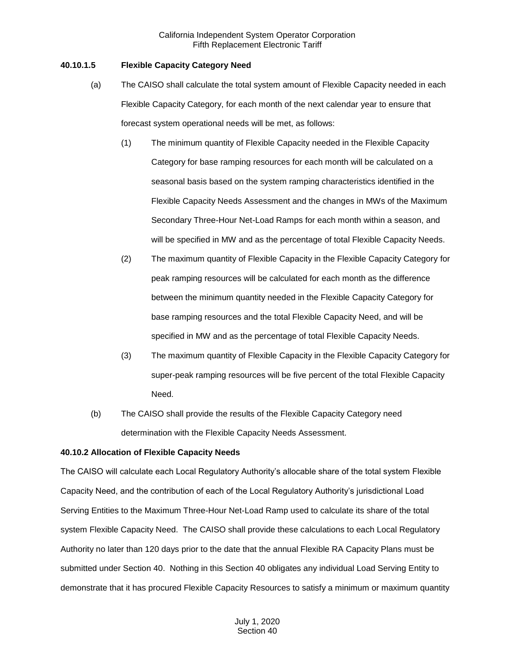## **40.10.1.5 Flexible Capacity Category Need**

- (a) The CAISO shall calculate the total system amount of Flexible Capacity needed in each Flexible Capacity Category, for each month of the next calendar year to ensure that forecast system operational needs will be met, as follows:
	- (1) The minimum quantity of Flexible Capacity needed in the Flexible Capacity Category for base ramping resources for each month will be calculated on a seasonal basis based on the system ramping characteristics identified in the Flexible Capacity Needs Assessment and the changes in MWs of the Maximum Secondary Three-Hour Net-Load Ramps for each month within a season, and will be specified in MW and as the percentage of total Flexible Capacity Needs.
	- (2) The maximum quantity of Flexible Capacity in the Flexible Capacity Category for peak ramping resources will be calculated for each month as the difference between the minimum quantity needed in the Flexible Capacity Category for base ramping resources and the total Flexible Capacity Need, and will be specified in MW and as the percentage of total Flexible Capacity Needs.
	- (3) The maximum quantity of Flexible Capacity in the Flexible Capacity Category for super-peak ramping resources will be five percent of the total Flexible Capacity Need.
- (b) The CAISO shall provide the results of the Flexible Capacity Category need determination with the Flexible Capacity Needs Assessment.

# **40.10.2 Allocation of Flexible Capacity Needs**

The CAISO will calculate each Local Regulatory Authority's allocable share of the total system Flexible Capacity Need, and the contribution of each of the Local Regulatory Authority's jurisdictional Load Serving Entities to the Maximum Three-Hour Net-Load Ramp used to calculate its share of the total system Flexible Capacity Need. The CAISO shall provide these calculations to each Local Regulatory Authority no later than 120 days prior to the date that the annual Flexible RA Capacity Plans must be submitted under Section 40. Nothing in this Section 40 obligates any individual Load Serving Entity to demonstrate that it has procured Flexible Capacity Resources to satisfy a minimum or maximum quantity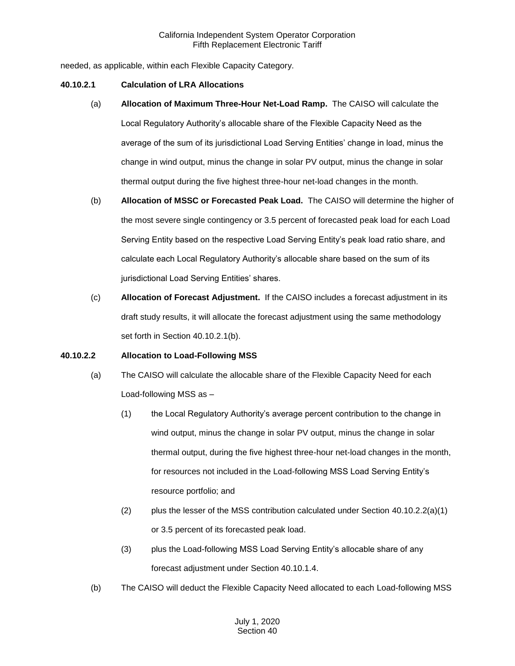needed, as applicable, within each Flexible Capacity Category.

## **40.10.2.1 Calculation of LRA Allocations**

- (a) **Allocation of Maximum Three-Hour Net-Load Ramp.** The CAISO will calculate the Local Regulatory Authority's allocable share of the Flexible Capacity Need as the average of the sum of its jurisdictional Load Serving Entities' change in load, minus the change in wind output, minus the change in solar PV output, minus the change in solar thermal output during the five highest three-hour net-load changes in the month.
- (b) **Allocation of MSSC or Forecasted Peak Load.** The CAISO will determine the higher of the most severe single contingency or 3.5 percent of forecasted peak load for each Load Serving Entity based on the respective Load Serving Entity's peak load ratio share, and calculate each Local Regulatory Authority's allocable share based on the sum of its jurisdictional Load Serving Entities' shares.
- (c) **Allocation of Forecast Adjustment.** If the CAISO includes a forecast adjustment in its draft study results, it will allocate the forecast adjustment using the same methodology set forth in Section 40.10.2.1(b).

## **40.10.2.2 Allocation to Load-Following MSS**

- (a) The CAISO will calculate the allocable share of the Flexible Capacity Need for each Load-following MSS as –
	- (1) the Local Regulatory Authority's average percent contribution to the change in wind output, minus the change in solar PV output, minus the change in solar thermal output, during the five highest three-hour net-load changes in the month, for resources not included in the Load-following MSS Load Serving Entity's resource portfolio; and
	- (2) plus the lesser of the MSS contribution calculated under Section  $40.10.2.2(a)(1)$ or 3.5 percent of its forecasted peak load.
	- (3) plus the Load-following MSS Load Serving Entity's allocable share of any forecast adjustment under Section 40.10.1.4.
- (b) The CAISO will deduct the Flexible Capacity Need allocated to each Load-following MSS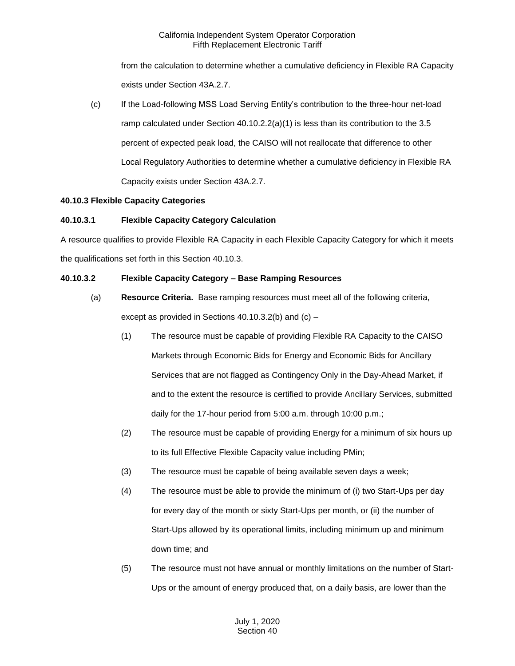from the calculation to determine whether a cumulative deficiency in Flexible RA Capacity exists under Section 43A.2.7.

(c) If the Load-following MSS Load Serving Entity's contribution to the three-hour net-load ramp calculated under Section  $40.10.2.2(a)(1)$  is less than its contribution to the 3.5 percent of expected peak load, the CAISO will not reallocate that difference to other Local Regulatory Authorities to determine whether a cumulative deficiency in Flexible RA Capacity exists under Section 43A.2.7.

# **40.10.3 Flexible Capacity Categories**

# **40.10.3.1 Flexible Capacity Category Calculation**

A resource qualifies to provide Flexible RA Capacity in each Flexible Capacity Category for which it meets the qualifications set forth in this Section 40.10.3.

# **40.10.3.2 Flexible Capacity Category – Base Ramping Resources**

- (a) **Resource Criteria.** Base ramping resources must meet all of the following criteria, except as provided in Sections 40.10.3.2(b) and (c) –
	- (1) The resource must be capable of providing Flexible RA Capacity to the CAISO Markets through Economic Bids for Energy and Economic Bids for Ancillary Services that are not flagged as Contingency Only in the Day-Ahead Market, if and to the extent the resource is certified to provide Ancillary Services, submitted daily for the 17-hour period from 5:00 a.m. through 10:00 p.m.;
	- (2) The resource must be capable of providing Energy for a minimum of six hours up to its full Effective Flexible Capacity value including PMin;
	- (3) The resource must be capable of being available seven days a week;
	- (4) The resource must be able to provide the minimum of (i) two Start-Ups per day for every day of the month or sixty Start-Ups per month, or (ii) the number of Start-Ups allowed by its operational limits, including minimum up and minimum down time; and
	- (5) The resource must not have annual or monthly limitations on the number of Start-Ups or the amount of energy produced that, on a daily basis, are lower than the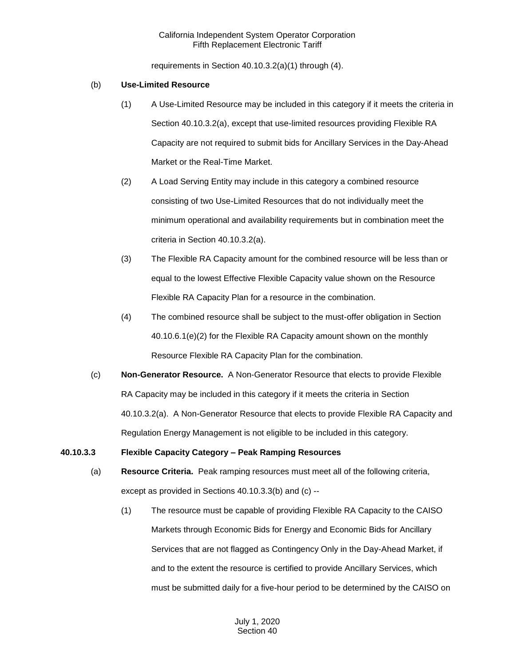requirements in Section 40.10.3.2(a)(1) through (4).

## (b) **Use-Limited Resource**

- (1) A Use-Limited Resource may be included in this category if it meets the criteria in Section 40.10.3.2(a), except that use-limited resources providing Flexible RA Capacity are not required to submit bids for Ancillary Services in the Day-Ahead Market or the Real-Time Market.
- (2) A Load Serving Entity may include in this category a combined resource consisting of two Use-Limited Resources that do not individually meet the minimum operational and availability requirements but in combination meet the criteria in Section 40.10.3.2(a).
- (3) The Flexible RA Capacity amount for the combined resource will be less than or equal to the lowest Effective Flexible Capacity value shown on the Resource Flexible RA Capacity Plan for a resource in the combination.
- (4) The combined resource shall be subject to the must-offer obligation in Section 40.10.6.1(e)(2) for the Flexible RA Capacity amount shown on the monthly Resource Flexible RA Capacity Plan for the combination.
- (c) **Non-Generator Resource.** A Non-Generator Resource that elects to provide Flexible RA Capacity may be included in this category if it meets the criteria in Section 40.10.3.2(a). A Non-Generator Resource that elects to provide Flexible RA Capacity and Regulation Energy Management is not eligible to be included in this category.

# **40.10.3.3 Flexible Capacity Category – Peak Ramping Resources**

- (a) **Resource Criteria.** Peak ramping resources must meet all of the following criteria, except as provided in Sections 40.10.3.3(b) and (c) --
	- (1) The resource must be capable of providing Flexible RA Capacity to the CAISO Markets through Economic Bids for Energy and Economic Bids for Ancillary Services that are not flagged as Contingency Only in the Day-Ahead Market, if and to the extent the resource is certified to provide Ancillary Services, which must be submitted daily for a five-hour period to be determined by the CAISO on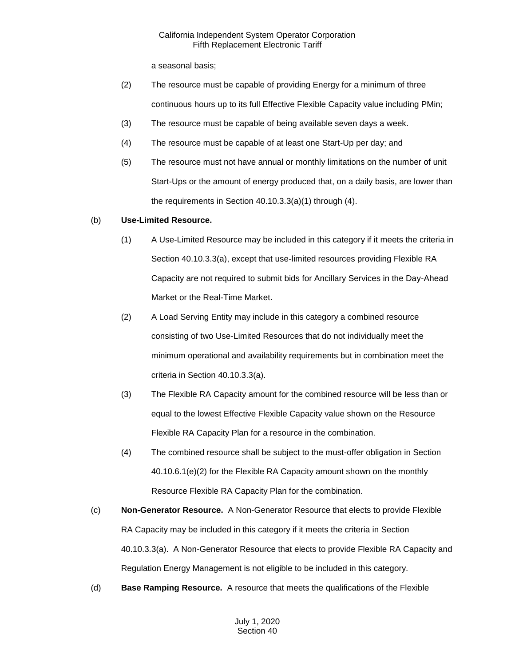a seasonal basis;

- (2) The resource must be capable of providing Energy for a minimum of three continuous hours up to its full Effective Flexible Capacity value including PMin;
- (3) The resource must be capable of being available seven days a week.
- (4) The resource must be capable of at least one Start-Up per day; and
- (5) The resource must not have annual or monthly limitations on the number of unit Start-Ups or the amount of energy produced that, on a daily basis, are lower than the requirements in Section 40.10.3.3(a)(1) through (4).

## (b) **Use-Limited Resource.**

- (1) A Use-Limited Resource may be included in this category if it meets the criteria in Section 40.10.3.3(a), except that use-limited resources providing Flexible RA Capacity are not required to submit bids for Ancillary Services in the Day-Ahead Market or the Real-Time Market.
- (2) A Load Serving Entity may include in this category a combined resource consisting of two Use-Limited Resources that do not individually meet the minimum operational and availability requirements but in combination meet the criteria in Section 40.10.3.3(a).
- (3) The Flexible RA Capacity amount for the combined resource will be less than or equal to the lowest Effective Flexible Capacity value shown on the Resource Flexible RA Capacity Plan for a resource in the combination.
- (4) The combined resource shall be subject to the must-offer obligation in Section 40.10.6.1(e)(2) for the Flexible RA Capacity amount shown on the monthly Resource Flexible RA Capacity Plan for the combination.
- (c) **Non-Generator Resource.** A Non-Generator Resource that elects to provide Flexible RA Capacity may be included in this category if it meets the criteria in Section 40.10.3.3(a). A Non-Generator Resource that elects to provide Flexible RA Capacity and Regulation Energy Management is not eligible to be included in this category.
- (d) **Base Ramping Resource.** A resource that meets the qualifications of the Flexible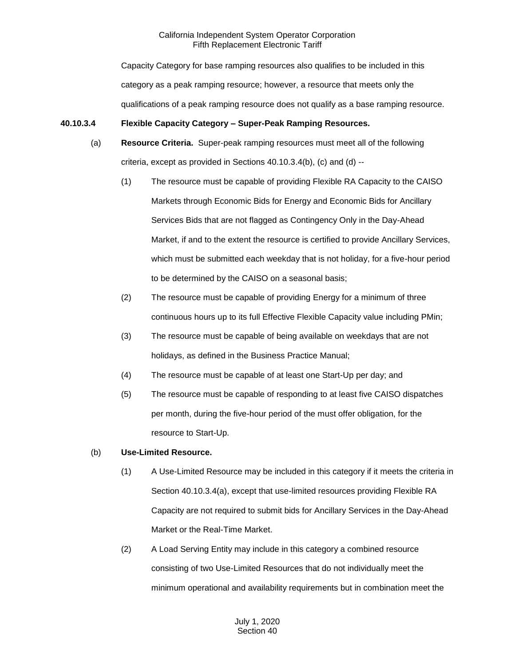Capacity Category for base ramping resources also qualifies to be included in this category as a peak ramping resource; however, a resource that meets only the qualifications of a peak ramping resource does not qualify as a base ramping resource.

# **40.10.3.4 Flexible Capacity Category – Super-Peak Ramping Resources.**

- (a) **Resource Criteria.** Super-peak ramping resources must meet all of the following criteria, except as provided in Sections 40.10.3.4(b), (c) and (d) --
	- (1) The resource must be capable of providing Flexible RA Capacity to the CAISO Markets through Economic Bids for Energy and Economic Bids for Ancillary Services Bids that are not flagged as Contingency Only in the Day-Ahead Market, if and to the extent the resource is certified to provide Ancillary Services, which must be submitted each weekday that is not holiday, for a five-hour period to be determined by the CAISO on a seasonal basis;
	- (2) The resource must be capable of providing Energy for a minimum of three continuous hours up to its full Effective Flexible Capacity value including PMin;
	- (3) The resource must be capable of being available on weekdays that are not holidays, as defined in the Business Practice Manual;
	- (4) The resource must be capable of at least one Start-Up per day; and
	- (5) The resource must be capable of responding to at least five CAISO dispatches per month, during the five-hour period of the must offer obligation, for the resource to Start-Up.

# (b) **Use-Limited Resource.**

- (1) A Use-Limited Resource may be included in this category if it meets the criteria in Section 40.10.3.4(a), except that use-limited resources providing Flexible RA Capacity are not required to submit bids for Ancillary Services in the Day-Ahead Market or the Real-Time Market.
- (2) A Load Serving Entity may include in this category a combined resource consisting of two Use-Limited Resources that do not individually meet the minimum operational and availability requirements but in combination meet the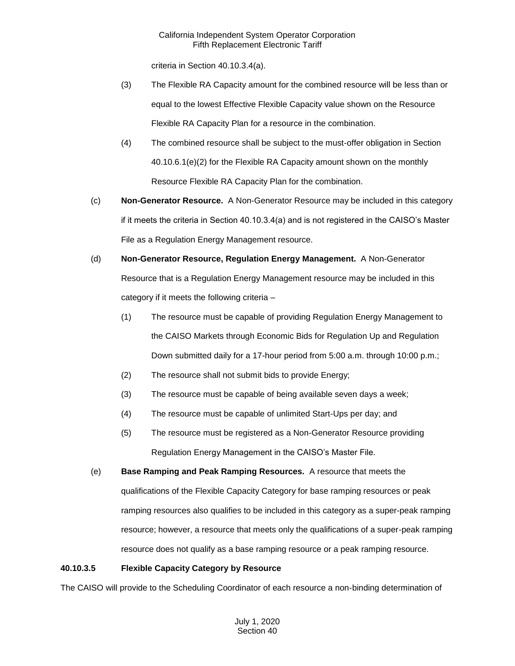criteria in Section 40.10.3.4(a).

- (3) The Flexible RA Capacity amount for the combined resource will be less than or equal to the lowest Effective Flexible Capacity value shown on the Resource Flexible RA Capacity Plan for a resource in the combination.
- (4) The combined resource shall be subject to the must-offer obligation in Section 40.10.6.1(e)(2) for the Flexible RA Capacity amount shown on the monthly Resource Flexible RA Capacity Plan for the combination.
- (c) **Non-Generator Resource.** A Non-Generator Resource may be included in this category if it meets the criteria in Section 40.10.3.4(a) and is not registered in the CAISO's Master File as a Regulation Energy Management resource.
- (d) **Non-Generator Resource, Regulation Energy Management.** A Non-Generator Resource that is a Regulation Energy Management resource may be included in this category if it meets the following criteria –
	- (1) The resource must be capable of providing Regulation Energy Management to the CAISO Markets through Economic Bids for Regulation Up and Regulation Down submitted daily for a 17-hour period from 5:00 a.m. through 10:00 p.m.;
	- (2) The resource shall not submit bids to provide Energy;
	- (3) The resource must be capable of being available seven days a week;
	- (4) The resource must be capable of unlimited Start-Ups per day; and
	- (5) The resource must be registered as a Non-Generator Resource providing Regulation Energy Management in the CAISO's Master File.
- (e) **Base Ramping and Peak Ramping Resources.** A resource that meets the qualifications of the Flexible Capacity Category for base ramping resources or peak ramping resources also qualifies to be included in this category as a super-peak ramping resource; however, a resource that meets only the qualifications of a super-peak ramping resource does not qualify as a base ramping resource or a peak ramping resource.

# **40.10.3.5 Flexible Capacity Category by Resource**

The CAISO will provide to the Scheduling Coordinator of each resource a non-binding determination of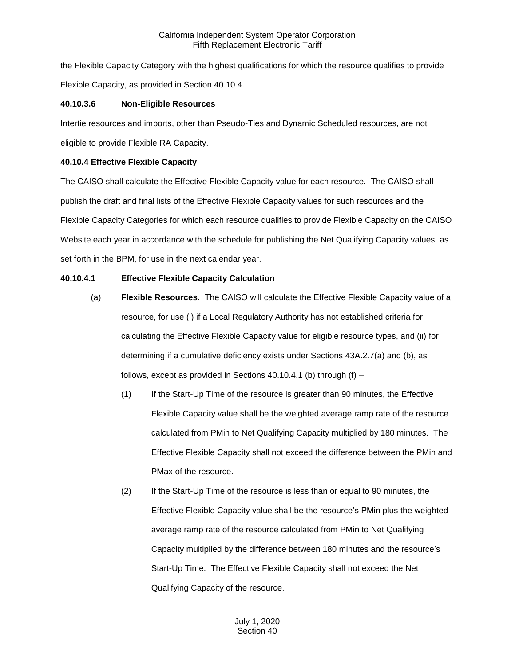the Flexible Capacity Category with the highest qualifications for which the resource qualifies to provide Flexible Capacity, as provided in Section 40.10.4.

# **40.10.3.6 Non-Eligible Resources**

Intertie resources and imports, other than Pseudo-Ties and Dynamic Scheduled resources, are not eligible to provide Flexible RA Capacity.

## **40.10.4 Effective Flexible Capacity**

The CAISO shall calculate the Effective Flexible Capacity value for each resource. The CAISO shall publish the draft and final lists of the Effective Flexible Capacity values for such resources and the Flexible Capacity Categories for which each resource qualifies to provide Flexible Capacity on the CAISO Website each year in accordance with the schedule for publishing the Net Qualifying Capacity values, as set forth in the BPM, for use in the next calendar year.

## **40.10.4.1 Effective Flexible Capacity Calculation**

- (a) **Flexible Resources.** The CAISO will calculate the Effective Flexible Capacity value of a resource, for use (i) if a Local Regulatory Authority has not established criteria for calculating the Effective Flexible Capacity value for eligible resource types, and (ii) for determining if a cumulative deficiency exists under Sections 43A.2.7(a) and (b), as follows, except as provided in Sections 40.10.4.1 (b) through  $(f)$  –
	- (1) If the Start-Up Time of the resource is greater than 90 minutes, the Effective Flexible Capacity value shall be the weighted average ramp rate of the resource calculated from PMin to Net Qualifying Capacity multiplied by 180 minutes. The Effective Flexible Capacity shall not exceed the difference between the PMin and PMax of the resource.
	- (2) If the Start-Up Time of the resource is less than or equal to 90 minutes, the Effective Flexible Capacity value shall be the resource's PMin plus the weighted average ramp rate of the resource calculated from PMin to Net Qualifying Capacity multiplied by the difference between 180 minutes and the resource's Start-Up Time. The Effective Flexible Capacity shall not exceed the Net Qualifying Capacity of the resource.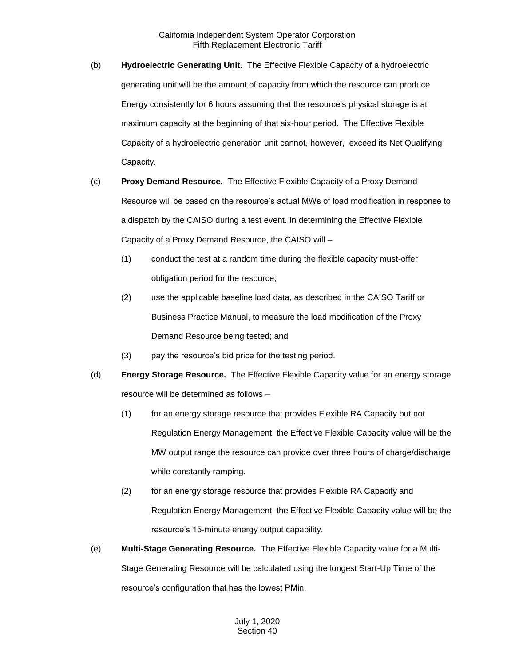- (b) **Hydroelectric Generating Unit.** The Effective Flexible Capacity of a hydroelectric generating unit will be the amount of capacity from which the resource can produce Energy consistently for 6 hours assuming that the resource's physical storage is at maximum capacity at the beginning of that six-hour period. The Effective Flexible Capacity of a hydroelectric generation unit cannot, however, exceed its Net Qualifying Capacity.
- (c) **Proxy Demand Resource.** The Effective Flexible Capacity of a Proxy Demand Resource will be based on the resource's actual MWs of load modification in response to a dispatch by the CAISO during a test event. In determining the Effective Flexible Capacity of a Proxy Demand Resource, the CAISO will –
	- (1) conduct the test at a random time during the flexible capacity must-offer obligation period for the resource;
	- (2) use the applicable baseline load data, as described in the CAISO Tariff or Business Practice Manual, to measure the load modification of the Proxy Demand Resource being tested; and
	- (3) pay the resource's bid price for the testing period.
- (d) **Energy Storage Resource.** The Effective Flexible Capacity value for an energy storage resource will be determined as follows –
	- (1) for an energy storage resource that provides Flexible RA Capacity but not Regulation Energy Management, the Effective Flexible Capacity value will be the MW output range the resource can provide over three hours of charge/discharge while constantly ramping.
	- (2) for an energy storage resource that provides Flexible RA Capacity and Regulation Energy Management, the Effective Flexible Capacity value will be the resource's 15-minute energy output capability.
- (e) **Multi-Stage Generating Resource.** The Effective Flexible Capacity value for a Multi-Stage Generating Resource will be calculated using the longest Start-Up Time of the resource's configuration that has the lowest PMin.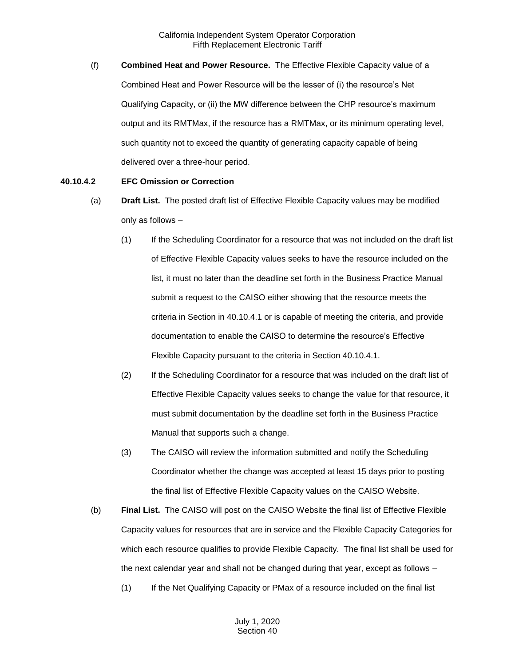(f) **Combined Heat and Power Resource.** The Effective Flexible Capacity value of a Combined Heat and Power Resource will be the lesser of (i) the resource's Net Qualifying Capacity, or (ii) the MW difference between the CHP resource's maximum output and its RMTMax, if the resource has a RMTMax, or its minimum operating level, such quantity not to exceed the quantity of generating capacity capable of being delivered over a three-hour period.

## **40.10.4.2 EFC Omission or Correction**

- (a) **Draft List.** The posted draft list of Effective Flexible Capacity values may be modified only as follows –
	- (1) If the Scheduling Coordinator for a resource that was not included on the draft list of Effective Flexible Capacity values seeks to have the resource included on the list, it must no later than the deadline set forth in the Business Practice Manual submit a request to the CAISO either showing that the resource meets the criteria in Section in 40.10.4.1 or is capable of meeting the criteria, and provide documentation to enable the CAISO to determine the resource's Effective Flexible Capacity pursuant to the criteria in Section 40.10.4.1.
	- (2) If the Scheduling Coordinator for a resource that was included on the draft list of Effective Flexible Capacity values seeks to change the value for that resource, it must submit documentation by the deadline set forth in the Business Practice Manual that supports such a change.
	- (3) The CAISO will review the information submitted and notify the Scheduling Coordinator whether the change was accepted at least 15 days prior to posting the final list of Effective Flexible Capacity values on the CAISO Website.
- (b) **Final List.** The CAISO will post on the CAISO Website the final list of Effective Flexible Capacity values for resources that are in service and the Flexible Capacity Categories for which each resource qualifies to provide Flexible Capacity. The final list shall be used for the next calendar year and shall not be changed during that year, except as follows –
	- (1) If the Net Qualifying Capacity or PMax of a resource included on the final list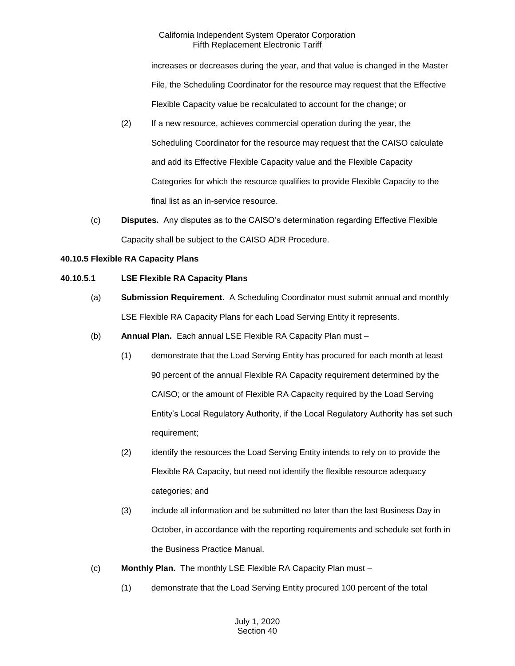increases or decreases during the year, and that value is changed in the Master File, the Scheduling Coordinator for the resource may request that the Effective Flexible Capacity value be recalculated to account for the change; or

- (2) If a new resource, achieves commercial operation during the year, the Scheduling Coordinator for the resource may request that the CAISO calculate and add its Effective Flexible Capacity value and the Flexible Capacity Categories for which the resource qualifies to provide Flexible Capacity to the final list as an in-service resource.
- (c) **Disputes.** Any disputes as to the CAISO's determination regarding Effective Flexible Capacity shall be subject to the CAISO ADR Procedure.

# **40.10.5 Flexible RA Capacity Plans**

# **40.10.5.1 LSE Flexible RA Capacity Plans**

- (a) **Submission Requirement.** A Scheduling Coordinator must submit annual and monthly LSE Flexible RA Capacity Plans for each Load Serving Entity it represents.
- (b) **Annual Plan.** Each annual LSE Flexible RA Capacity Plan must
	- (1) demonstrate that the Load Serving Entity has procured for each month at least 90 percent of the annual Flexible RA Capacity requirement determined by the CAISO; or the amount of Flexible RA Capacity required by the Load Serving Entity's Local Regulatory Authority, if the Local Regulatory Authority has set such requirement;
	- (2) identify the resources the Load Serving Entity intends to rely on to provide the Flexible RA Capacity, but need not identify the flexible resource adequacy categories; and
	- (3) include all information and be submitted no later than the last Business Day in October, in accordance with the reporting requirements and schedule set forth in the Business Practice Manual.
- (c) **Monthly Plan.** The monthly LSE Flexible RA Capacity Plan must
	- (1) demonstrate that the Load Serving Entity procured 100 percent of the total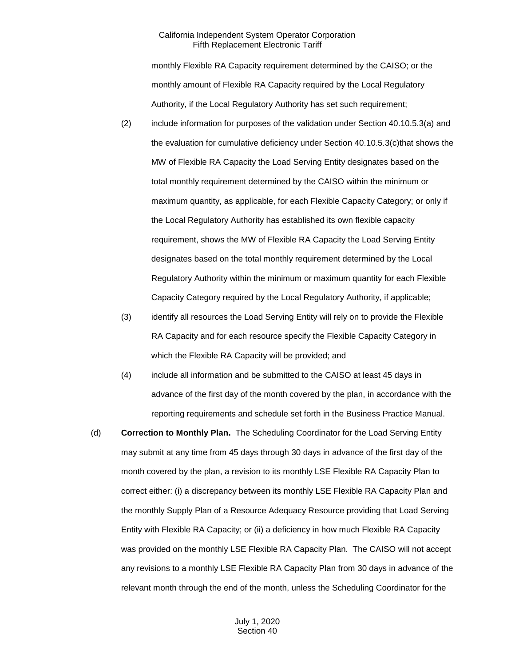monthly Flexible RA Capacity requirement determined by the CAISO; or the monthly amount of Flexible RA Capacity required by the Local Regulatory Authority, if the Local Regulatory Authority has set such requirement;

- (2) include information for purposes of the validation under Section 40.10.5.3(a) and the evaluation for cumulative deficiency under Section 40.10.5.3(c)that shows the MW of Flexible RA Capacity the Load Serving Entity designates based on the total monthly requirement determined by the CAISO within the minimum or maximum quantity, as applicable, for each Flexible Capacity Category; or only if the Local Regulatory Authority has established its own flexible capacity requirement, shows the MW of Flexible RA Capacity the Load Serving Entity designates based on the total monthly requirement determined by the Local Regulatory Authority within the minimum or maximum quantity for each Flexible Capacity Category required by the Local Regulatory Authority, if applicable;
- (3) identify all resources the Load Serving Entity will rely on to provide the Flexible RA Capacity and for each resource specify the Flexible Capacity Category in which the Flexible RA Capacity will be provided; and
- (4) include all information and be submitted to the CAISO at least 45 days in advance of the first day of the month covered by the plan, in accordance with the reporting requirements and schedule set forth in the Business Practice Manual.
- (d) **Correction to Monthly Plan.** The Scheduling Coordinator for the Load Serving Entity may submit at any time from 45 days through 30 days in advance of the first day of the month covered by the plan, a revision to its monthly LSE Flexible RA Capacity Plan to correct either: (i) a discrepancy between its monthly LSE Flexible RA Capacity Plan and the monthly Supply Plan of a Resource Adequacy Resource providing that Load Serving Entity with Flexible RA Capacity; or (ii) a deficiency in how much Flexible RA Capacity was provided on the monthly LSE Flexible RA Capacity Plan. The CAISO will not accept any revisions to a monthly LSE Flexible RA Capacity Plan from 30 days in advance of the relevant month through the end of the month, unless the Scheduling Coordinator for the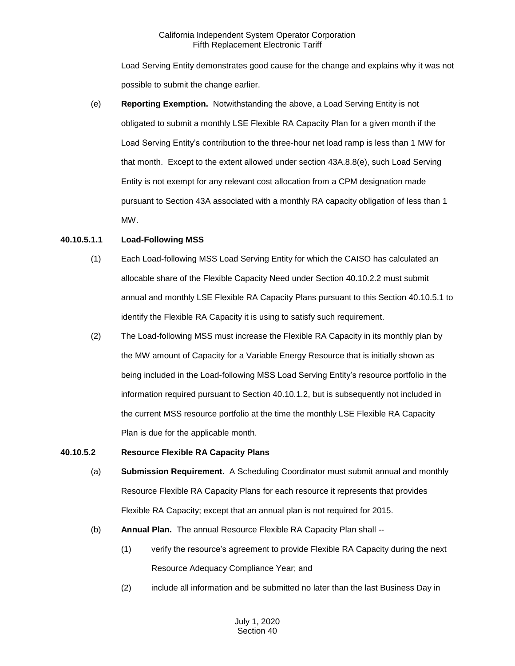Load Serving Entity demonstrates good cause for the change and explains why it was not possible to submit the change earlier.

(e) **Reporting Exemption.** Notwithstanding the above, a Load Serving Entity is not obligated to submit a monthly LSE Flexible RA Capacity Plan for a given month if the Load Serving Entity's contribution to the three-hour net load ramp is less than 1 MW for that month. Except to the extent allowed under section 43A.8.8(e), such Load Serving Entity is not exempt for any relevant cost allocation from a CPM designation made pursuant to Section 43A associated with a monthly RA capacity obligation of less than 1 MW.

## **40.10.5.1.1 Load-Following MSS**

- (1) Each Load-following MSS Load Serving Entity for which the CAISO has calculated an allocable share of the Flexible Capacity Need under Section 40.10.2.2 must submit annual and monthly LSE Flexible RA Capacity Plans pursuant to this Section 40.10.5.1 to identify the Flexible RA Capacity it is using to satisfy such requirement.
- (2) The Load-following MSS must increase the Flexible RA Capacity in its monthly plan by the MW amount of Capacity for a Variable Energy Resource that is initially shown as being included in the Load-following MSS Load Serving Entity's resource portfolio in the information required pursuant to Section 40.10.1.2, but is subsequently not included in the current MSS resource portfolio at the time the monthly LSE Flexible RA Capacity Plan is due for the applicable month.

## **40.10.5.2 Resource Flexible RA Capacity Plans**

- (a) **Submission Requirement.** A Scheduling Coordinator must submit annual and monthly Resource Flexible RA Capacity Plans for each resource it represents that provides Flexible RA Capacity; except that an annual plan is not required for 2015.
- (b) **Annual Plan.** The annual Resource Flexible RA Capacity Plan shall --
	- (1) verify the resource's agreement to provide Flexible RA Capacity during the next Resource Adequacy Compliance Year; and
	- (2) include all information and be submitted no later than the last Business Day in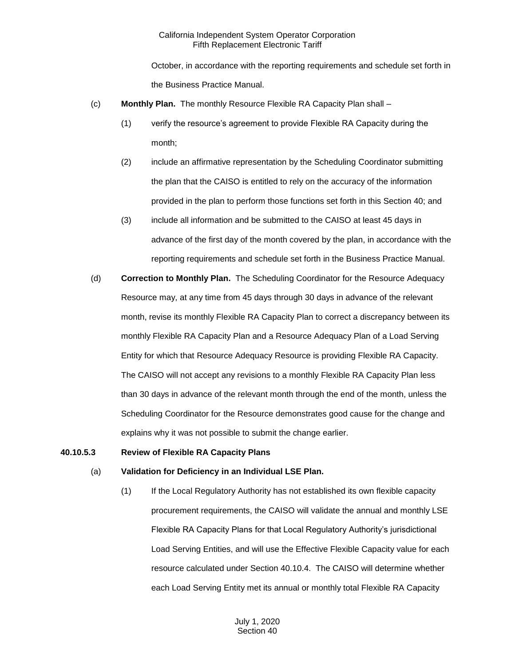October, in accordance with the reporting requirements and schedule set forth in the Business Practice Manual.

- (c) **Monthly Plan.** The monthly Resource Flexible RA Capacity Plan shall
	- (1) verify the resource's agreement to provide Flexible RA Capacity during the month;
	- (2) include an affirmative representation by the Scheduling Coordinator submitting the plan that the CAISO is entitled to rely on the accuracy of the information provided in the plan to perform those functions set forth in this Section 40; and
	- (3) include all information and be submitted to the CAISO at least 45 days in advance of the first day of the month covered by the plan, in accordance with the reporting requirements and schedule set forth in the Business Practice Manual.
- (d) **Correction to Monthly Plan.** The Scheduling Coordinator for the Resource Adequacy Resource may, at any time from 45 days through 30 days in advance of the relevant month, revise its monthly Flexible RA Capacity Plan to correct a discrepancy between its monthly Flexible RA Capacity Plan and a Resource Adequacy Plan of a Load Serving Entity for which that Resource Adequacy Resource is providing Flexible RA Capacity. The CAISO will not accept any revisions to a monthly Flexible RA Capacity Plan less than 30 days in advance of the relevant month through the end of the month, unless the Scheduling Coordinator for the Resource demonstrates good cause for the change and explains why it was not possible to submit the change earlier.

#### **40.10.5.3 Review of Flexible RA Capacity Plans**

#### (a) **Validation for Deficiency in an Individual LSE Plan.**

(1) If the Local Regulatory Authority has not established its own flexible capacity procurement requirements, the CAISO will validate the annual and monthly LSE Flexible RA Capacity Plans for that Local Regulatory Authority's jurisdictional Load Serving Entities, and will use the Effective Flexible Capacity value for each resource calculated under Section 40.10.4. The CAISO will determine whether each Load Serving Entity met its annual or monthly total Flexible RA Capacity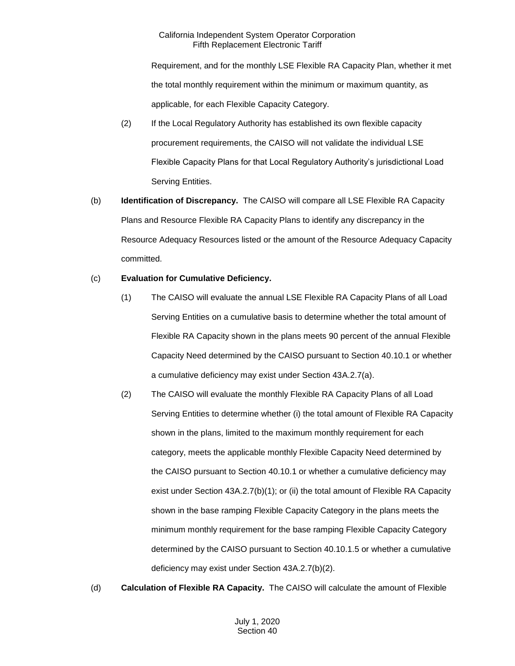Requirement, and for the monthly LSE Flexible RA Capacity Plan, whether it met the total monthly requirement within the minimum or maximum quantity, as applicable, for each Flexible Capacity Category.

- (2) If the Local Regulatory Authority has established its own flexible capacity procurement requirements, the CAISO will not validate the individual LSE Flexible Capacity Plans for that Local Regulatory Authority's jurisdictional Load Serving Entities.
- (b) **Identification of Discrepancy.** The CAISO will compare all LSE Flexible RA Capacity Plans and Resource Flexible RA Capacity Plans to identify any discrepancy in the Resource Adequacy Resources listed or the amount of the Resource Adequacy Capacity committed.

## (c) **Evaluation for Cumulative Deficiency.**

- (1) The CAISO will evaluate the annual LSE Flexible RA Capacity Plans of all Load Serving Entities on a cumulative basis to determine whether the total amount of Flexible RA Capacity shown in the plans meets 90 percent of the annual Flexible Capacity Need determined by the CAISO pursuant to Section 40.10.1 or whether a cumulative deficiency may exist under Section 43A.2.7(a).
- (2) The CAISO will evaluate the monthly Flexible RA Capacity Plans of all Load Serving Entities to determine whether (i) the total amount of Flexible RA Capacity shown in the plans, limited to the maximum monthly requirement for each category, meets the applicable monthly Flexible Capacity Need determined by the CAISO pursuant to Section 40.10.1 or whether a cumulative deficiency may exist under Section 43A.2.7(b)(1); or (ii) the total amount of Flexible RA Capacity shown in the base ramping Flexible Capacity Category in the plans meets the minimum monthly requirement for the base ramping Flexible Capacity Category determined by the CAISO pursuant to Section 40.10.1.5 or whether a cumulative deficiency may exist under Section 43A.2.7(b)(2).
- (d) **Calculation of Flexible RA Capacity.** The CAISO will calculate the amount of Flexible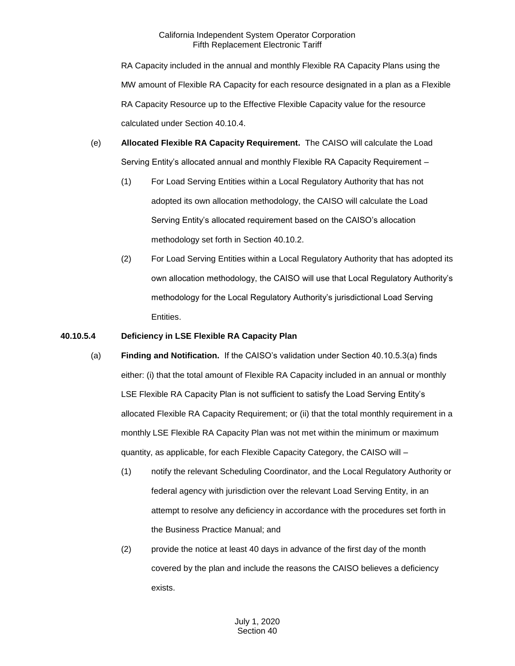RA Capacity included in the annual and monthly Flexible RA Capacity Plans using the MW amount of Flexible RA Capacity for each resource designated in a plan as a Flexible RA Capacity Resource up to the Effective Flexible Capacity value for the resource calculated under Section 40.10.4.

- (e) **Allocated Flexible RA Capacity Requirement.** The CAISO will calculate the Load Serving Entity's allocated annual and monthly Flexible RA Capacity Requirement –
	- (1) For Load Serving Entities within a Local Regulatory Authority that has not adopted its own allocation methodology, the CAISO will calculate the Load Serving Entity's allocated requirement based on the CAISO's allocation methodology set forth in Section 40.10.2.
	- (2) For Load Serving Entities within a Local Regulatory Authority that has adopted its own allocation methodology, the CAISO will use that Local Regulatory Authority's methodology for the Local Regulatory Authority's jurisdictional Load Serving Entities.

# **40.10.5.4 Deficiency in LSE Flexible RA Capacity Plan**

- (a) **Finding and Notification.** If the CAISO's validation under Section 40.10.5.3(a) finds either: (i) that the total amount of Flexible RA Capacity included in an annual or monthly LSE Flexible RA Capacity Plan is not sufficient to satisfy the Load Serving Entity's allocated Flexible RA Capacity Requirement; or (ii) that the total monthly requirement in a monthly LSE Flexible RA Capacity Plan was not met within the minimum or maximum quantity, as applicable, for each Flexible Capacity Category, the CAISO will –
	- (1) notify the relevant Scheduling Coordinator, and the Local Regulatory Authority or federal agency with jurisdiction over the relevant Load Serving Entity, in an attempt to resolve any deficiency in accordance with the procedures set forth in the Business Practice Manual; and
	- (2) provide the notice at least 40 days in advance of the first day of the month covered by the plan and include the reasons the CAISO believes a deficiency exists.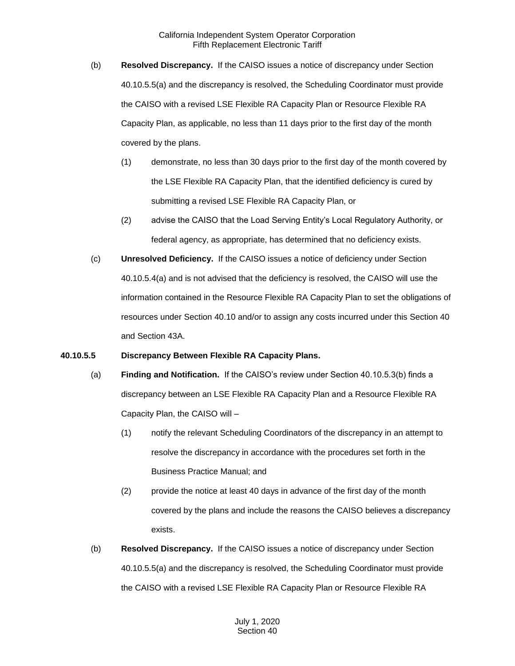- (b) **Resolved Discrepancy.** If the CAISO issues a notice of discrepancy under Section 40.10.5.5(a) and the discrepancy is resolved, the Scheduling Coordinator must provide the CAISO with a revised LSE Flexible RA Capacity Plan or Resource Flexible RA Capacity Plan, as applicable, no less than 11 days prior to the first day of the month covered by the plans.
	- (1) demonstrate, no less than 30 days prior to the first day of the month covered by the LSE Flexible RA Capacity Plan, that the identified deficiency is cured by submitting a revised LSE Flexible RA Capacity Plan, or
	- (2) advise the CAISO that the Load Serving Entity's Local Regulatory Authority, or federal agency, as appropriate, has determined that no deficiency exists.
- (c) **Unresolved Deficiency.** If the CAISO issues a notice of deficiency under Section 40.10.5.4(a) and is not advised that the deficiency is resolved, the CAISO will use the information contained in the Resource Flexible RA Capacity Plan to set the obligations of resources under Section 40.10 and/or to assign any costs incurred under this Section 40 and Section 43A.

## **40.10.5.5 Discrepancy Between Flexible RA Capacity Plans.**

- (a) **Finding and Notification.** If the CAISO's review under Section 40.10.5.3(b) finds a discrepancy between an LSE Flexible RA Capacity Plan and a Resource Flexible RA Capacity Plan, the CAISO will –
	- (1) notify the relevant Scheduling Coordinators of the discrepancy in an attempt to resolve the discrepancy in accordance with the procedures set forth in the Business Practice Manual; and
	- (2) provide the notice at least 40 days in advance of the first day of the month covered by the plans and include the reasons the CAISO believes a discrepancy exists.
- (b) **Resolved Discrepancy.** If the CAISO issues a notice of discrepancy under Section 40.10.5.5(a) and the discrepancy is resolved, the Scheduling Coordinator must provide the CAISO with a revised LSE Flexible RA Capacity Plan or Resource Flexible RA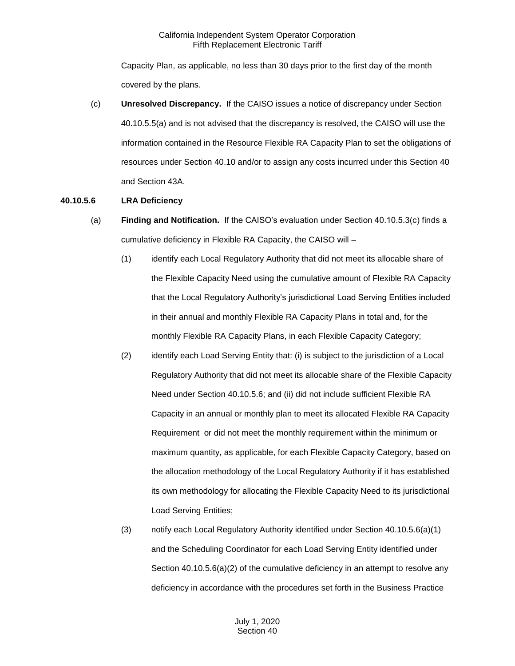Capacity Plan, as applicable, no less than 30 days prior to the first day of the month covered by the plans.

(c) **Unresolved Discrepancy.** If the CAISO issues a notice of discrepancy under Section 40.10.5.5(a) and is not advised that the discrepancy is resolved, the CAISO will use the information contained in the Resource Flexible RA Capacity Plan to set the obligations of resources under Section 40.10 and/or to assign any costs incurred under this Section 40 and Section 43A.

# **40.10.5.6 LRA Deficiency**

- (a) **Finding and Notification.** If the CAISO's evaluation under Section 40.10.5.3(c) finds a cumulative deficiency in Flexible RA Capacity, the CAISO will –
	- (1) identify each Local Regulatory Authority that did not meet its allocable share of the Flexible Capacity Need using the cumulative amount of Flexible RA Capacity that the Local Regulatory Authority's jurisdictional Load Serving Entities included in their annual and monthly Flexible RA Capacity Plans in total and, for the monthly Flexible RA Capacity Plans, in each Flexible Capacity Category;
	- (2) identify each Load Serving Entity that: (i) is subject to the jurisdiction of a Local Regulatory Authority that did not meet its allocable share of the Flexible Capacity Need under Section 40.10.5.6; and (ii) did not include sufficient Flexible RA Capacity in an annual or monthly plan to meet its allocated Flexible RA Capacity Requirement or did not meet the monthly requirement within the minimum or maximum quantity, as applicable, for each Flexible Capacity Category, based on the allocation methodology of the Local Regulatory Authority if it has established its own methodology for allocating the Flexible Capacity Need to its jurisdictional Load Serving Entities;
	- (3) notify each Local Regulatory Authority identified under Section 40.10.5.6(a)(1) and the Scheduling Coordinator for each Load Serving Entity identified under Section  $40.10.5.6(a)(2)$  of the cumulative deficiency in an attempt to resolve any deficiency in accordance with the procedures set forth in the Business Practice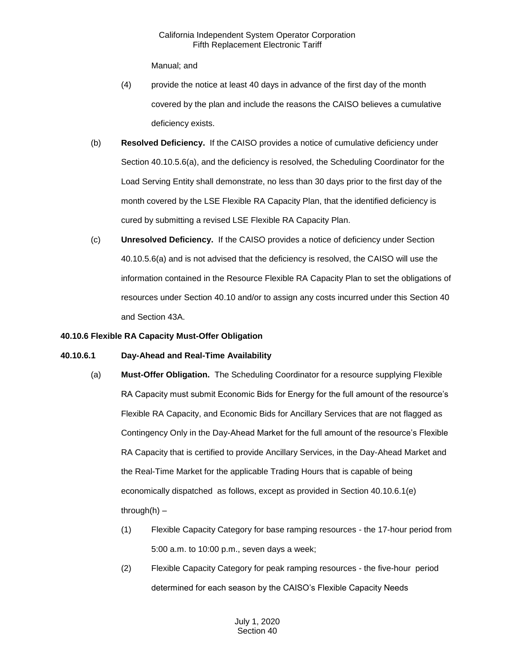Manual; and

- (4) provide the notice at least 40 days in advance of the first day of the month covered by the plan and include the reasons the CAISO believes a cumulative deficiency exists.
- (b) **Resolved Deficiency.** If the CAISO provides a notice of cumulative deficiency under Section 40.10.5.6(a), and the deficiency is resolved, the Scheduling Coordinator for the Load Serving Entity shall demonstrate, no less than 30 days prior to the first day of the month covered by the LSE Flexible RA Capacity Plan, that the identified deficiency is cured by submitting a revised LSE Flexible RA Capacity Plan.
- (c) **Unresolved Deficiency.** If the CAISO provides a notice of deficiency under Section 40.10.5.6(a) and is not advised that the deficiency is resolved, the CAISO will use the information contained in the Resource Flexible RA Capacity Plan to set the obligations of resources under Section 40.10 and/or to assign any costs incurred under this Section 40 and Section 43A.

# **40.10.6 Flexible RA Capacity Must-Offer Obligation**

# **40.10.6.1 Day-Ahead and Real-Time Availability**

- (a) **Must-Offer Obligation.** The Scheduling Coordinator for a resource supplying Flexible RA Capacity must submit Economic Bids for Energy for the full amount of the resource's Flexible RA Capacity, and Economic Bids for Ancillary Services that are not flagged as Contingency Only in the Day-Ahead Market for the full amount of the resource's Flexible RA Capacity that is certified to provide Ancillary Services, in the Day-Ahead Market and the Real-Time Market for the applicable Trading Hours that is capable of being economically dispatched as follows, except as provided in Section 40.10.6.1(e) through $(h)$  –
	- (1) Flexible Capacity Category for base ramping resources the 17-hour period from 5:00 a.m. to 10:00 p.m., seven days a week;
	- (2) Flexible Capacity Category for peak ramping resources the five-hour period determined for each season by the CAISO's Flexible Capacity Needs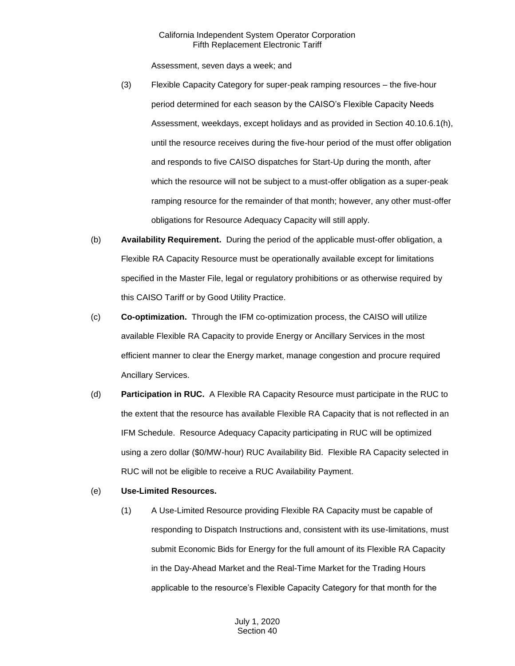Assessment, seven days a week; and

- (3) Flexible Capacity Category for super-peak ramping resources the five-hour period determined for each season by the CAISO's Flexible Capacity Needs Assessment, weekdays, except holidays and as provided in Section 40.10.6.1(h), until the resource receives during the five-hour period of the must offer obligation and responds to five CAISO dispatches for Start-Up during the month, after which the resource will not be subject to a must-offer obligation as a super-peak ramping resource for the remainder of that month; however, any other must-offer obligations for Resource Adequacy Capacity will still apply.
- (b) **Availability Requirement.** During the period of the applicable must-offer obligation, a Flexible RA Capacity Resource must be operationally available except for limitations specified in the Master File, legal or regulatory prohibitions or as otherwise required by this CAISO Tariff or by Good Utility Practice.
- (c) **Co-optimization.** Through the IFM co-optimization process, the CAISO will utilize available Flexible RA Capacity to provide Energy or Ancillary Services in the most efficient manner to clear the Energy market, manage congestion and procure required Ancillary Services.
- (d) **Participation in RUC.** A Flexible RA Capacity Resource must participate in the RUC to the extent that the resource has available Flexible RA Capacity that is not reflected in an IFM Schedule. Resource Adequacy Capacity participating in RUC will be optimized using a zero dollar (\$0/MW-hour) RUC Availability Bid. Flexible RA Capacity selected in RUC will not be eligible to receive a RUC Availability Payment.

# (e) **Use-Limited Resources.**

(1) A Use-Limited Resource providing Flexible RA Capacity must be capable of responding to Dispatch Instructions and, consistent with its use-limitations, must submit Economic Bids for Energy for the full amount of its Flexible RA Capacity in the Day-Ahead Market and the Real-Time Market for the Trading Hours applicable to the resource's Flexible Capacity Category for that month for the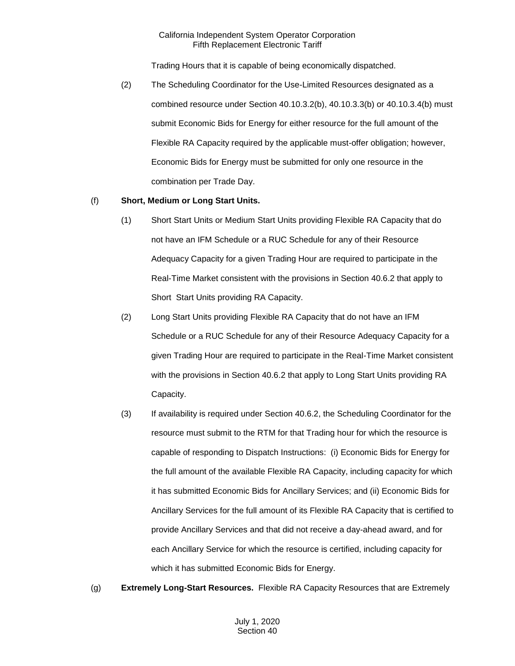Trading Hours that it is capable of being economically dispatched.

(2) The Scheduling Coordinator for the Use-Limited Resources designated as a combined resource under Section 40.10.3.2(b), 40.10.3.3(b) or 40.10.3.4(b) must submit Economic Bids for Energy for either resource for the full amount of the Flexible RA Capacity required by the applicable must-offer obligation; however, Economic Bids for Energy must be submitted for only one resource in the combination per Trade Day.

## (f) **Short, Medium or Long Start Units.**

- (1) Short Start Units or Medium Start Units providing Flexible RA Capacity that do not have an IFM Schedule or a RUC Schedule for any of their Resource Adequacy Capacity for a given Trading Hour are required to participate in the Real-Time Market consistent with the provisions in Section 40.6.2 that apply to Short Start Units providing RA Capacity.
- (2) Long Start Units providing Flexible RA Capacity that do not have an IFM Schedule or a RUC Schedule for any of their Resource Adequacy Capacity for a given Trading Hour are required to participate in the Real-Time Market consistent with the provisions in Section 40.6.2 that apply to Long Start Units providing RA Capacity.
- (3) If availability is required under Section 40.6.2, the Scheduling Coordinator for the resource must submit to the RTM for that Trading hour for which the resource is capable of responding to Dispatch Instructions: (i) Economic Bids for Energy for the full amount of the available Flexible RA Capacity, including capacity for which it has submitted Economic Bids for Ancillary Services; and (ii) Economic Bids for Ancillary Services for the full amount of its Flexible RA Capacity that is certified to provide Ancillary Services and that did not receive a day-ahead award, and for each Ancillary Service for which the resource is certified, including capacity for which it has submitted Economic Bids for Energy.
- (g) **Extremely Long-Start Resources.** Flexible RA Capacity Resources that are Extremely